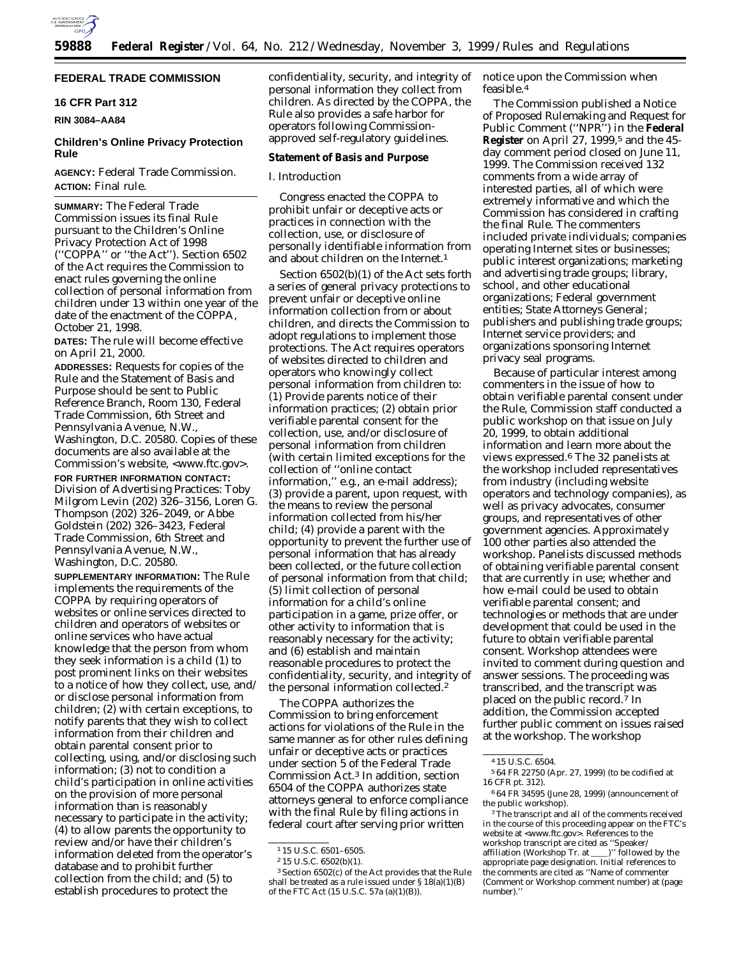

# **FEDERAL TRADE COMMISSION**

# **16 CFR Part 312**

# **RIN 3084–AA84**

### **Children's Online Privacy Protection Rule**

**AGENCY:** Federal Trade Commission. **ACTION:** Final rule.

**SUMMARY:** The Federal Trade Commission issues its final Rule pursuant to the Children's Online Privacy Protection Act of 1998 (''COPPA'' or ''the Act''). Section 6502 of the Act requires the Commission to enact rules governing the online collection of personal information from children under 13 within one year of the date of the enactment of the COPPA, October 21, 1998.

**DATES:** The rule will become effective on April 21, 2000.

**ADDRESSES:** Requests for copies of the Rule and the Statement of Basis and Purpose should be sent to Public Reference Branch, Room 130, Federal Trade Commission, 6th Street and Pennsylvania Avenue, N.W., Washington, D.C. 20580. Copies of these documents are also available at the Commission's website, <*www.ftc.gov>*.

**FOR FURTHER INFORMATION CONTACT:** Division of Advertising Practices: Toby Milgrom Levin (202) 326–3156, Loren G. Thompson (202) 326–2049, or Abbe Goldstein (202) 326–3423, Federal Trade Commission, 6th Street and Pennsylvania Avenue, N.W., Washington, D.C. 20580.

**SUPPLEMENTARY INFORMATION:** The Rule implements the requirements of the COPPA by requiring operators of websites or online services directed to children and operators of websites or online services who have actual knowledge that the person from whom they seek information is a child (1) to post prominent links on their websites to a notice of how they collect, use, and/ or disclose personal information from children; (2) with certain exceptions, to notify parents that they wish to collect information from their children and obtain parental consent prior to collecting, using, and/or disclosing such information; (3) not to condition a child's participation in online activities on the provision of more personal information than is reasonably necessary to participate in the activity; (4) to allow parents the opportunity to review and/or have their children's information deleted from the operator's database and to prohibit further collection from the child; and (5) to establish procedures to protect the

confidentiality, security, and integrity of personal information they collect from children. As directed by the COPPA, the Rule also provides a safe harbor for operators following Commissionapproved self-regulatory guidelines.

### **Statement of Basis and Purpose**

### *I. Introduction*

Congress enacted the COPPA to prohibit unfair or deceptive acts or practices in connection with the collection, use, or disclosure of personally identifiable information from and about children on the Internet.1

Section 6502(b)(1) of the Act sets forth a series of general privacy protections to prevent unfair or deceptive online information collection from or about children, and directs the Commission to adopt regulations to implement those protections. The Act requires operators of websites directed to children and operators who knowingly collect personal information from children to: (1) Provide parents notice of their information practices; (2) obtain prior verifiable parental consent for the collection, use, and/or disclosure of personal information from children (with certain limited exceptions for the collection of ''online contact information,'' *e.g.,* an e-mail address); (3) provide a parent, upon request, with the means to review the personal information collected from his/her child; (4) provide a parent with the opportunity to prevent the further use of personal information that has already been collected, or the future collection of personal information from that child; (5) limit collection of personal information for a child's online participation in a game, prize offer, or other activity to information that is reasonably necessary for the activity; and (6) establish and maintain reasonable procedures to protect the confidentiality, security, and integrity of the personal information collected.2

The COPPA authorizes the Commission to bring enforcement actions for violations of the Rule in the same manner as for other rules defining unfair or deceptive acts or practices under section 5 of the Federal Trade Commission Act.3 In addition, section 6504 of the COPPA authorizes state attorneys general to enforce compliance with the final Rule by filing actions in federal court after serving prior written

notice upon the Commission when feasible.4

The Commission published a Notice of Proposed Rulemaking and Request for Public Comment (''NPR'') in the **Federal Register** on April 27, 1999,<sup>5</sup> and the 45day comment period closed on June 11, 1999. The Commission received 132 comments from a wide array of interested parties, all of which were extremely informative and which the Commission has considered in crafting the final Rule. The commenters included private individuals; companies operating Internet sites or businesses; public interest organizations; marketing and advertising trade groups; library, school, and other educational organizations; Federal government entities; State Attorneys General; publishers and publishing trade groups; Internet service providers; and organizations sponsoring Internet privacy seal programs.

Because of particular interest among commenters in the issue of how to obtain verifiable parental consent under the Rule, Commission staff conducted a public workshop on that issue on July 20, 1999, to obtain additional information and learn more about the views expressed.6 The 32 panelists at the workshop included representatives from industry (including website operators and technology companies), as well as privacy advocates, consumer groups, and representatives of other government agencies. Approximately 100 other parties also attended the workshop. Panelists discussed methods of obtaining verifiable parental consent that are currently in use; whether and how e-mail could be used to obtain verifiable parental consent; and technologies or methods that are under development that could be used in the future to obtain verifiable parental consent. Workshop attendees were invited to comment during question and answer sessions. The proceeding was transcribed, and the transcript was placed on the public record.7 In addition, the Commission accepted further public comment on issues raised at the workshop. The workshop

<sup>1</sup> 15 U.S.C. 6501–6505.

<sup>2</sup> 15 U.S.C. 6502(b)(1).

<sup>3</sup>Section 6502(c) of the Act provides that the Rule shall be treated as a rule issued under  $\S 18(a)(1)(B)$ of the FTC Act (15 U.S.C. 57a (a)(1)(B)).

<sup>4</sup> 15 U.S.C. 6504.

<sup>5</sup> 64 FR 22750 (Apr. 27, 1999) (to be codified at 16 CFR pt. 312).

<sup>6</sup> 64 FR 34595 (June 28, 1999) (announcement of the public workshop).

<sup>7</sup>The transcript and all of the comments received in the course of this proceeding appear on the FTC's website at <*www.ftc.gov*>. References to the workshop transcript are cited as ''Speaker/ affiliation (Workshop Tr. at \_\_\_)" followed by the appropriate page designation. Initial references to the comments are cited as ''Name of commenter (Comment or Workshop comment number) at (page number).''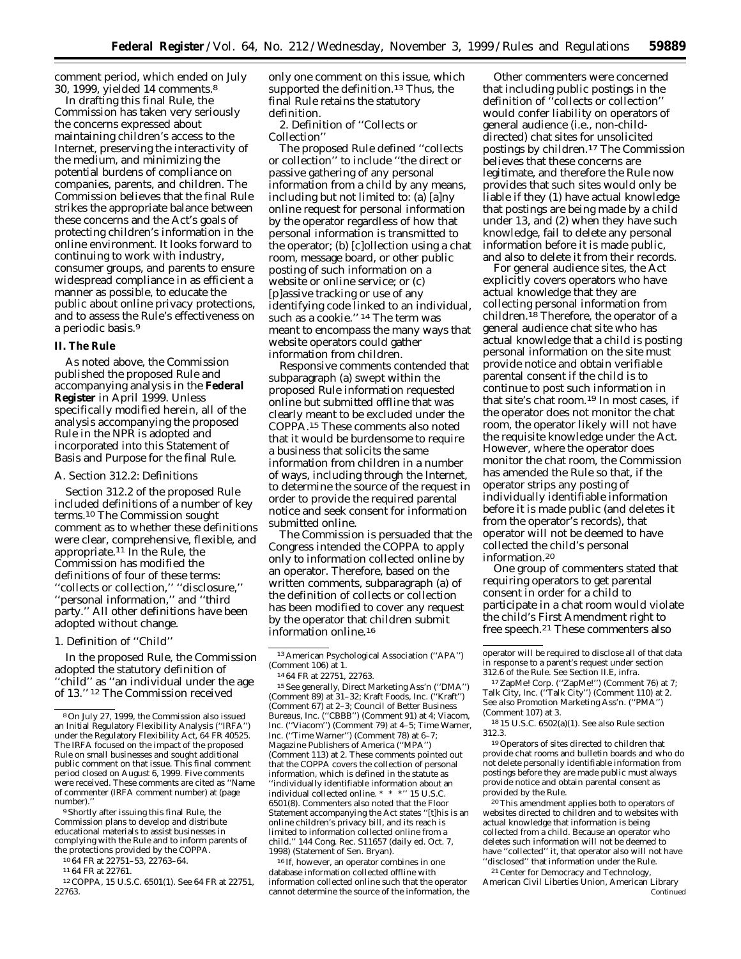comment period, which ended on July 30, 1999, yielded 14 comments.8

In drafting this final Rule, the Commission has taken very seriously the concerns expressed about maintaining children's access to the Internet, preserving the interactivity of the medium, and minimizing the potential burdens of compliance on companies, parents, and children. The Commission believes that the final Rule strikes the appropriate balance between these concerns and the Act's goals of protecting children's information in the online environment. It looks forward to continuing to work with industry, consumer groups, and parents to ensure widespread compliance in as efficient a manner as possible, to educate the public about online privacy protections, and to assess the Rule's effectiveness on a periodic basis.9

## **II. The Rule**

As noted above, the Commission published the proposed Rule and accompanying analysis in the **Federal Register** in April 1999. Unless specifically modified herein, all of the analysis accompanying the proposed Rule in the NPR is adopted and incorporated into this Statement of Basis and Purpose for the final Rule.

#### *A. Section 312.2: Definitions*

Section 312.2 of the proposed Rule included definitions of a number of key terms.10 The Commission sought comment as to whether these definitions were clear, comprehensive, flexible, and appropriate.11 In the Rule, the Commission has modified the definitions of four of these terms: ''collects or collection,'' ''disclosure,'' ''personal information,'' and ''third party.'' All other definitions have been adopted without change.

### 1. Definition of ''Child''

In the proposed Rule, the Commission adopted the statutory definition of ''child'' as ''an individual under the age of 13.'' 12 The Commission received

9Shortly after issuing this final Rule, the Commission plans to develop and distribute educational materials to assist businesses in complying with the Rule and to inform parents of the protections provided by the COPPA.

10 64 FR at 22751–53, 22763–64.

11 64 FR at 22761.

12COPPA, 15 U.S.C. 6501(1). *See* 64 FR at 22751, 22763.

only one comment on this issue, which supported the definition.<sup>13</sup> Thus, the final Rule retains the statutory definition.

2. Definition of ''Collects or Collection''

The proposed Rule defined ''collects or collection'' to include ''the direct or passive gathering of any personal information from a child by any means, including but not limited to: (a) [a]ny online request for personal information by the operator regardless of how that personal information is transmitted to the operator; (b) [c]ollection using a chat room, message board, or other public posting of such information on a website or online service; or (c) [p]assive tracking or use of any identifying code linked to an individual, such as a cookie."<sup>14</sup> The term was meant to encompass the many ways that website operators could gather information from children.

Responsive comments contended that subparagraph (a) swept within the proposed Rule information requested online but submitted offline that was clearly meant to be excluded under the COPPA.15 These comments also noted that it would be burdensome to require a business that solicits the same information from children in a number of ways, including through the Internet, to determine the source of the request in order to provide the required parental notice and seek consent for information submitted online.

The Commission is persuaded that the Congress intended the COPPA to apply only to information collected online by an operator. Therefore, based on the written comments, subparagraph (a) of the definition of collects or collection has been modified to cover any request by the operator that children submit information online.16

15*See generally,* Direct Marketing Ass'n (''DMA'') (Comment 89) at 31–32; Kraft Foods, Inc. (''Kraft'') (Comment 67) at 2–3; Council of Better Business Bureaus, Inc. (''CBBB'') (Comment 91) at 4; Viacom, Inc. (''Viacom'') (Comment 79) at 4–5; Time Warner, Inc. (''Time Warner'') (Comment 78) at 6–7; Magazine Publishers of America (''MPA'') (Comment 113) at 2. These comments pointed out that the COPPA covers the collection of personal information, which is defined in the statute as ''individually identifiable information about an individual collected online. \* \* \*'' 15 U.S.C. 6501(8). Commenters also noted that the Floor Statement accompanying the Act states ''[t]his is an online children's privacy bill, and its reach is limited to information collected online from a child.'' 144 Cong. Rec. S11657 (daily ed. Oct. 7, 1998) (Statement of Sen. Bryan).

16 If, however, an operator combines in one database information collected offline with information collected online such that the operator cannot determine the source of the information, the

Other commenters were concerned that including public postings in the definition of ''collects or collection'' would confer liability on operators of general audience (*i.e.,* non-childdirected) chat sites for unsolicited postings by children.17 The Commission believes that these concerns are legitimate, and therefore the Rule now provides that such sites would only be liable if they (1) have actual knowledge that postings are being made by a child under 13, and (2) when they have such knowledge, fail to delete any personal information before it is made public, and also to delete it from their records.

For general audience sites, the Act explicitly covers operators who have *actual knowledge* that they are collecting personal information from children.18 Therefore, the operator of a general audience chat site who has actual knowledge that a child is posting personal information on the site must provide notice and obtain verifiable parental consent if the child is to continue to post such information in that site's chat room.19 In most cases, if the operator does not monitor the chat room, the operator likely will not have the requisite knowledge under the Act. However, where the operator does monitor the chat room, the Commission has amended the Rule so that, if the operator strips any posting of individually identifiable information before it is made public (and deletes it from the operator's records), that operator will not be deemed to have collected the child's personal information.20

One group of commenters stated that requiring operators to get parental consent in order for a child to participate in a chat room would violate the child's First Amendment right to free speech.21 These commenters also

19Operators of sites directed to children that provide chat rooms and bulletin boards and who do not delete personally identifiable information from postings before they are made public must always provide notice and obtain parental consent as provided by the Rule.

20This amendment applies both to operators of websites directed to children and to websites with actual knowledge that information is being collected from a child. Because an operator who deletes such information will not be deemed to have ''collected'' it, that operator also will not have ''disclosed'' that information under the Rule.

21Center for Democracy and Technology, American Civil Liberties Union, American Library Continued

<sup>8</sup>On July 27, 1999, the Commission also issued an Initial Regulatory Flexibility Analysis (''IRFA'') under the Regulatory Flexibility Act, 64 FR 40525. The IRFA focused on the impact of the proposed Rule on small businesses and sought additional public comment on that issue. This final comment period closed on August 6, 1999. Five comments were received. These comments are cited as ''Name of commenter (IRFA comment number) at (page number).''

<sup>13</sup>American Psychological Association (''APA'') (Comment 106) at 1.

<sup>14</sup> 64 FR at 22751, 22763.

operator will be required to disclose all of that data in response to a parent's request under section 312.6 of the Rule. *See* Section II.E, *infra.*

<sup>17</sup>ZapMe! Corp. (''ZapMe!'') (Comment 76) at 7; Talk City, Inc. (''Talk City'') (Comment 110) at 2. *See also* Promotion Marketing Ass'n. (''PMA'') (Comment 107) at 3.

<sup>18</sup> 15 U.S.C. 6502(a)(1). *See also* Rule section 312.3.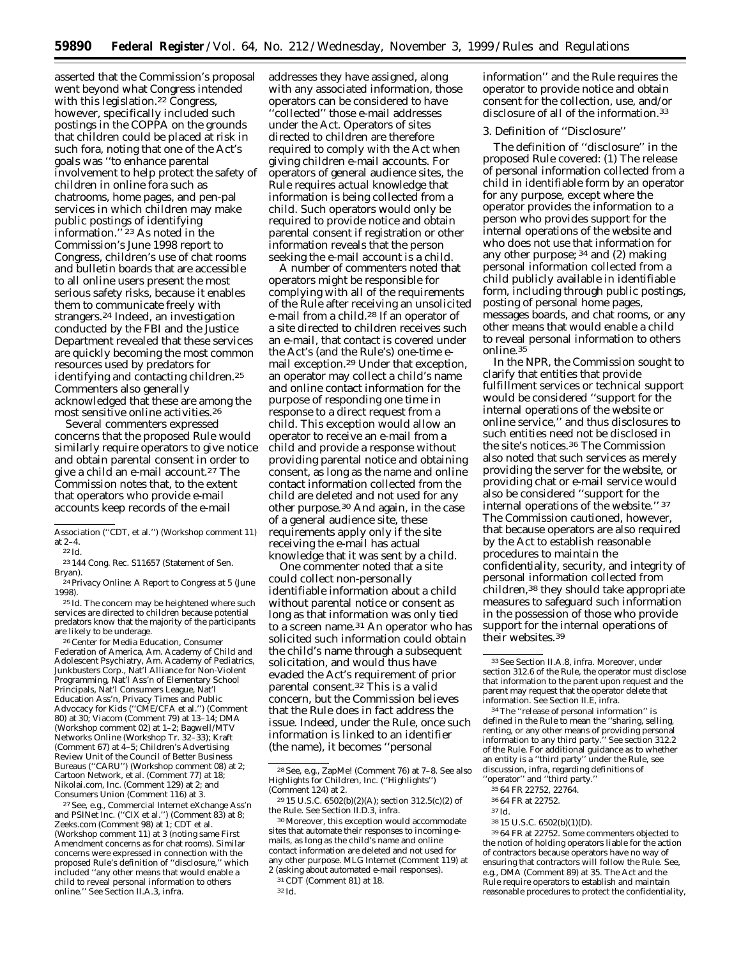asserted that the Commission's proposal went beyond what Congress intended with this legislation.<sup>22</sup> Congress, however, specifically included such postings in the COPPA on the grounds that children could be placed at risk in such fora, noting that one of the Act's goals was ''to enhance parental involvement to help protect the safety of children in online fora such as chatrooms, home pages, and pen-pal services in which children may make public postings of identifying information.'' 23 As noted in the Commission's June 1998 report to Congress, children's use of chat rooms and bulletin boards that are accessible to all online users present the most serious safety risks, because it enables them to communicate freely with strangers.24 Indeed, an investigation conducted by the FBI and the Justice Department revealed that these services are quickly becoming the most common resources used by predators for identifying and contacting children.25 Commenters also generally acknowledged that these are among the most sensitive online activities.26

Several commenters expressed concerns that the proposed Rule would similarly require operators to give notice and obtain parental consent in order to give a child an e-mail account.27 The Commission notes that, to the extent that operators who provide e-mail accounts keep records of the e-mail

22 *Id.*

23 144 Cong. Rec. S11657 (Statement of Sen. Bryan).

25 *Id.* The concern may be heightened where such services are directed to children because potential predators know that the majority of the participants are likely to be underage.

<sup>26</sup> Center for Media Education, Consumer Federation of America, Am. Academy of Child and Adolescent Psychiatry, Am. Academy of Pediatrics, Junkbusters Corp., Nat'l Alliance for Non-Violent Programming, Nat'l Ass'n of Elementary School Principals, Nat'l Consumers League, Nat'l Education Ass'n, Privacy Times and Public Advocacy for Kids (''CME/CFA et al.'') (Comment 80) at 30; Viacom (Comment 79) at 13–14; DMA (Workshop comment 02) at 1–2; Bagwell/MTV Networks Online (Workshop Tr. 32–33); Kraft (Comment 67) at 4–5; Children's Advertising Review Unit of the Council of Better Business Bureaus (''CARU'') (Workshop comment 08) at 2; Cartoon Network, et al. (Comment 77) at 18; Nikolai.com, Inc. (Comment 129) at 2; and Consumers Union (Comment 116) at 3.

27*See, e.g.,* Commercial Internet eXchange Ass'n and PSINet Inc. (''CIX et al.'') (Comment 83) at 8; Zeeks.com (Comment 98) at 1; CDT et al. (Workshop comment 11) at 3 (noting same First Amendment concerns as for chat rooms). Similar concerns were expressed in connection with the proposed Rule's definition of ''disclosure,'' which included ''any other means that would enable a child to reveal personal information to others online.'' *See* Section II.A.3, *infra.*

addresses they have assigned, along with any associated information, those operators can be considered to have 'collected" those e-mail addresses under the Act. Operators of sites directed to children are therefore required to comply with the Act when giving children e-mail accounts. For operators of general audience sites, the Rule requires *actual knowledge* that information is being collected from a child. Such operators would only be required to provide notice and obtain parental consent if registration or other information reveals that the person seeking the e-mail account is a child.

A number of commenters noted that operators might be responsible for complying with all of the requirements of the Rule after receiving an unsolicited e-mail from a child.28 If an operator of a site directed to children receives such an e-mail, that contact is covered under the Act's (and the Rule's) one-time email exception.29 Under that exception, an operator may collect a child's name and online contact information for the purpose of responding one time in response to a direct request from a child. This exception would allow an operator to receive an e-mail from a child and provide a response without providing parental notice and obtaining consent, as long as the name and online contact information collected from the child are deleted and not used for any other purpose.30 And again, in the case of a general audience site, these requirements apply only if the site receiving the e-mail has actual knowledge that it was sent by a child.

One commenter noted that a site could collect non-personally identifiable information about a child without parental notice or consent as long as that information was only tied to a screen name.31 An operator who has solicited such information could obtain the child's name through a subsequent solicitation, and would thus have evaded the Act's requirement of prior parental consent.32 This is a valid concern, but the Commission believes that the Rule does in fact address the issue. Indeed, under the Rule, once such information is linked to an identifier (the name), it becomes ''personal

information'' and the Rule requires the operator to provide notice and obtain consent for the collection, use, and/or disclosure of all of the information.33

## 3. Definition of ''Disclosure''

The definition of ''disclosure'' in the proposed Rule covered: (1) The release of personal information collected from a child in identifiable form by an operator for any purpose, except where the operator provides the information to a person who provides support for the internal operations of the website and who does not use that information for any other purpose; 34 and (2) making personal information collected from a child publicly available in identifiable form, including through public postings, posting of personal home pages, messages boards, and chat rooms, or any other means that would enable a child to reveal personal information to others online.35

In the NPR, the Commission sought to clarify that entities that provide fulfillment services or technical support would be considered ''support for the internal operations of the website or online service,'' and thus disclosures to such entities need not be disclosed in the site's notices.36 The Commission also noted that such services as merely providing the server for the website, or providing chat or e-mail service would also be considered ''support for the internal operations of the website.'' 37 The Commission cautioned, however, that because operators are also required by the Act to establish reasonable procedures to maintain the confidentiality, security, and integrity of personal information collected from children,38 they should take appropriate measures to safeguard such information in the possession of those who provide support for the internal operations of their websites.39

38 15 U.S.C. 6502(b)(1)(D).

Association (''CDT, et al.'') (Workshop comment 11) at 2–4.

<sup>24</sup>*Privacy Online: A Report to Congress* at 5 (June 1998).

<sup>28</sup>*See, e.g.,* ZapMe! (Comment 76) at 7–8. *See also* Highlights for Children, Inc. (''Highlights'') (Comment 124) at 2.

<sup>29</sup> 15 U.S.C. 6502(b)(2)(A); section 312.5(c)(2) of the Rule. *See* Section II.D.3, *infra.*

<sup>30</sup>Moreover, this exception would accommodate sites that automate their responses to incoming emails, as long as the child's name and online contact information are deleted and not used for any other purpose. MLG Internet (Comment 119) at 2 (asking about automated e-mail responses).

<sup>31</sup>CDT (Comment 81) at 18.

<sup>32</sup> *Id.*

<sup>33</sup>*See* Section II.A.8, *infra.* Moreover, under section 312.6 of the Rule, the operator must disclose that information to the parent upon request and the parent may request that the operator delete that information. *See* Section II.E, *infra.*

<sup>34</sup>The ''release of personal information'' is defined in the Rule to mean the ''sharing, selling, renting, or any other means of providing personal information to any third party.'' *See* section 312.2 of the Rule. For additional guidance as to whether an entity is a ''third party'' under the Rule, see discussion, *infra,* regarding definitions of "operator" and "third party.

<sup>35</sup> 64 FR 22752, 22764.

<sup>36</sup> 64 FR at 22752.

<sup>37</sup> *Id.*

<sup>39</sup> 64 FR at 22752. Some commenters objected to the notion of holding operators liable for the action of contractors because operators have no way of ensuring that contractors will follow the Rule. *See, e.g.,* DMA (Comment 89) at 35. The Act and the Rule require operators to establish and maintain reasonable procedures to protect the confidentiality,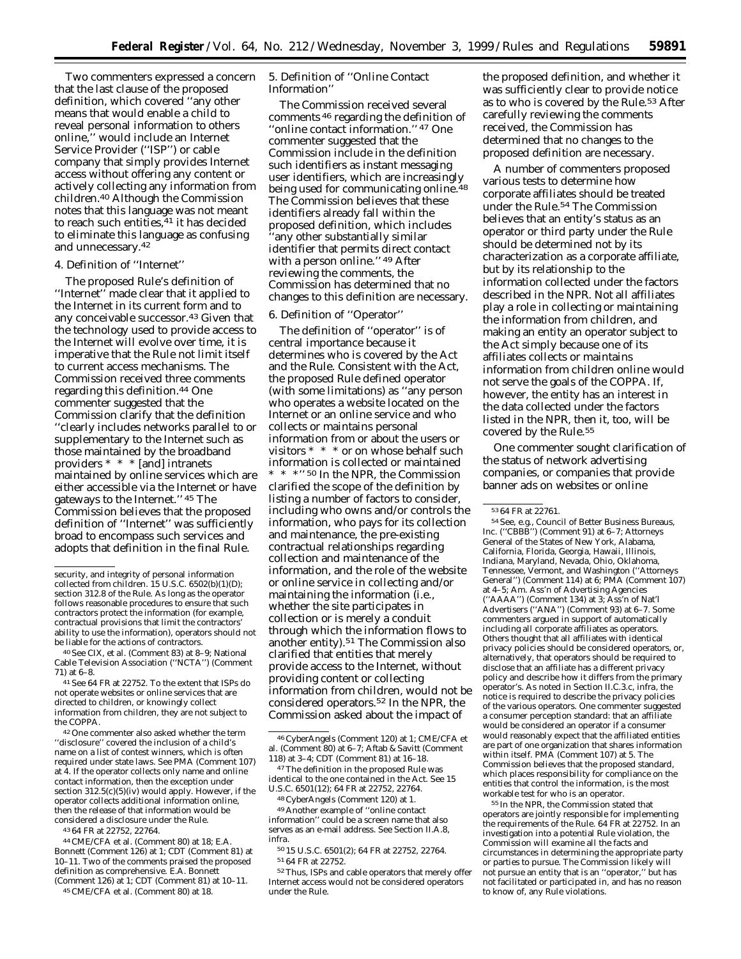Two commenters expressed a concern that the last clause of the proposed definition, which covered ''any other means that would enable a child to reveal personal information to others online,'' would include an Internet Service Provider (''ISP'') or cable company that simply provides Internet access without offering any content or actively collecting any information from children.40 Although the Commission notes that this language was not meant to reach such entities, $41$  it has decided to eliminate this language as confusing and unnecessary.42

## 4. Definition of ''Internet''

The proposed Rule's definition of ''Internet'' made clear that it applied to the Internet in its current form and to any conceivable successor.43 Given that the technology used to provide access to the Internet will evolve over time, it is imperative that the Rule not limit itself to current access mechanisms. The Commission received three comments regarding this definition.44 One commenter suggested that the Commission clarify that the definition ''clearly includes networks parallel to or supplementary to the Internet such as those maintained by the broadband providers \* \* \* [and] intranets maintained by online services which are either accessible via the Internet or have gateways to the Internet.'' 45 The Commission believes that the proposed definition of ''Internet'' was sufficiently broad to encompass such services and adopts that definition in the final Rule.

41*See* 64 FR at 22752. To the extent that ISPs do not operate websites or online services that are directed to children, or knowingly collect information from children, they are not subject to the COPPA.

42One commenter also asked whether the term ''disclosure'' covered the inclusion of a child's name on a list of contest winners, which is often required under state laws. *See* PMA (Comment 107) at 4. If the operator collects only name and online contact information, then the exception under section 312.5(c)(5)(iv) would apply. However, if the operator collects additional information online, then the release of that information would be considered a disclosure under the Rule.

43 64 FR at 22752, 22764.

44CME/CFA et al. (Comment 80) at 18; E.A. Bonnett (Comment 126) at 1; CDT (Comment 81) at 10–11. Two of the comments praised the proposed definition as comprehensive. E.A. Bonnett (Comment 126) at 1; CDT (Comment 81) at 10–11.

45CME/CFA et al. (Comment 80) at 18.

5. Definition of ''Online Contact Information''

The Commission received several comments 46 regarding the definition of ''online contact information.'' 47 One commenter suggested that the Commission include in the definition such identifiers as instant messaging user identifiers, which are increasingly being used for communicating online.48 The Commission believes that these identifiers already fall within the proposed definition, which includes 'any other substantially similar identifier that permits direct contact with a person online." 49 After reviewing the comments, the Commission has determined that no changes to this definition are necessary.

#### 6. Definition of ''Operator''

The definition of ''operator'' is of central importance because it determines who is covered by the Act and the Rule. Consistent with the Act, the proposed Rule defined operator (with some limitations) as ''any person who operates a website located on the Internet or an online service and who collects or maintains personal information from or about the users or visitors \* \* \* or on whose behalf such information is collected or maintained \* \* \*'' 50 In the NPR, the Commission clarified the scope of the definition by listing a number of factors to consider, including who owns and/or controls the information, who pays for its collection and maintenance, the pre-existing contractual relationships regarding collection and maintenance of the information, and the role of the website or online service in collecting and/or maintaining the information (*i.e.,* whether the site participates in collection or is merely a conduit through which the information flows to another entity).51 The Commission also clarified that entities that merely provide access to the Internet, without providing content or collecting information from children, would not be considered operators.52 In the NPR, the Commission asked about the impact of

49Another example of ''online contact information'' could be a screen name that also serves as an e-mail address. *See* Section II.A.8, *infra.*

52Thus, ISPs and cable operators that merely offer Internet access would not be considered operators under the Rule.

the proposed definition, and whether it was sufficiently clear to provide notice as to who is covered by the Rule.53 After carefully reviewing the comments received, the Commission has determined that no changes to the proposed definition are necessary.

A number of commenters proposed various tests to determine how corporate affiliates should be treated under the Rule.54 The Commission believes that an entity's status as an operator or third party under the Rule should be determined not by its characterization as a corporate affiliate, but by its relationship to the information collected under the factors described in the NPR. Not all affiliates play a role in collecting or maintaining the information from children, and making an entity an operator subject to the Act simply because one of its affiliates collects or maintains information from children online would not serve the goals of the COPPA. If, however, the entity has an interest in the data collected under the factors listed in the NPR, then it, too, will be covered by the Rule.55

One commenter sought clarification of the status of network advertising companies, or companies that provide banner ads on websites or online

54*See, e.g.,* Council of Better Business Bureaus, Inc. (''CBBB'') (Comment 91) at 6–7; Attorneys General of the States of New York, Alabama, California, Florida, Georgia, Hawaii, Illinois, Indiana, Maryland, Nevada, Ohio, Oklahoma, Tennessee, Vermont, and Washington (''Attorneys General'') (Comment 114) at 6; PMA (Comment 107) at 4–5; Am. Ass'n of Advertising Agencies (''AAAA'') (Comment 134) at 3; Ass'n of Nat'l Advertisers (''ANA'') (Comment 93) at 6–7. Some commenters argued in support of automatically including all corporate affiliates as operators. Others thought that all affiliates with identical privacy policies should be considered operators, or, alternatively, that operators should be required to disclose that an affiliate has a different privacy policy and describe how it differs from the primary operator's. As noted in Section II.C.3.c, *infra,* the notice is required to describe the privacy policies of the various operators. One commenter suggested a consumer perception standard: that an affiliate would be considered an operator if a consumer would reasonably expect that the affiliated entities are part of one organization that shares information within itself. PMA (Comment 107) at 5. The Commission believes that the proposed standard, which places responsibility for compliance on the entities that control the information, is the most workable test for who is an operator.

55 In the NPR, the Commission stated that operators are jointly responsible for implementing the requirements of the Rule. 64 FR at 22752. In an investigation into a potential Rule violation, the Commission will examine all the facts and circumstances in determining the appropriate party or parties to pursue. The Commission likely will not pursue an entity that is an ''operator,'' but has not facilitated or participated in, and has no reason to know of, any Rule violations.

security, and integrity of personal information collected from children. 15 U.S.C. 6502(b)(1)(D); section 312.8 of the Rule. As long as the operator follows reasonable procedures to ensure that such contractors protect the information (for example, contractual provisions that limit the contractors' ability to use the information), operators should not be liable for the actions of contractors.

<sup>40</sup>*See* CIX, *et al.* (Comment 83) at 8–9; National Cable Television Association (''NCTA'') (Comment 71) at 6–8.

<sup>46</sup>CyberAngels (Comment 120) at 1; CME/CFA et al. (Comment 80) at 6–7; Aftab & Savitt (Comment 118) at 3–4; CDT (Comment 81) at 16–18.

<sup>47</sup>The definition in the proposed Rule was identical to the one contained in the Act. *See* 15 U.S.C. 6501(12); 64 FR at 22752, 22764.

<sup>48</sup>CyberAngels (Comment 120) at 1.

<sup>50</sup> 15 U.S.C. 6501(2); 64 FR at 22752, 22764. 51 64 FR at 22752.

<sup>53</sup> 64 FR at 22761.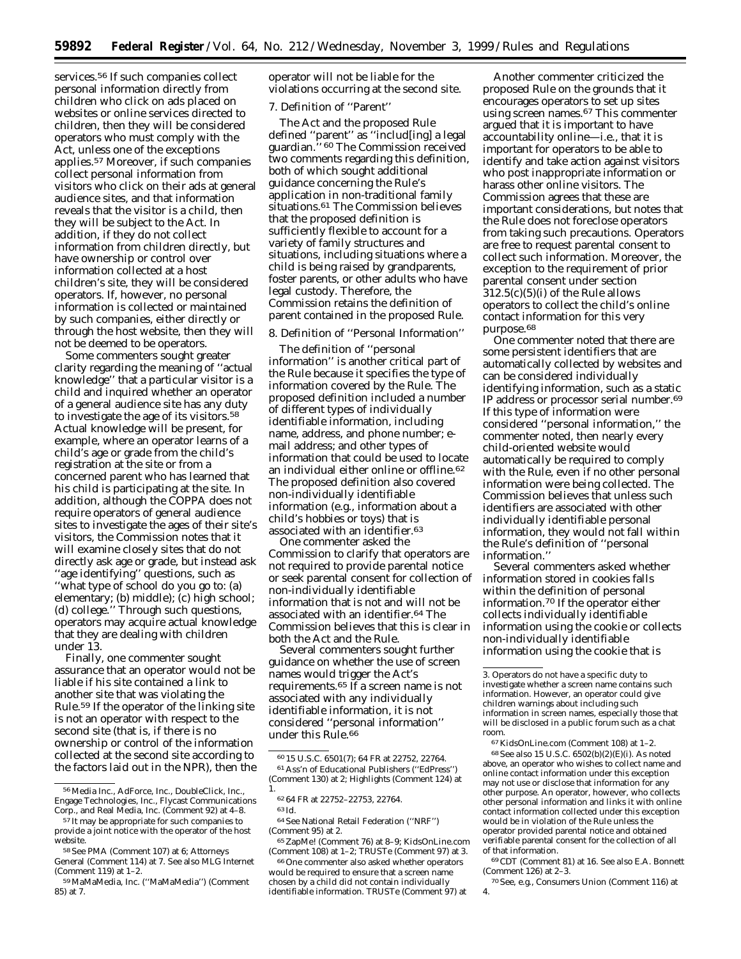services.56 If such companies collect personal information directly from children who click on ads placed on websites or online services directed to children, then they will be considered operators who must comply with the Act, unless one of the exceptions applies.57 Moreover, if such companies collect personal information from visitors who click on their ads at general audience sites, and that information reveals that the visitor is a child, then they will be subject to the Act. In addition, if they do not collect information from children directly, but have ownership or control over information collected at a host children's site, they will be considered operators. If, however, no personal information is collected or maintained by such companies, either directly or through the host website, then they will not be deemed to be operators.

Some commenters sought greater clarity regarding the meaning of ''actual knowledge'' that a particular visitor is a child and inquired whether an operator of a general audience site has any duty to investigate the age of its visitors.58 Actual knowledge will be present, for example, where an operator learns of a child's age or grade from the child's registration at the site or from a concerned parent who has learned that his child is participating at the site. In addition, although the COPPA does not require operators of general audience sites to investigate the ages of their site's visitors, the Commission notes that it will examine closely sites that do not directly ask age or grade, but instead ask ''age identifying'' questions, such as ''what type of school do you go to: (a) elementary; (b) middle); (c) high school; (d) college.'' Through such questions, operators may acquire actual knowledge that they are dealing with children under 13.

Finally, one commenter sought assurance that an operator would not be liable if his site contained a link to another site that was violating the Rule.59 If the operator of the linking site is not an operator with respect to the second site (that is, if there is no ownership or control of the information collected at the second site according to the factors laid out in the NPR), then the

- 58*See* PMA (Comment 107) at 6; Attorneys General (Comment 114) at 7. See also MLG Internet (Comment 119) at 1–2.
- 59MaMaMedia, Inc. (''MaMaMedia'') (Comment 85) at 7.

operator will not be liable for the violations occurring at the second site.

# 7. Definition of ''Parent''

The Act and the proposed Rule defined ''parent'' as ''includ[ing] a legal guardian.'' 60 The Commission received two comments regarding this definition, both of which sought additional guidance concerning the Rule's application in non-traditional family situations.61 The Commission believes that the proposed definition is sufficiently flexible to account for a variety of family structures and situations, including situations where a child is being raised by grandparents, foster parents, or other adults who have legal custody. Therefore, the Commission retains the definition of parent contained in the proposed Rule.

# 8. Definition of ''Personal Information''

The definition of ''personal information'' is another critical part of the Rule because it specifies the type of information covered by the Rule. The proposed definition included a number of different types of individually identifiable information, including name, address, and phone number; email address; and other types of information that could be used to locate an individual either online or offline.62 The proposed definition also covered non-individually identifiable information (*e.g.,* information about a child's hobbies or toys) that is associated with an identifier.<sup>63</sup>

One commenter asked the Commission to clarify that operators are not required to provide parental notice or seek parental consent for collection of non-individually identifiable information that is not and will not be associated with an identifier.64 The Commission believes that this is clear in both the Act and the Rule.

Several commenters sought further guidance on whether the use of screen names would trigger the Act's requirements.65 If a screen name is not associated with any individually identifiable information, it is not considered ''personal information'' under this Rule.66

Another commenter criticized the proposed Rule on the grounds that it encourages operators to set up sites using screen names.<sup>67</sup> This commenter argued that it is important to have accountability online—*i.e.,* that it is important for operators to be able to identify and take action against visitors who post inappropriate information or harass other online visitors. The Commission agrees that these are important considerations, but notes that the Rule does not foreclose operators from taking such precautions. Operators are free to request parental consent to collect such information. Moreover, the exception to the requirement of prior parental consent under section  $312.5(c)(5)(i)$  of the Rule allows operators to collect the child's online contact information for this very purpose.68

One commenter noted that there are some persistent identifiers that are automatically collected by websites and can be considered individually identifying information, such as a static IP address or processor serial number.69 If this type of information were considered ''personal information,'' the commenter noted, then nearly every child-oriented website would automatically be required to comply with the Rule, even if no other personal information were being collected. The Commission believes that unless such identifiers are associated with other individually identifiable personal information, they would not fall within the Rule's definition of ''personal information.''

Several commenters asked whether information stored in cookies falls within the definition of personal information.70 If the operator either collects individually identifiable information using the cookie or collects non-individually identifiable information using the cookie that is

69CDT (Comment 81) at 16. *See also* E.A. Bonnett (Comment 126) at 2–3.

70*See, e.g.,* Consumers Union (Comment 116) at 4.

<sup>56</sup>Media Inc., AdForce, Inc., DoubleClick, Inc., Engage Technologies, Inc., Flycast Communications Corp., and Real Media, Inc. (Comment 92) at 4–8.

<sup>57</sup> It may be appropriate for such companies to provide a joint notice with the operator of the host website.

<sup>60</sup> 15 U.S.C. 6501(7); 64 FR at 22752, 22764. 61Ass'n of Educational Publishers (''EdPress'') (Comment 130) at 2; Highlights (Comment 124) at 1.

<sup>62</sup> 64 FR at 22752–22753, 22764.

<sup>63</sup> *Id.*

<sup>64</sup>*See* National Retail Federation (''NRF'') (Comment 95) at 2.

<sup>65</sup>ZapMe! (Comment 76) at 8–9; KidsOnLine.com (Comment 108) at 1–2; TRUSTe (Comment 97) at 3.

<sup>66</sup>One commenter also asked whether operators would be required to ensure that a screen name chosen by a child did not contain individually identifiable information. TRUSTe (Comment 97) at

<sup>3.</sup> Operators do not have a specific duty to investigate whether a screen name contains such information. However, an operator could give children warnings about including such information in screen names, especially those that will be disclosed in a public forum such as a chat room.

<sup>67</sup> KidsOnLine.com (Comment 108) at 1–2. 68*See also* 15 U.S.C. 6502(b)(2)(E)(i). As noted above, an operator who wishes to collect name and online contact information under this exception may not use or disclose that information for any other purpose. An operator, however, who collects other personal information and links it with online contact information collected under this exception would be in violation of the Rule unless the operator provided parental notice and obtained verifiable parental consent for the collection of all of that information.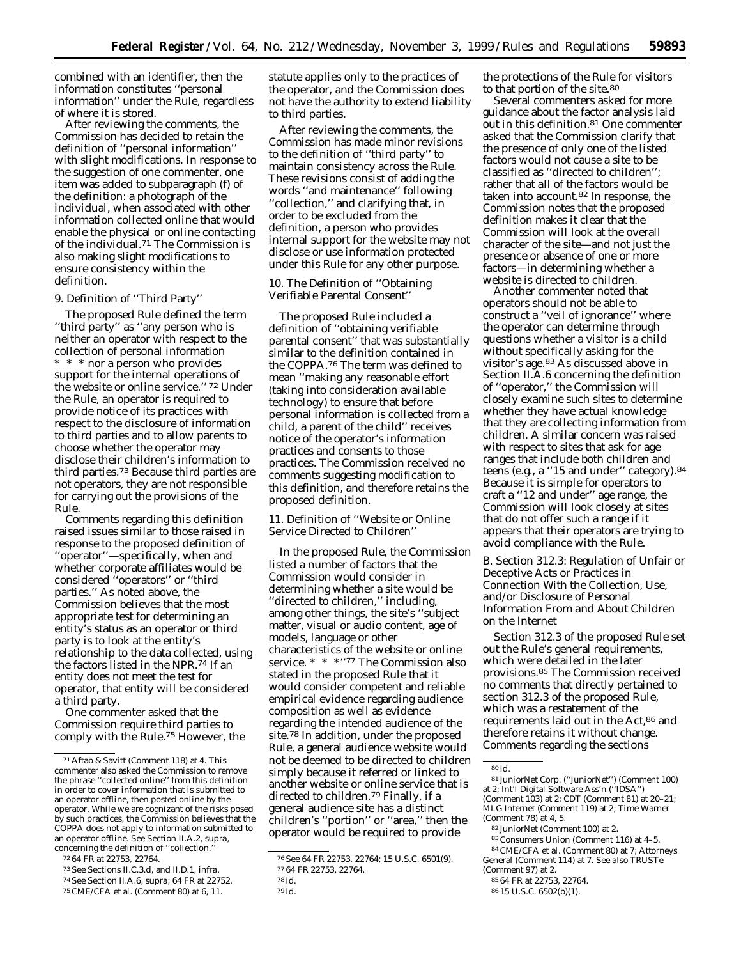combined with an identifier, then the information constitutes ''personal information'' under the Rule, regardless of where it is stored.

After reviewing the comments, the Commission has decided to retain the definition of ''personal information'' with slight modifications. In response to the suggestion of one commenter, one item was added to subparagraph (f) of the definition: a photograph of the individual, when associated with other information collected online that would enable the physical or online contacting of the individual.71 The Commission is also making slight modifications to ensure consistency within the definition.

# 9. Definition of ''Third Party''

The proposed Rule defined the term ''third party'' as ''any person who is neither an operator with respect to the collection of personal information \* \* \* nor a person who provides support for the internal operations of the website or online service.'' 72 Under the Rule, an operator is required to provide notice of its practices with respect to the disclosure of information to third parties and to allow parents to choose whether the operator may disclose their children's information to third parties.73 Because third parties are not operators, they are not responsible for carrying out the provisions of the Rule.

Comments regarding this definition raised issues similar to those raised in response to the proposed definition of ''operator''—specifically, when and whether corporate affiliates would be considered ''operators'' or ''third parties.'' As noted above, the Commission believes that the most appropriate test for determining an entity's status as an operator or third party is to look at the entity's relationship to the data collected, using the factors listed in the NPR.74 If an entity does not meet the test for operator, that entity will be considered a third party.

One commenter asked that the Commission require third parties to comply with the Rule.75 However, the

73*See* Sections II.C.3.d, and II.D.1, *infra.*

75CME/CFA et al. (Comment 80) at 6, 11.

statute applies only to the practices of the operator, and the Commission does not have the authority to extend liability to third parties.

After reviewing the comments, the Commission has made minor revisions to the definition of ''third party'' to maintain consistency across the Rule. These revisions consist of adding the words ''and maintenance'' following ''collection,'' and clarifying that, in order to be excluded from the definition, a person who provides internal support for the website may not disclose or use information protected under this Rule for any other purpose.

10. The Definition of ''Obtaining Verifiable Parental Consent''

The proposed Rule included a definition of ''obtaining verifiable parental consent'' that was substantially similar to the definition contained in the COPPA.76 The term was defined to mean ''making any reasonable effort (taking into consideration available technology) to ensure that before personal information is collected from a child, a parent of the child'' receives notice of the operator's information practices and consents to those practices. The Commission received no comments suggesting modification to this definition, and therefore retains the proposed definition.

11. Definition of ''Website or Online Service Directed to Children''

In the proposed Rule, the Commission listed a number of factors that the Commission would consider in determining whether a site would be ''directed to children,'' including, among other things, the site's ''subject matter, visual or audio content, age of models, language or other characteristics of the website or online service. \* \* \*''77 The Commission also stated in the proposed Rule that it would consider competent and reliable empirical evidence regarding audience composition as well as evidence regarding the intended audience of the site.78 In addition, under the proposed Rule, a general audience website would not be deemed to be directed to children simply because it referred or linked to another website or online service that is directed to children.79 Finally, if a general audience site has a distinct children's ''portion'' or ''area,'' then the operator would be required to provide

the protections of the Rule for visitors to that portion of the site.80

Several commenters asked for more guidance about the factor analysis laid out in this definition.81 One commenter asked that the Commission clarify that the presence of only one of the listed factors would not cause a site to be classified as ''directed to children''; rather that *all* of the factors would be taken into account.82 In response, the Commission notes that the proposed definition makes it clear that the Commission will look at the overall character of the site—and not just the presence or absence of one or more factors—in determining whether a website is directed to children.

Another commenter noted that operators should not be able to construct a ''veil of ignorance'' where the operator can determine through questions whether a visitor is a child without specifically asking for the visitor's age.83 As discussed above in Section II.A.6 concerning the definition of ''operator,'' the Commission will closely examine such sites to determine whether they have actual knowledge that they are collecting information from children. A similar concern was raised with respect to sites that ask for age ranges that include both children and teens (*e.g.,* a ''15 and under'' category).84 Because it is simple for operators to craft a ''12 and under'' age range, the Commission will look closely at sites that do not offer such a range if it appears that their operators are trying to avoid compliance with the Rule.

*B. Section 312.3: Regulation of Unfair or Deceptive Acts or Practices in Connection With the Collection, Use, and/or Disclosure of Personal Information From and About Children on the Internet*

Section 312.3 of the proposed Rule set out the Rule's general requirements, which were detailed in the later provisions.85 The Commission received no comments that directly pertained to section 312.3 of the proposed Rule, which was a restatement of the requirements laid out in the Act,86 and therefore retains it without change. Comments regarding the sections

83Consumers Union (Comment 116) at 4–5.

- (Comment 97) at 2.
	- 85 64 FR at 22753, 22764.

<sup>71</sup>Aftab & Savitt (Comment 118) at 4. This commenter also asked the Commission to remove the phrase ''collected online'' from this definition in order to cover information that is submitted to an operator offline, then posted online by the operator. While we are cognizant of the risks posed by such practices, the Commission believes that the COPPA does not apply to information submitted to an operator offline. *See* Section II.A.2, *supra,* concerning the definition of ''collection.''

<sup>72</sup> 64 FR at 22753, 22764.

<sup>74</sup>*See* Section II.A.6, *supra;* 64 FR at 22752.

<sup>76</sup>*See* 64 FR 22753, 22764; 15 U.S.C. 6501(9).

<sup>77</sup> 64 FR 22753, 22764.

<sup>78</sup> *Id.*

<sup>79</sup> *Id.*

<sup>80</sup> *Id.*

<sup>81</sup> JuniorNet Corp. (''JuniorNet'') (Comment 100) at 2; Int'l Digital Software Ass'n (''IDSA'') (Comment 103) at 2; CDT (Comment 81) at 20–21; MLG Internet (Comment 119) at 2; Time Warner (Comment 78) at 4, 5.

<sup>82</sup> JuniorNet (Comment 100) at 2.

<sup>84</sup>CME/CFA et al. (Comment 80) at 7; Attorneys General (Comment 114) at 7. *See also* TRUSTe

<sup>86</sup> 15 U.S.C. 6502(b)(1).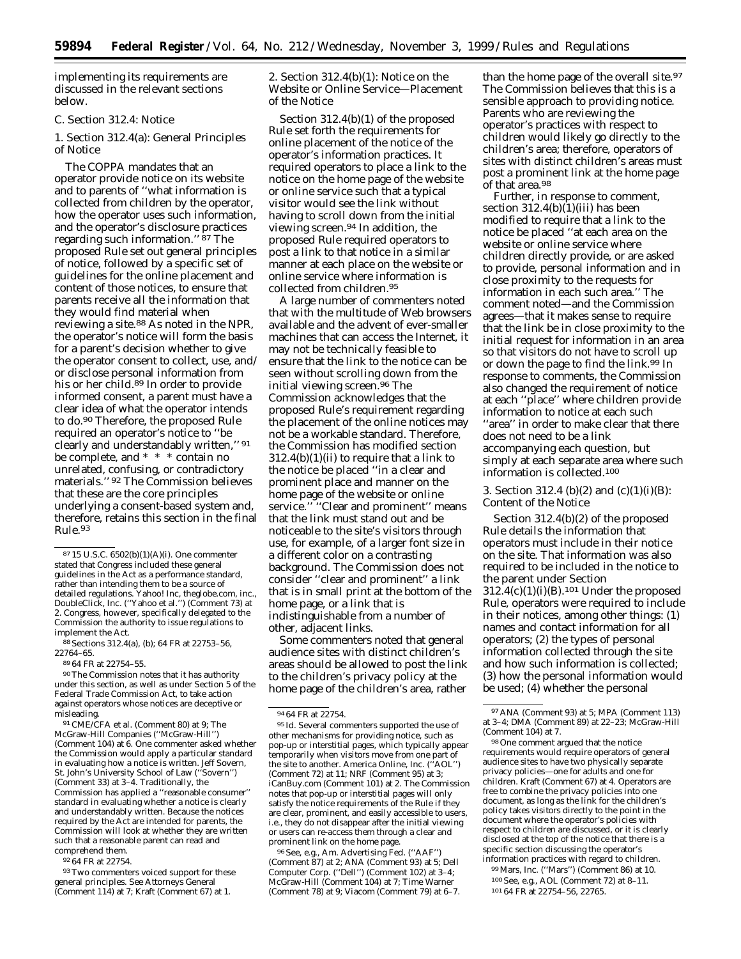implementing its requirements are discussed in the relevant sections below.

# *C. Section 312.4: Notice*

1. Section 312.4(a): General Principles of Notice

The COPPA mandates that an operator provide notice on its website and to parents of ''what information is collected from children by the operator, how the operator uses such information, and the operator's disclosure practices regarding such information." 87 The proposed Rule set out general principles of notice, followed by a specific set of guidelines for the online placement and content of those notices, to ensure that parents receive all the information that they would find material when reviewing a site.88 As noted in the NPR, the operator's notice will form the basis for a parent's decision whether to give the operator consent to collect, use, and/ or disclose personal information from his or her child.89 In order to provide informed consent, a parent must have a clear idea of what the operator intends to do.90 Therefore, the proposed Rule required an operator's notice to ''be clearly and understandably written,'' 91 be complete, and \* \* \* contain no unrelated, confusing, or contradictory materials.'' 92 The Commission believes that these are the core principles underlying a consent-based system and, therefore, retains this section in the final Rule.93

88Sections 312.4(a), (b); 64 FR at 22753–56, 22764–65.

89 64 FR at 22754–55.

90The Commission notes that it has authority under this section, as well as under Section 5 of the Federal Trade Commission Act, to take action against operators whose notices are deceptive or misleading.

91CME/CFA et al. (Comment 80) at 9; The McGraw-Hill Companies (''McGraw-Hill'') (Comment 104) at 6. One commenter asked whether the Commission would apply a particular standard in evaluating how a notice is written. Jeff Sovern, St. John's University School of Law (''Sovern'') (Comment 33) at 3–4. Traditionally, the Commission has applied a ''reasonable consumer'' standard in evaluating whether a notice is clearly and understandably written. Because the notices required by the Act are intended for parents, the Commission will look at whether they are written such that a reasonable parent can read and comprehend them.

92 64 FR at 22754.

<sup>93</sup>Two commenters voiced support for these general principles. *See* Attorneys General (Comment 114) at 7; Kraft (Comment 67) at 1.

2. Section 312.4(b)(1): Notice on the Website or Online Service—Placement of the Notice

Section 312.4(b)(1) of the proposed Rule set forth the requirements for online placement of the notice of the operator's information practices. It required operators to place a link to the notice on the home page of the website or online service such that a typical visitor would see the link without having to scroll down from the initial viewing screen.94 In addition, the proposed Rule required operators to post a link to that notice in a similar manner at each place on the website or online service where information is collected from children.95

A large number of commenters noted that with the multitude of Web browsers available and the advent of ever-smaller machines that can access the Internet, it may not be technically feasible to ensure that the link to the notice can be seen without scrolling down from the initial viewing screen.96 The Commission acknowledges that the proposed Rule's requirement regarding the placement of the online notices may not be a workable standard. Therefore, the Commission has modified section  $312.4(b)(1)(ii)$  to require that a link to the notice be placed ''in a clear and prominent place and manner on the home page of the website or online service." "Clear and prominent" means that the link must stand out and be noticeable to the site's visitors through use, for example, of a larger font size in a different color on a contrasting background. The Commission does not consider ''clear and prominent'' a link that is in small print at the bottom of the home page, or a link that is indistinguishable from a number of other, adjacent links.

Some commenters noted that general audience sites with distinct children's areas should be allowed to post the link to the children's privacy policy at the home page of the children's area, rather

96*See, e.g.,* Am. Advertising Fed. (''AAF'') (Comment 87) at 2; ANA (Comment 93) at 5; Dell Computer Corp. (''Dell'') (Comment 102) at 3–4; McGraw-Hill (Comment 104) at 7; Time Warner (Comment 78) at 9; Viacom (Comment 79) at 6–7.

than the home page of the overall site.97 The Commission believes that this is a sensible approach to providing notice. Parents who are reviewing the operator's practices with respect to children would likely go directly to the children's area; therefore, operators of sites with distinct children's areas must post a prominent link at the home page of that area.98

Further, in response to comment, section  $312.4(b)(1)(iii)$  has been modified to require that a link to the notice be placed ''at each area on the website or online service where children directly provide, or are asked to provide, personal information and in close proximity to the requests for information in each such area.'' The comment noted—and the Commission agrees—that it makes sense to require that the link be in close proximity to the initial request for information in an area so that visitors do not have to scroll up or down the page to find the link.99 In response to comments, the Commission also changed the requirement of notice at each ''place'' where children provide information to notice at each such ''area'' in order to make clear that there does not need to be a link accompanying each question, but simply at each separate area where such information is collected.100

3. Section 312.4 (b)(2) and (c)(1)(i)(B): Content of the Notice

Section 312.4(b)(2) of the proposed Rule details the information that operators must include in their notice on the site. That information was also required to be included in the notice to the parent under Section  $312.4(c)(1)(i)(B).<sup>101</sup> Under the proposed$ Rule, operators were required to include in their notices, among other things: (1) names and contact information for all operators; (2) the types of personal information collected through the site and how such information is collected; (3) how the personal information would be used; (4) whether the personal

98One comment argued that the notice requirements would require operators of general audience sites to have two physically separate privacy policies—one for adults and one for children. Kraft (Comment 67) at 4. Operators are free to combine the privacy policies into one document, as long as the link for the children's policy takes visitors directly to the point in the document where the operator's policies with respect to children are discussed, or it is clearly disclosed at the top of the notice that there is a specific section discussing the operator's information practices with regard to children.

99Mars, Inc. (''Mars'') (Comment 86) at 10. 100*See, e.g.,* AOL (Comment 72) at 8–11. 101 64 FR at 22754–56, 22765.

<sup>87</sup> 15 U.S.C. 6502(b)(1)(A)(i). One commenter stated that Congress included these general guidelines in the Act as a performance standard, rather than intending them to be a source of detailed regulations. Yahoo! Inc, theglobe.com, inc., DoubleClick, Inc. (''Yahoo et al.'') (Comment 73) at 2. Congress, however, specifically delegated to the Commission the authority to issue regulations to implement the Act.

<sup>94</sup> 64 FR at 22754.

<sup>95</sup> *Id.* Several commenters supported the use of other mechanisms for providing notice, such as pop-up or interstitial pages, which typically appear temporarily when visitors move from one part of the site to another. America Online, Inc. (''AOL'') (Comment 72) at 11; NRF (Comment 95) at 3; iCanBuy.com (Comment 101) at 2. The Commission notes that pop-up or interstitial pages will only satisfy the notice requirements of the Rule if they are clear, prominent, and easily accessible to users, *i.e.,* they do not disappear after the initial viewing or users can re-access them through a clear and prominent link on the home page.

<sup>97</sup>ANA (Comment 93) at 5; MPA (Comment 113) at 3–4; DMA (Comment 89) at 22–23; McGraw-Hill (Comment 104) at 7.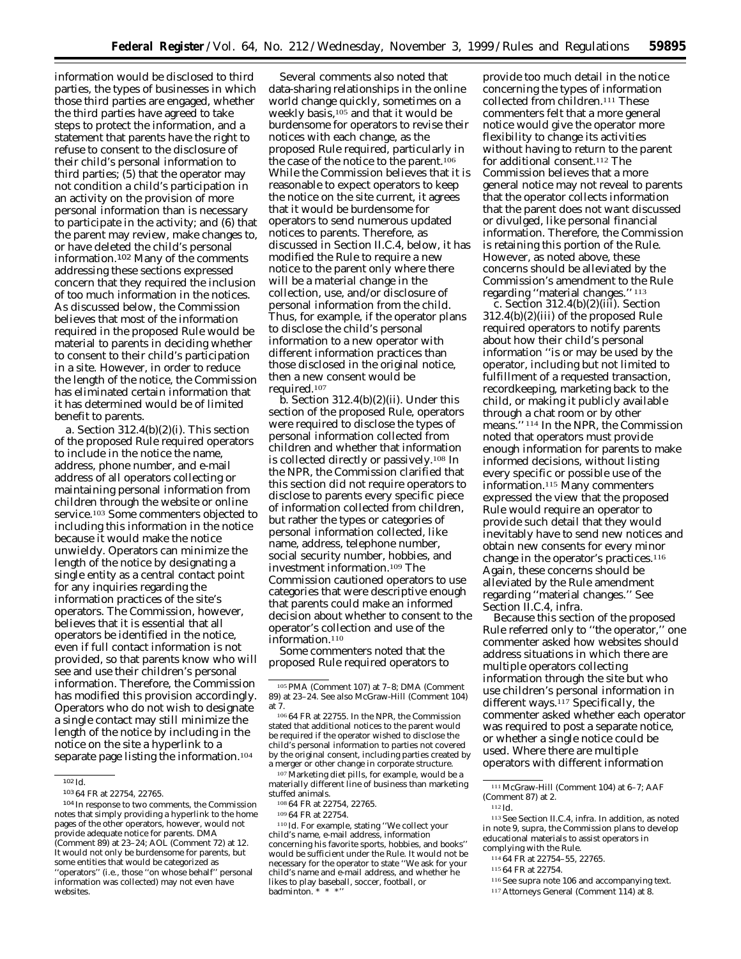information would be disclosed to third parties, the types of businesses in which those third parties are engaged, whether the third parties have agreed to take steps to protect the information, and a statement that parents have the right to refuse to consent to the disclosure of their child's personal information to third parties; (5) that the operator may not condition a child's participation in an activity on the provision of more personal information than is necessary to participate in the activity; and (6) that the parent may review, make changes to, or have deleted the child's personal information.102 Many of the comments addressing these sections expressed concern that they required the inclusion of too much information in the notices. As discussed below, the Commission believes that most of the information required in the proposed Rule would be material to parents in deciding whether to consent to their child's participation in a site. However, in order to reduce the length of the notice, the Commission has eliminated certain information that it has determined would be of limited benefit to parents.

*a. Section 312.4(b)(2)(i).* This section of the proposed Rule required operators to include in the notice the name, address, phone number, and e-mail address of all operators collecting or maintaining personal information from children through the website or online service.103 Some commenters objected to including this information in the notice because it would make the notice unwieldy. Operators can minimize the length of the notice by designating a single entity as a central contact point for any inquiries regarding the information practices of the site's operators. The Commission, however, believes that it is essential that all operators be identified in the notice, even if full contact information is not provided, so that parents know who will see and use their children's personal information. Therefore, the Commission has modified this provision accordingly. Operators who do not wish to designate a single contact may still minimize the length of the notice by including in the notice on the site a hyperlink to a separate page listing the information.<sup>104</sup>

Several comments also noted that data-sharing relationships in the online world change quickly, sometimes on a weekly basis,105 and that it would be burdensome for operators to revise their notices with each change, as the proposed Rule required, particularly in the case of the notice to the parent.106 While the Commission believes that it is reasonable to expect operators to keep the notice on the site current, it agrees that it would be burdensome for operators to send numerous updated notices to parents. Therefore, as discussed in Section II.C.4, below, it has modified the Rule to require a new notice to the parent only where there will be a *material change* in the collection, use, and/or disclosure of personal information from the child. Thus, for example, if the operator plans to disclose the child's personal information to a new operator with different information practices than those disclosed in the original notice, then a new consent would be required.107

*b. Section 312.4(b)(2)(ii).* Under this section of the proposed Rule, operators were required to disclose the types of personal information collected from children and whether that information is collected directly or passively.108 In the NPR, the Commission clarified that this section did not require operators to disclose to parents every specific piece of information collected from children, but rather the *types* or *categories* of personal information collected, like name, address, telephone number, social security number, hobbies, and investment information.109 The Commission cautioned operators to use categories that were descriptive enough that parents could make an informed decision about whether to consent to the operator's collection and use of the information.<sup>110</sup>

Some commenters noted that the proposed Rule required operators to

107Marketing diet pills, for example, would be a materially different line of business than marketing stuffed animals.

109 64 FR at 22754.

110 *Id.* For example, stating ''We collect your child's name, e-mail address, information concerning his favorite sports, hobbies, and books'' would be sufficient under the Rule. It would not be necessary for the operator to state ''We ask for your child's name and e-mail address, and whether he likes to play baseball, soccer, football, or badminton.<sup>\*</sup>

provide too much detail in the notice concerning the types of information collected from children.111 These commenters felt that a more general notice would give the operator more flexibility to change its activities without having to return to the parent for additional consent.112 The Commission believes that a more general notice may not reveal to parents that the operator collects information that the parent does not want discussed or divulged, like personal financial information. Therefore, the Commission is retaining this portion of the Rule. However, as noted above, these concerns should be alleviated by the Commission's amendment to the Rule regarding ''material changes.'' 113

*c. Section 312.4(b)(2)(iii).* Section 312.4(b)(2)(iii) of the proposed Rule required operators to notify parents about how their child's personal information ''is or may be used by the operator, including but not limited to fulfillment of a requested transaction, recordkeeping, marketing back to the child, or making it publicly available through a chat room or by other means.'' 114 In the NPR, the Commission noted that operators must provide enough information for parents to make informed decisions, without listing every specific or possible use of the information.115 Many commenters expressed the view that the proposed Rule would require an operator to provide such detail that they would inevitably have to send new notices and obtain new consents for every minor change in the operator's practices.<sup>116</sup> Again, these concerns should be alleviated by the Rule amendment regarding ''material changes.'' *See* Section II.C.4, *infra.*

Because this section of the proposed Rule referred only to ''the operator,'' one commenter asked how websites should address situations in which there are multiple operators collecting information through the site but who use children's personal information in different ways.117 Specifically, the commenter asked whether each operator was required to post a separate notice, or whether a single notice could be used. Where there are multiple operators with different information

- 113*See* Section II.C.4, *infra.* In addition, as noted in note 9, *supra*, the Commission plans to develop educational materials to assist operators in complying with the Rule.
	- 114 64 FR at 22754–55, 22765.
	- 115 64 FR at 22754.
- 
- 116*See supra* note 106 and accompanying text.
- 117Attorneys General (Comment 114) at 8.

<sup>102</sup> *Id.*

<sup>103</sup> 64 FR at 22754, 22765.

<sup>104</sup> In response to two comments, the Commission notes that simply providing a hyperlink to the home pages of the other operators, however, would not provide adequate notice for parents. DMA (Comment 89) at 23–24; AOL (Comment 72) at 12. It would not only be burdensome for parents, but some entities that would be categorized as ''operators'' (*i.e.*, those ''on whose behalf'' personal information was collected) may not even have websites.

<sup>105</sup>PMA (Comment 107) at 7–8; DMA (Comment 89) at 23–24. *See also* McGraw-Hill (Comment 104) at 7.

<sup>106</sup> 64 FR at 22755. In the NPR, the Commission stated that additional notices to the parent would be required if the operator wished to disclose the child's personal information to parties not covered by the original consent, including parties created by a merger or other change in corporate structure.

<sup>108</sup> 64 FR at 22754, 22765.

<sup>111</sup>McGraw-Hill (Comment 104) at 6–7; AAF (Comment 87) at 2.

<sup>112</sup> *Id.*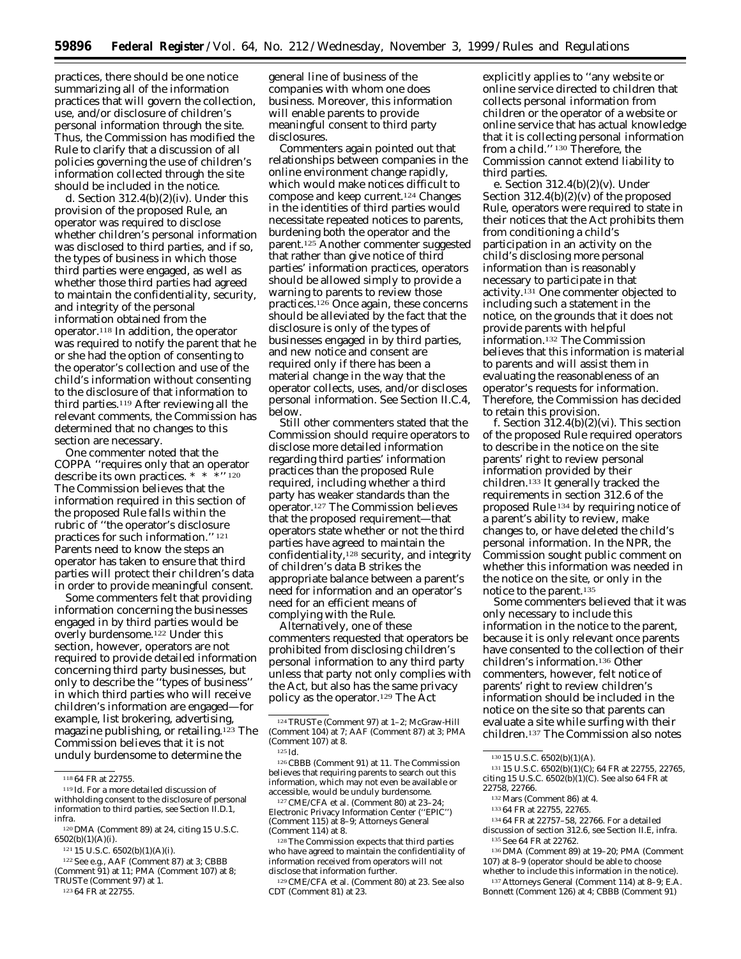practices, there should be one notice summarizing all of the information practices that will govern the collection, use, and/or disclosure of children's personal information through the site. Thus, the Commission has modified the Rule to clarify that a discussion of all policies governing the use of children's information collected through the site should be included in the notice.

*d. Section 312.4(b)(2)(iv).* Under this provision of the proposed Rule, an operator was required to disclose whether children's personal information was disclosed to third parties, and if so, the types of business in which those third parties were engaged, as well as whether those third parties had agreed to maintain the confidentiality, security, and integrity of the personal information obtained from the operator.118 In addition, the operator was required to notify the parent that he or she had the option of consenting to the operator's collection and use of the child's information without consenting to the disclosure of that information to third parties.119 After reviewing all the relevant comments, the Commission has determined that no changes to this section are necessary.

One commenter noted that the COPPA ''requires only that an operator describe its own practices. \* \* \*'' 120 The Commission believes that the information required in this section of the proposed Rule falls within the rubric of ''the operator's disclosure practices for such information.'' 121 Parents need to know the steps an operator has taken to ensure that third parties will protect their children's data in order to provide meaningful consent.

Some commenters felt that providing information concerning the businesses engaged in by third parties would be overly burdensome.122 Under this section, however, operators are not required to provide detailed information concerning third party businesses, but only to describe the ''*types* of business'' in which third parties who will receive children's information are engaged—for example, list brokering, advertising, magazine publishing, or retailing.<sup>123</sup> The Commission believes that it is not unduly burdensome to determine the

123 64 FR at 22755.

general line of business of the companies with whom one does business. Moreover, this information will enable parents to provide meaningful consent to third party disclosures.

Commenters again pointed out that relationships between companies in the online environment change rapidly, which would make notices difficult to compose and keep current.124 Changes in the identities of third parties would necessitate repeated notices to parents, burdening both the operator and the parent.125 Another commenter suggested that rather than give notice of third parties' information practices, operators should be allowed simply to provide a warning to parents to review those practices.126 Once again, these concerns should be alleviated by the fact that the disclosure is only of the *types* of businesses engaged in by third parties, and new notice and consent are required only if there has been a material change in the way that the operator collects, uses, and/or discloses personal information. *See* Section II.C.4, below.

Still other commenters stated that the Commission should require operators to disclose more detailed information regarding third parties' information practices than the proposed Rule required, including whether a third party has weaker standards than the operator.127 The Commission believes that the proposed requirement—that operators state whether or not the third parties have agreed to maintain the confidentiality,128 security, and integrity of children's data B strikes the appropriate balance between a parent's need for information and an operator's need for an efficient means of complying with the Rule.

Alternatively, one of these commenters requested that operators be prohibited from disclosing children's personal information to any third party unless that party not only complies with the Act, but also has the same privacy policy as the operator.129 The Act

126CBBB (Comment 91) at 11. The Commission believes that requiring parents to search out this information, which may not even be available or accessible, would be unduly burdensome.

127CME/CFA et al. (Comment 80) at 23–24; Electronic Privacy Information Center (''EPIC'') (Comment 115) at 8–9; Attorneys General (Comment 114) at 8.

128The Commission expects that third parties who have agreed to maintain the confidentiality of information received from operators will not disclose that information further.

129CME/CFA et al. (Comment 80) at 23. *See also* CDT (Comment 81) at 23.

explicitly applies to ''any website or online service directed to children that collects personal information from children or the operator of a website or online service that has actual knowledge that it is collecting personal information from a child.'' 130 Therefore, the Commission cannot extend liability to third parties.

*e. Section 312.4(b)(2)(v).* Under Section  $312.4(b)(2)(v)$  of the proposed Rule, operators were required to state in their notices that the Act prohibits them from conditioning a child's participation in an activity on the child's disclosing more personal information than is reasonably necessary to participate in that activity.<sup>131</sup> One commenter objected to including such a statement in the notice, on the grounds that it does not provide parents with helpful information.132 The Commission believes that this information is material to parents and will assist them in evaluating the reasonableness of an operator's requests for information. Therefore, the Commission has decided to retain this provision.

*f. Section 312.4(b)(2)(vi).* This section of the proposed Rule required operators to describe in the notice on the site parents' right to review personal information provided by their children.133 It generally tracked the requirements in section 312.6 of the proposed Rule 134 by requiring notice of a parent's ability to review, make changes to, or have deleted the child's personal information. In the NPR, the Commission sought public comment on whether this information was needed in the notice on the site, or only in the notice to the parent.135

Some commenters believed that it was only necessary to include this information in the notice to the parent, because it is only relevant once parents have consented to the collection of their children's information.136 Other commenters, however, felt notice of parents' right to review children's information should be included in the notice on the site so that parents can evaluate a site while surfing with their children.137 The Commission also notes

- 131 15 U.S.C. 6502(b)(1)(C); 64 FR at 22755, 22765, citing 15 U.S.C. 6502(b)(1)(C). *See also* 64 FR at 22758, 22766.
- 132Mars (Comment 86) at 4.
- 133 64 FR at 22755, 22765.
- 134 64 FR at 22757–58, 22766. For a detailed discussion of section 312.6, *see* Section II.E, *infra.*
- 135*See* 64 FR at 22762.
- 

136 DMA (Comment 89) at 19–20; PMA (Comment 107) at 8–9 (operator should be able to choose whether to include this information in the notice).

<sup>118</sup> 64 FR at 22755.

<sup>119</sup> *Id.* For a more detailed discussion of withholding consent to the disclosure of personal information to third parties, *see* Section II.D.1, *infra.*

<sup>120</sup> DMA (Comment 89) at 24, citing 15 U.S.C. 6502(b)(1)(A)(i).

<sup>121</sup> 15 U.S.C. 6502(b)(1)(A)(i).

<sup>122</sup>*See e.g.,* AAF (Comment 87) at 3; CBBB (Comment 91) at 11; PMA (Comment 107) at 8; TRUSTe (Comment 97) at 1.

<sup>124</sup>TRUSTe (Comment 97) at 1–2; McGraw-Hill (Comment 104) at 7; AAF (Comment 87) at 3; PMA (Comment 107) at 8.

<sup>125</sup> *Id.*

<sup>130</sup> 15 U.S.C. 6502(b)(1)(A).

<sup>137</sup>Attorneys General (Comment 114) at 8–9; E.A. Bonnett (Comment 126) at 4; CBBB (Comment 91)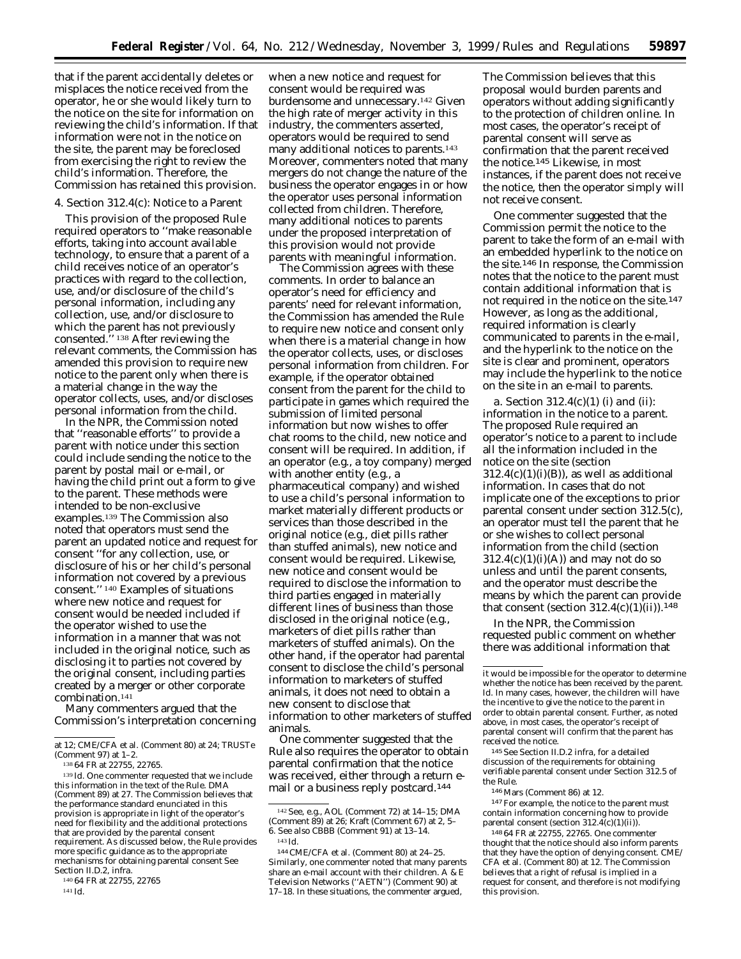that if the parent accidentally deletes or misplaces the notice received from the operator, he or she would likely turn to the notice on the site for information on reviewing the child's information. If that information were not in the notice on the site, the parent may be foreclosed from exercising the right to review the child's information. Therefore, the Commission has retained this provision.

#### 4. Section 312.4(c): Notice to a Parent

This provision of the proposed Rule required operators to ''make reasonable efforts, taking into account available technology, to ensure that a parent of a child receives notice of an operator's practices with regard to the collection, use, and/or disclosure of the child's personal information, including any collection, use, and/or disclosure to which the parent has not previously consented.'' 138 After reviewing the relevant comments, the Commission has amended this provision to require new notice to the parent only when there is a material change in the way the operator collects, uses, and/or discloses personal information from the child.

In the NPR, the Commission noted that ''reasonable efforts'' to provide a parent with notice under this section could include sending the notice to the parent by postal mail or e-mail, or having the child print out a form to give to the parent. These methods were intended to be non-exclusive examples.139 The Commission also noted that operators must send the parent an updated notice and request for consent ''for any collection, use, or disclosure of his or her child's personal information not covered by a previous consent.'' 140 Examples of situations where new notice and request for consent would be needed included if the operator wished to use the information in a manner that was not included in the original notice, such as disclosing it to parties not covered by the original consent, including parties created by a merger or other corporate combination.141

Many commenters argued that the Commission's interpretation concerning

when a new notice and request for consent would be required was burdensome and unnecessary.142 Given the high rate of merger activity in this industry, the commenters asserted, operators would be required to send many additional notices to parents.<sup>143</sup> Moreover, commenters noted that many mergers do not change the nature of the business the operator engages in or how the operator uses personal information collected from children. Therefore, many additional notices to parents under the proposed interpretation of this provision would not provide parents with meaningful information.

The Commission agrees with these comments. In order to balance an operator's need for efficiency and parents' need for relevant information, the Commission has amended the Rule to require new notice and consent only when there is a *material change* in how the operator collects, uses, or discloses personal information from children. For example, if the operator obtained consent from the parent for the child to participate in games which required the submission of limited personal information but now wishes to offer chat rooms to the child, new notice and consent will be required. In addition, if an operator (*e.g.*, a toy company) merged with another entity (*e.g.*, a pharmaceutical company) and wished to use a child's personal information to market materially different products or services than those described in the original notice (*e.g.*, diet pills rather than stuffed animals), new notice and consent would be required. Likewise, new notice and consent would be required to disclose the information to third parties engaged in materially different lines of business than those disclosed in the original notice (*e.g.*, marketers of diet pills rather than marketers of stuffed animals). On the other hand, if the operator had parental consent to disclose the child's personal information to marketers of stuffed animals, it does not need to obtain a new consent to disclose that information to other marketers of stuffed animals.

One commenter suggested that the Rule also requires the operator to obtain parental confirmation that the notice was received, either through a return email or a business reply postcard.144

The Commission believes that this proposal would burden parents and operators without adding significantly to the protection of children online. In most cases, the operator's receipt of parental consent will serve as confirmation that the parent received the notice.145 Likewise, in most instances, if the parent does not receive the notice, then the operator simply will not receive consent.

One commenter suggested that the Commission permit the notice to the parent to take the form of an e-mail with an embedded hyperlink to the notice on the site.146 In response, the Commission notes that the notice to the parent must contain additional information that is not required in the notice on the site.147 However, as long as the additional, required information is clearly communicated to parents in the e-mail, and the hyperlink to the notice on the site is clear and prominent, operators may include the hyperlink to the notice on the site in an e-mail to parents.

*a. Section 312.4(c)(1) (i) and (ii): information in the notice to a parent.* The proposed Rule required an operator's notice to a parent to include all the information included in the notice on the site (section  $312.4(c)(1)(i)(B)$ , as well as additional information. In cases that do not implicate one of the exceptions to prior parental consent under section 312.5(c), an operator must tell the parent that he or she wishes to collect personal information from the child (section  $312.4(c)(1)(i)(A))$  and may not do so unless and until the parent consents, and the operator must describe the means by which the parent can provide that consent (section  $312.4(c)(1)(ii)$ ).<sup>148</sup>

In the NPR, the Commission requested public comment on whether there was additional information that

145*See* Section II.D.2 *infra,* for a detailed discussion of the requirements for obtaining verifiable parental consent under Section 312.5 of the Rule.

147For example, the notice to the parent must contain information concerning how to provide parental consent (section 312.4(c)(1)(ii)).

148 64 FR at 22755, 22765. One commenter thought that the notice should also inform parents that they have the option of denying consent. CME/ CFA et al. (Comment 80) at 12. The Commission believes that a right of refusal is implied in a request for consent, and therefore is not modifying this provision.

at 12; CME/CFA et al. (Comment 80) at 24; TRUSTe (Comment 97) at 1–2.

<sup>138</sup> 64 FR at 22755, 22765.

<sup>139</sup> *Id.* One commenter requested that we include this information in the text of the Rule. DMA (Comment 89) at 27. The Commission believes that the performance standard enunciated in this provision is appropriate in light of the operator's need for flexibility and the additional protections that are provided by the parental consent requirement. As discussed below, the Rule provides more specific guidance as to the appropriate mechanisms for obtaining parental consent *See* Section II.D.2, *infra.*

<sup>140</sup> 64 FR at 22755, 22765

<sup>141</sup> *Id.*

<sup>142</sup>*See, e.g.,* AOL (Comment 72) at 14–15; DMA (Comment 89) at 26; Kraft (Comment 67) at 2, 5– 6. *See also* CBBB (Comment 91) at 13–14. 143 *Id.*

<sup>144</sup>CME/CFA et al. (Comment 80) at 24–25. Similarly, one commenter noted that many parents share an e-mail account with their children. A & E Television Networks (''AETN'') (Comment 90) at 17–18. In these situations, the commenter argued,

it would be impossible for the operator to determine whether the notice has been received by the parent. *Id.* In many cases, however, the children will have the incentive to give the notice to the parent in order to obtain parental consent. Further, as noted above, in most cases, the operator's receipt of parental consent will confirm that the parent has received the notice.

<sup>146</sup>Mars (Comment 86) at 12.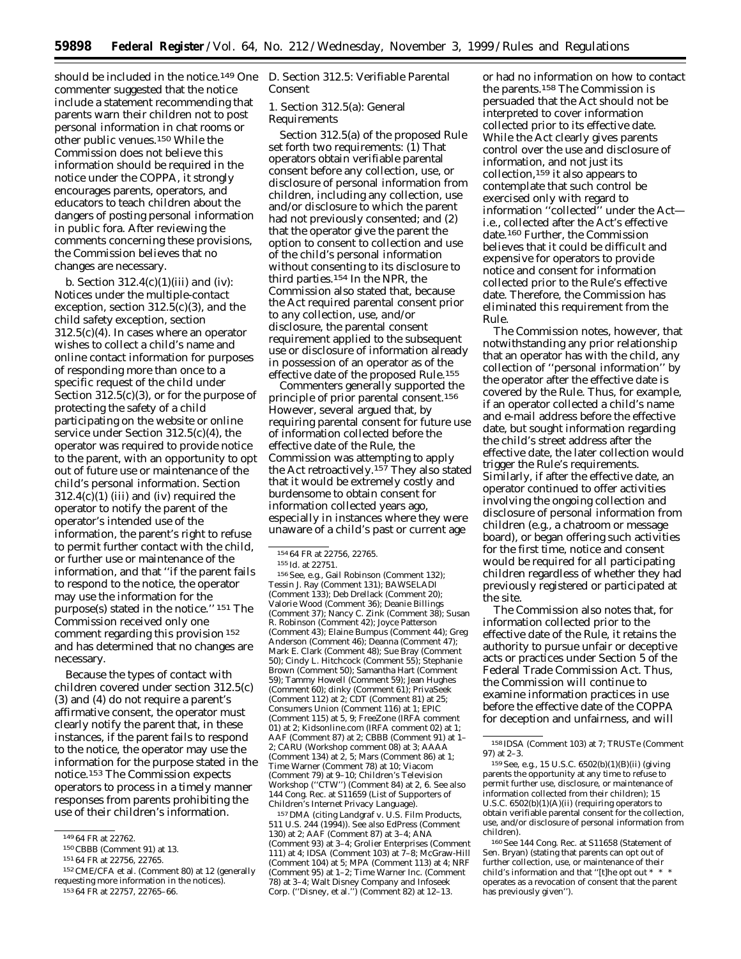should be included in the notice.149 One commenter suggested that the notice include a statement recommending that parents warn their children not to post personal information in chat rooms or other public venues.150 While the Commission does not believe this information should be required in the notice under the COPPA, it strongly encourages parents, operators, and educators to teach children about the dangers of posting personal information in public fora. After reviewing the comments concerning these provisions, the Commission believes that no changes are necessary.

*b. Section 312.4(c)(1)(iii) and (iv): Notices under the multiple-contact exception, section 312.5(c)(3), and the child safety exception, section 312.5(c)(4).* In cases where an operator wishes to collect a child's name and online contact information for purposes of responding more than once to a specific request of the child under Section 312.5(c)(3), or for the purpose of protecting the safety of a child participating on the website or online service under Section 312.5(c)(4), the operator was required to provide notice to the parent, with an opportunity to opt out of future use or maintenance of the child's personal information. Section  $312.4(c)(1)$  (iii) and (iv) required the operator to notify the parent of the operator's intended use of the information, the parent's right to refuse to permit further contact with the child, or further use or maintenance of the information, and that ''if the parent fails to respond to the notice, the operator may use the information for the purpose(s) stated in the notice.'' 151 The Commission received only one comment regarding this provision 152 and has determined that no changes are necessary.

Because the types of contact with children covered under section 312.5(c) (3) and (4) do not require a parent's affirmative consent, the operator must clearly notify the parent that, in these instances, if the parent fails to respond to the notice, the operator may use the information for the purpose stated in the notice.153 The Commission expects operators to process in a timely manner responses from parents prohibiting the use of their children's information.

# *D. Section 312.5: Verifiable Parental Consent*

## 1. Section 312.5(a): General Requirements

Section 312.5(a) of the proposed Rule set forth two requirements: (1) That operators obtain verifiable parental consent before any collection, use, or disclosure of personal information from children, including any collection, use and/or disclosure to which the parent had not previously consented; and (2) that the operator give the parent the option to consent to collection and use of the child's personal information without consenting to its disclosure to third parties.154 In the NPR, the Commission also stated that, because the Act required parental consent *prior to any* collection, use, *and/or* disclosure, the parental consent requirement applied to the subsequent use or disclosure of information already in possession of an operator as of the effective date of the proposed Rule.155

Commenters generally supported the principle of prior parental consent.156 However, several argued that, by requiring parental consent for future use of information collected before the effective date of the Rule, the Commission was attempting to apply the Act retroactively.157 They also stated that it would be extremely costly and burdensome to obtain consent for information collected years ago, especially in instances where they were unaware of a child's past or current age

156*See, e.g.,* Gail Robinson (Comment 132); Tessin J. Ray (Comment 131); BAWSELADI (Comment 133); Deb Drellack (Comment 20); Valorie Wood (Comment 36); Deanie Billings (Comment 37); Nancy C. Zink (Comment 38); Susan R. Robinson (Comment 42); Joyce Patterson (Comment 43); Elaine Bumpus (Comment 44); Greg Anderson (Comment 46); Deanna (Comment 47); Mark E. Clark (Comment 48); Sue Bray (Comment 50); Cindy L. Hitchcock (Comment 55); Stephanie Brown (Comment 50); Samantha Hart (Comment 59); Tammy Howell (Comment 59); Jean Hughes (Comment 60); dinky (Comment 61); PrivaSeek (Comment 112) at 2; CDT (Comment 81) at 25; Consumers Union (Comment 116) at 1; EPIC (Comment 115) at 5, 9; FreeZone (IRFA comment 01) at 2; Kidsonline.com (IRFA comment 02) at 1; AAF (Comment 87) at 2; CBBB (Comment 91) at 1– 2; CARU (Workshop comment 08) at 3; AAAA (Comment 134) at 2, 5; Mars (Comment 86) at 1; Time Warner (Comment 78) at 10; Viacom (Comment 79) at 9–10; Children's Television Workshop (''CTW'') (Comment 84) at 2, 6. *See also* 144 Cong. Rec. at S11659 (List of Supporters of Children's Internet Privacy Language).

157 DMA (*citing Landgraf* v. *U.S. Film Products,* 511 U.S. 244 (1994)). *See also* EdPress (Comment 130) at 2; AAF (Comment 87) at 3–4; ANA (Comment 93) at 3–4; Grolier Enterprises (Comment 111) at 4; IDSA (Comment 103) at  $7-8$ ; McGraw-Hill (Comment 104) at 5; MPA (Comment 113) at 4; NRF (Comment 95) at 1–2; Time Warner Inc. (Comment 78) at 3–4; Walt Disney Company and Infoseek Corp. (''Disney, et al.'') (Comment 82) at 12–13.

or had no information on how to contact the parents.158 The Commission is persuaded that the Act should not be interpreted to cover information collected prior to its effective date. While the Act clearly gives parents control over the use and disclosure of information, and not just its collection,159 it also appears to contemplate that such control be exercised only with regard to information ''collected'' under the Act *i.e.,* collected after the Act's effective date.160 Further, the Commission believes that it could be difficult and expensive for operators to provide notice and consent for information collected prior to the Rule's effective date. Therefore, the Commission has eliminated this requirement from the Rule.

The Commission notes, however, that notwithstanding any prior relationship that an operator has with the child, any collection of ''personal information'' by the operator after the effective date is covered by the Rule. Thus, for example, if an operator collected a child's name and e-mail address before the effective date, but sought information regarding the child's street address after the effective date, the later collection would trigger the Rule's requirements. Similarly, if after the effective date, an operator continued to offer activities involving the ongoing collection and disclosure of personal information from children (*e.g.,* a chatroom or message board), or began offering such activities for the first time, notice and consent would be required for all participating children regardless of whether they had previously registered or participated at the site.

The Commission also notes that, for information collected prior to the effective date of the Rule, it retains the authority to pursue unfair or deceptive acts or practices under Section 5 of the Federal Trade Commission Act. Thus, the Commission will continue to examine information practices in use before the effective date of the COPPA for deception and unfairness, and will

<sup>149</sup> 64 FR at 22762.

<sup>150</sup>CBBB (Comment 91) at 13.

<sup>151</sup> 64 FR at 22756, 22765.

<sup>152</sup>CME/CFA et al. (Comment 80) at 12 (generally requesting more information in the notices).

<sup>153</sup> 64 FR at 22757, 22765–66.

<sup>154</sup> 64 FR at 22756, 22765.

<sup>155</sup> *Id.* at 22751.

<sup>158</sup> IDSA (Comment 103) at 7; TRUSTe (Comment 97) at 2–3.

<sup>159</sup>*See, e.g.,* 15 U.S.C. 6502(b)(1)(B)(ii) (giving parents the opportunity at any time to refuse to permit further use, disclosure, or maintenance of information collected from their children); 15 U.S.C. 6502(b)(1)(A)(ii) (requiring operators to obtain verifiable parental consent for the collection, use, and/or disclosure of personal information from children).

<sup>160</sup>*See* 144 Cong. Rec. at S11658 (Statement of Sen. Bryan) (stating that parents can opt out of further collection, use, or maintenance of their child's information and that ''[t]he opt out \* \* \* operates as a revocation of consent that the parent has previously given'').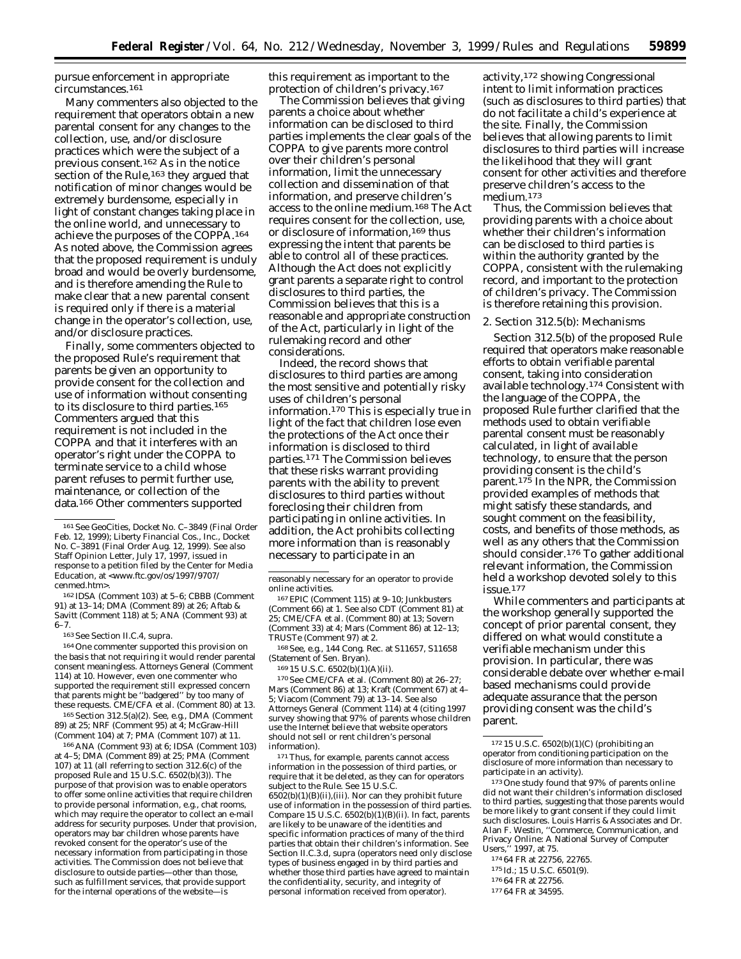pursue enforcement in appropriate circumstances.161

Many commenters also objected to the requirement that operators obtain a new parental consent for any changes to the collection, use, and/or disclosure practices which were the subject of a previous consent.162 As in the notice section of the Rule,<sup>163</sup> they argued that notification of minor changes would be extremely burdensome, especially in light of constant changes taking place in the online world, and unnecessary to achieve the purposes of the COPPA.164 As noted above, the Commission agrees that the proposed requirement is unduly broad and would be overly burdensome, and is therefore amending the Rule to make clear that a new parental consent is required only if there is a material change in the operator's collection, use, and/or disclosure practices.

Finally, some commenters objected to the proposed Rule's requirement that parents be given an opportunity to provide consent for the collection and use of information without consenting to its disclosure to third parties.165 Commenters argued that this requirement is not included in the COPPA and that it interferes with an operator's right under the COPPA to terminate service to a child whose parent refuses to permit further use, maintenance, or collection of the data.166 Other commenters supported

162 IDSA (Comment 103) at 5–6; CBBB (Comment 91) at 13–14; DMA (Comment 89) at 26; Aftab & Savitt (Comment 118) at 5; ANA (Comment 93) at  $6 - 7.$ 

163*See* Section II.C.4, *supra.*

164One commenter supported this provision on the basis that not requiring it would render parental consent meaningless. Attorneys General (Comment 114) at 10. However, even one commenter who supported the requirement still expressed concern that parents might be ''badgered'' by too many of these requests. CME/CFA et al. (Comment 80) at 13.

165Section 312.5(a)(2). *See, e.g.,* DMA (Comment 89) at 25; NRF (Comment 95) at 4; McGraw-Hill (Comment 104) at 7; PMA (Comment 107) at 11.

166ANA (Comment 93) at 6; IDSA (Comment 103) at 4–5; DMA (Comment 89) at 25; PMA (Comment 107) at 11 (all referring to section 312.6(c) of the proposed Rule and 15 U.S.C. 6502(b)(3)). The purpose of that provision was to enable operators to offer some online activities that require children to provide personal information, *e.g.,* chat rooms, which may require the operator to collect an e-mail address for security purposes. Under that provision, operators may bar children whose parents have revoked consent for the operator's use of the necessary information from participating in those activities. The Commission does not believe that disclosure to outside parties—other than those, such as fulfillment services, that provide support for the internal operations of the website—is

this requirement as important to the protection of children's privacy.167

The Commission believes that giving parents a choice about whether information can be disclosed to third parties implements the clear goals of the COPPA to give parents more control over their children's personal information, limit the unnecessary collection and dissemination of that information, and preserve children's access to the online medium.168 The Act requires consent for the collection, use, or disclosure of information,169 thus expressing the intent that parents be able to control all of these practices. Although the Act does not explicitly grant parents a separate right to control disclosures to third parties, the Commission believes that this is a reasonable and appropriate construction of the Act, particularly in light of the rulemaking record and other considerations.

Indeed, the record shows that disclosures to third parties are among the most sensitive and potentially risky uses of children's personal information.170 This is especially true in light of the fact that children lose even the protections of the Act once their information is disclosed to third parties.171 The Commission believes that these risks warrant providing parents with the ability to prevent disclosures to third parties without foreclosing their children from participating in online activities. In addition, the Act prohibits collecting more information than is reasonably necessary to participate in an

168*See, e.g.,* 144 Cong. Rec. at S11657, S11658 (Statement of Sen. Bryan).

169 15 U.S.C. 6502(b)(1)(A)(ii).

170*See* CME/CFA et al. (Comment 80) at 26–27; Mars (Comment 86) at 13; Kraft (Comment 67) at 4– 5; Viacom (Comment 79) at 13–14. *See also* Attorneys General (Comment 114) at 4 (*citing* 1997 survey showing that 97% of parents whose children use the Internet believe that website operators should not sell or rent children's personal information).

171Thus, for example, parents cannot access information in the possession of third parties, or require that it be deleted, as they can for operators subject to the Rule. *See* 15 U.S.C.  $6502(b)(1)(B)(ii)$ , (iii). Nor can they prohibit future use of information in the possession of third parties. *Compare* 15 U.S.C.  $6502(\hat{b})(1)(B)(ii)$ . In fact, parents are likely to be unaware of the identities and specific information practices of many of the third parties that obtain their children's information. *See* Section II.C.3.d, *supra* (operators need only disclose types of business engaged in by third parties and whether those third parties have agreed to maintain the confidentiality, security, and integrity of personal information received from operator).

activity,172 showing Congressional intent to limit information practices (such as disclosures to third parties) that do not facilitate a child's experience at the site. Finally, the Commission believes that allowing parents to limit disclosures to third parties will increase the likelihood that they will grant consent for other activities and therefore preserve children's access to the medium.173

Thus, the Commission believes that providing parents with a choice about whether their children's information can be disclosed to third parties is within the authority granted by the COPPA, consistent with the rulemaking record, and important to the protection of children's privacy. The Commission is therefore retaining this provision.

#### 2. Section 312.5(b): Mechanisms

Section 312.5(b) of the proposed Rule required that operators make reasonable efforts to obtain verifiable parental consent, taking into consideration available technology.174 Consistent with the language of the COPPA, the proposed Rule further clarified that the methods used to obtain verifiable parental consent must be reasonably calculated, in light of available technology, to ensure that the person providing consent is the child's parent.175 In the NPR, the Commission provided examples of methods that might satisfy these standards, and sought comment on the feasibility, costs, and benefits of those methods, as well as any others that the Commission should consider.176 To gather additional relevant information, the Commission held a workshop devoted solely to this issue.177

While commenters and participants at the workshop generally supported the concept of prior parental consent, they differed on what would constitute a verifiable mechanism under this provision. In particular, there was considerable debate over whether e-mail based mechanisms could provide adequate assurance that the person providing consent was the child's parent.

173One study found that 97% of parents online did not want their children's information disclosed to third parties, suggesting that those parents would be more likely to grant consent if they could limit such disclosures. Louis Harris & Associates and Dr. Alan F. Westin, ''Commerce, Communication, and Privacy Online: A National Survey of Computer Users,'' 1997, at 75.

- 174 64 FR at 22756, 22765.
- 175 *Id.*; 15 U.S.C. 6501(9).
- 176 64 FR at 22756.
- 177 64 FR at 34595.

<sup>161</sup>*See GeoCities,* Docket No. C–3849 (Final Order Feb. 12, 1999); *Liberty Financial Cos., Inc.,* Docket No. C–3891 (Final Order Aug. 12, 1999). *See also* Staff Opinion Letter, July 17, 1997, issued in response to a petition filed by the Center for Media Education, at <*www.ftc.gov/os/1997/9707/ cenmed.htm*>.

reasonably necessary for an operator to provide online activities.

<sup>167</sup>EPIC (Comment 115) at 9–10; Junkbusters (Comment 66) at 1. *See also* CDT (Comment 81) at 25; CME/CFA et al. (Comment 80) at 13; Sovern (Comment 33) at 4; Mars (Comment 86) at 12–13; TRUSTe (Comment 97) at 2.

<sup>172</sup> 15 U.S.C. 6502(b)(1)(C) (prohibiting an operator from conditioning participation on the disclosure of more information than necessary to participate in an activity).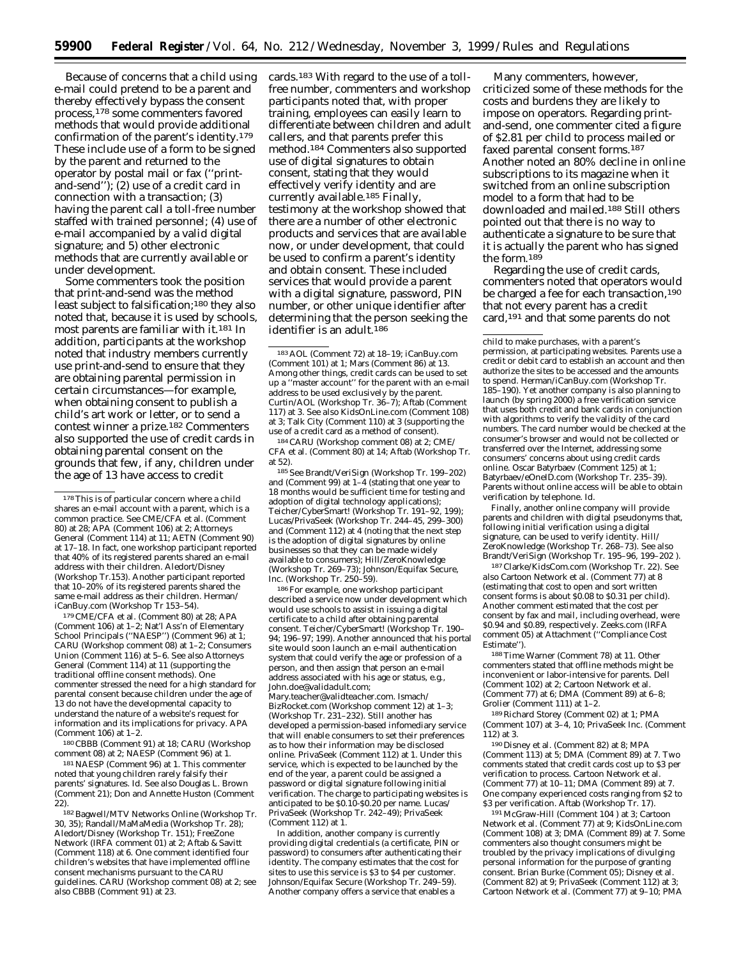Because of concerns that a child using e-mail could pretend to be a parent and thereby effectively bypass the consent process,178 some commenters favored methods that would provide additional confirmation of the parent's identity.179 These include use of a form to be signed by the parent and returned to the operator by postal mail or fax (''printand-send''); (2) use of a credit card in connection with a transaction; (3) having the parent call a toll-free number staffed with trained personnel; (4) use of e-mail accompanied by a valid digital signature; and 5) other electronic methods that are currently available or under development.

Some commenters took the position that print-and-send was the method least subject to falsification;180 they also noted that, because it is used by schools, most parents are familiar with it.181 In addition, participants at the workshop noted that industry members currently use print-and-send to ensure that they are obtaining parental permission in certain circumstances—for example, when obtaining consent to publish a child's art work or letter, or to send a contest winner a prize.182 Commenters also supported the use of credit cards in obtaining parental consent on the grounds that few, if any, children under the age of 13 have access to credit

179CME/CFA et al. (Comment 80) at 28; APA (Comment 106) at 1–2; Nat'l Ass'n of Elementary School Principals (''NAESP'') (Comment 96) at 1; CARU (Workshop comment 08) at 1–2; Consumers Union (Comment 116) at 5–6. *See also* Attorneys General (Comment 114) at 11 (supporting the traditional offline consent methods). One commenter stressed the need for a high standard for parental consent because children under the age of 13 do not have the developmental capacity to understand the nature of a website's request for information and its implications for privacy. APA (Comment 106) at 1–2.

180CBBB (Comment 91) at 18; CARU (Workshop comment 08) at 2; NAESP (Comment 96) at 1.

181NAESP (Comment 96) at 1. This commenter noted that young children rarely falsify their parents' signatures. *Id. See also* Douglas L. Brown (Comment 21); Don and Annette Huston (Comment 22).

182 Bagwell/MTV Networks Online (Workshop Tr. 30, 35); Randall/MaMaMedia (Workshop Tr. 28); Aledort/Disney (Workshop Tr. 151); FreeZone Network (IRFA comment 01) at 2; Aftab & Savitt (Comment 118) at 6. One comment identified four children's websites that have implemented offline consent mechanisms pursuant to the CARU guidelines. CARU (Workshop comment 08) at 2; *see also* CBBB (Comment 91) at 23.

cards.183 With regard to the use of a tollfree number, commenters and workshop participants noted that, with proper training, employees can easily learn to differentiate between children and adult callers, and that parents prefer this method.184 Commenters also supported use of digital signatures to obtain consent, stating that they would effectively verify identity and are currently available.185 Finally, testimony at the workshop showed that there are a number of other electronic products and services that are available now, or under development, that could be used to confirm a parent's identity and obtain consent. These included services that would provide a parent with a digital signature, password, PIN number, or other unique identifier after determining that the person seeking the identifier is an adult.<sup>186</sup>

184CARU (Workshop comment 08) at 2; CME/ CFA et al. (Comment 80) at 14; Aftab (Workshop Tr. at 52).

185*See* Brandt/VeriSign (Workshop Tr. 199–202) and (Comment 99) at 1–4 (stating that one year to 18 months would be sufficient time for testing and adoption of digital technology applications); Teicher/CyberSmart! (Workshop Tr. 191–92, 199); Lucas/PrivaSeek (Workshop Tr. 244–45, 299–300) and (Comment 112) at 4 (noting that the next step is the adoption of digital signatures by online businesses so that they can be made widely available to consumers); Hill/ZeroKnowledge (Workshop Tr. 269–73); Johnson/Equifax Secure, Inc. (Workshop Tr. 250–59).

186For example, one workshop participant described a service now under development which would use schools to assist in issuing a digital certificate to a child after obtaining parental consent. Teicher/CyberSmart! (Workshop Tr. 190– 94; 196–97; 199). Another announced that his portal site would soon launch an e-mail authentication system that could verify the age or profession of a person, and then assign that person an e-mail address associated with his age or status, *e.g., John.doe@validadult.com; Mary.teacher@validteacher.com.* Ismach/ BizRocket.com (Workshop comment 12) at 1–3; (Workshop Tr. 231–232). Still another has developed a permission-based infomediary service that will enable consumers to set their preferences as to how their information may be disclosed online. PrivaSeek (Comment 112) at 1. Under this service, which is expected to be launched by the end of the year, a parent could be assigned a password or digital signature following initial verification. The charge to participating websites is anticipated to be \$0.10-\$0.20 per name. Lucas/ PrivaSeek (Workshop Tr. 242–49); PrivaSeek (Comment 112) at 1.

In addition, another company is currently providing digital credentials (a certificate, PIN or password) to consumers after authenticating their identity. The company estimates that the cost for sites to use this service is \$3 to \$4 per customer. Johnson/Equifax Secure (Workshop Tr. 249–59). Another company offers a service that enables a

Many commenters, however, criticized some of these methods for the costs and burdens they are likely to impose on operators. Regarding printand-send, one commenter cited a figure of \$2.81 per child to process mailed or faxed parental consent forms.187 Another noted an 80% decline in online subscriptions to its magazine when it switched from an online subscription model to a form that had to be downloaded and mailed.188 Still others pointed out that there is no way to authenticate a signature to be sure that it is actually the parent who has signed the form.189

Regarding the use of credit cards, commenters noted that operators would be charged a fee for each transaction,<sup>190</sup> that not every parent has a credit card,191 and that some parents do not

child to make purchases, with a parent's permission, at participating websites. Parents use a credit or debit card to establish an account and then authorize the sites to be accessed and the amounts to spend. Herman/iCanBuy.com (Workshop Tr. 185–190). Yet another company is also planning to launch (by spring 2000) a free verification service that uses both credit and bank cards in conjunction with algorithms to verify the validity of the card numbers. The card number would be checked at the consumer's browser and would not be collected or transferred over the Internet, addressing some consumers' concerns about using credit cards online. Oscar Batyrbaev (Comment 125) at 1; Batyrbaev/eOneID.com (Workshop Tr. 235–39). Parents without online access will be able to obtain verification by telephone. *Id.*

Finally, another online company will provide parents and children with digital pseudonyms that, following initial verification using a digital signature, can be used to verify identity. Hill/ ZeroKnowledge (Workshop Tr. 268–73). *See also* Brandt/VeriSign (Workshop Tr. 195–96, 199–202 ).

187Clarke/KidsCom.com (Workshop Tr. 22). *See also* Cartoon Network et al. (Comment 77) at 8 (estimating that cost to open and sort written consent forms is about \$0.08 to \$0.31 per child). Another comment estimated that the cost per consent by fax and mail, including overhead, were \$0.94 and \$0.89, respectively. Zeeks.com (IRFA comment 05) at Attachment (''Compliance Cost Estimate'').

188Time Warner (Comment 78) at 11. Other commenters stated that offline methods might be inconvenient or labor-intensive for parents. Dell (Comment 102) at 2; Cartoon Network et al. (Comment 77) at 6; DMA (Comment 89) at 6–8; Grolier (Comment 111) at 1–2.

189Richard Storey (Comment 02) at 1; PMA (Comment 107) at 3–4, 10; PrivaSeek Inc. (Comment 112) at 3.

190 Disney et al. (Comment 82) at 8; MPA (Comment 113) at 5; DMA (Comment 89) at 7. Two comments stated that credit cards cost up to \$3 per verification to process. Cartoon Network et al. (Comment 77) at 10–11; DMA (Comment 89) at 7. One company experienced costs ranging from \$2 to \$3 per verification. Aftab (Workshop Tr. 17).

191McGraw-Hill (Comment 104 ) at 3; Cartoon Network et al. (Comment 77) at 9; KidsOnLine.com (Comment 108) at 3; DMA (Comment 89) at 7. Some commenters also thought consumers might be troubled by the privacy implications of divulging personal information for the purpose of granting consent. Brian Burke (Comment 05); Disney et al. (Comment 82) at 9; PrivaSeek (Comment 112) at 3; Cartoon Network et al. (Comment 77) at 9–10; PMA

<sup>178</sup>This is of particular concern where a child shares an e-mail account with a parent, which is a common practice. *See* CME/CFA et al. (Comment 80) at 28; APA (Comment 106) at 2; Attorneys General (Comment 114) at 11; AETN (Comment 90) at 17–18. In fact, one workshop participant reported that 40% of its registered parents shared an e-mail address with their children. Aledort/Disney (Workshop Tr.153). Another participant reported that 10–20% of its registered parents shared the same e-mail address as their children. Herman/ iCanBuy.com (Workshop Tr 153–54).

<sup>183</sup>AOL (Comment 72) at 18–19; iCanBuy.com (Comment 101) at 1; Mars (Comment 86) at 13. Among other things, credit cards can be used to set up a ''master account'' for the parent with an e-mail address to be used exclusively by the parent. Curtin/AOL (Workshop Tr. 36–7); Aftab (Comment 117) at 3. *See also* KidsOnLine.com (Comment 108) at 3; Talk City (Comment 110) at 3 (supporting the use of a credit card as a method of consent).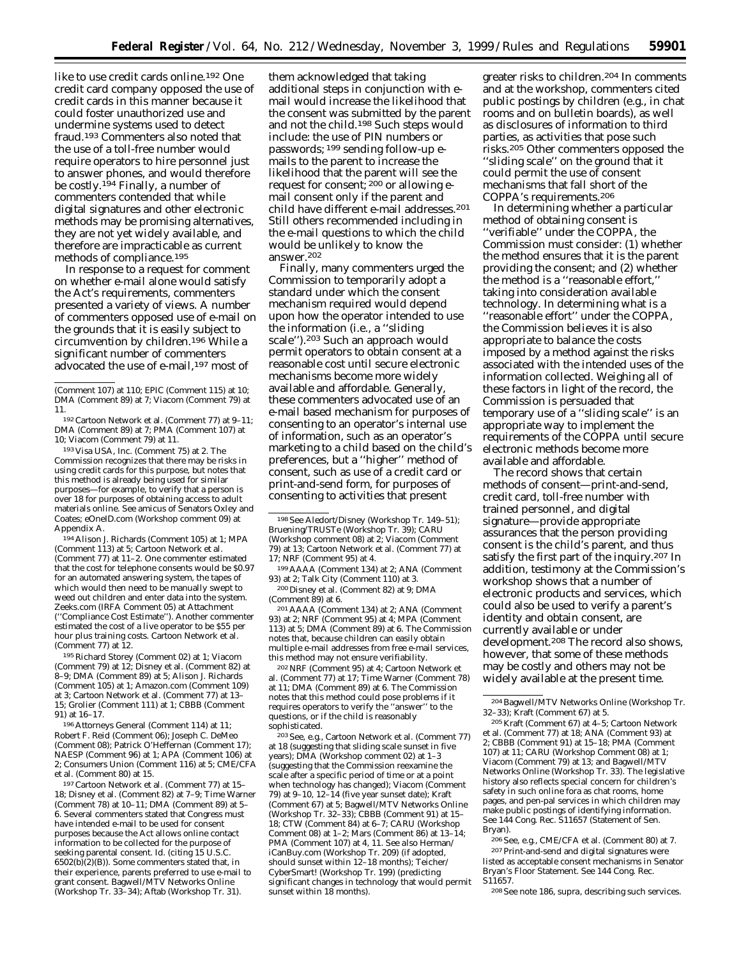like to use credit cards online.192 One credit card company opposed the use of credit cards in this manner because it could foster unauthorized use and undermine systems used to detect fraud.193 Commenters also noted that the use of a toll-free number would require operators to hire personnel just to answer phones, and would therefore be costly.<sup>194</sup> Finally, a number of commenters contended that while digital signatures and other electronic methods may be promising alternatives, they are not yet widely available, and therefore are impracticable as current methods of compliance.195

In response to a request for comment on whether e-mail alone would satisfy the Act's requirements, commenters presented a variety of views. A number of commenters opposed use of e-mail on the grounds that it is easily subject to circumvention by children.196 While a significant number of commenters advocated the use of e-mail,197 most of

193 Visa USA, Inc. (Comment 75) at 2. The Commission recognizes that there may be risks in using credit cards for this purpose, but notes that this method is already being used for similar purposes—for example, to verify that a person is over 18 for purposes of obtaining access to adult materials online. *See* amicus of Senators Oxley and Coates; eOneID.com (Workshop comment 09) at Appendix A.

194Alison J. Richards (Comment 105) at 1; MPA (Comment 113) at 5; Cartoon Network et al. (Comment 77) at 11–2. One commenter estimated that the cost for telephone consents would be \$0.97 for an automated answering system, the tapes of which would then need to be manually swept to weed out children and enter data into the system. Zeeks.com (IRFA Comment 05) at Attachment (''Compliance Cost Estimate''). Another commenter estimated the cost of a live operator to be \$55 per hour plus training costs. Cartoon Network et al. (Comment 77) at 12.

195Richard Storey (Comment 02) at 1; Viacom (Comment 79) at 12; Disney et al. (Comment 82) at 8–9; DMA (Comment 89) at 5; Alison J. Richards (Comment 105) at 1; Amazon.com (Comment 109) at 3; Cartoon Network et al. (Comment 77) at 13– 15; Grolier (Comment 111) at 1; CBBB (Comment 91) at 16–17.

196Attorneys General (Comment 114) at 11; Robert F. Reid (Comment 06); Joseph C. DeMeo (Comment 08); Patrick O'Heffernan (Comment 17); NAESP (Comment 96) at 1; APA (Comment 106) at 2; Consumers Union (Comment 116) at 5; CME/CFA et al. (Comment 80) at 15.

197Cartoon Network et al. (Comment 77) at 15– 18; Disney et al. (Comment 82) at 7–9; Time Warner (Comment 78) at 10–11; DMA (Comment 89) at 5– 6. Several commenters stated that Congress must have intended e-mail to be used for consent purposes because the Act allows online contact information to be collected for the purpose of seeking parental consent. *Id.* (*citing* 15 U.S.C.  $6502(b)(2)(B)$ . Some commenters stated that, in their experience, parents preferred to use e-mail to grant consent. Bagwell/MTV Networks Online (Workshop Tr. 33–34); Aftab (Workshop Tr. 31).

them acknowledged that taking additional steps in conjunction with email would increase the likelihood that the consent was submitted by the parent and not the child.198 Such steps would include: the use of PIN numbers or passwords; 199 sending follow-up emails to the parent to increase the likelihood that the parent will see the request for consent; 200 or allowing email consent only if the parent and child have different e-mail addresses.201 Still others recommended including in the e-mail questions to which the child would be unlikely to know the answer.202

Finally, many commenters urged the Commission to temporarily adopt a standard under which the consent mechanism required would depend upon how the operator intended to use the information (*i.e.*, a ''sliding scale'').203 Such an approach would permit operators to obtain consent at a reasonable cost until secure electronic mechanisms become more widely available and affordable. Generally, these commenters advocated use of an e-mail based mechanism for purposes of consenting to an operator's *internal* use of information, such as an operator's marketing to a child based on the child's preferences, but a ''higher'' method of consent, such as use of a credit card or print-and-send form, for purposes of consenting to activities that present

199AAAA (Comment 134) at 2; ANA (Comment 93) at 2; Talk City (Comment 110) at 3.

200 Disney et al. (Comment 82) at 9; DMA (Comment 89) at 6.

201AAAA (Comment 134) at 2; ANA (Comment 93) at 2; NRF (Comment 95) at 4; MPA (Comment 113) at 5; DMA (Comment 89) at 6. The Commission notes that, because children can easily obtain multiple e-mail addresses from free e-mail services, this method may not ensure verifiability.

202NRF (Comment 95) at 4; Cartoon Network et al. (Comment 77) at 17; Time Warner (Comment 78) at 11; DMA (Comment 89) at 6. The Commission notes that this method could pose problems if it requires operators to verify the ''answer'' to the questions, or if the child is reasonably sophisticated.

203*See, e.g.*, Cartoon Network et al. (Comment 77) at 18 (suggesting that sliding scale sunset in five years); DMA (Workshop comment 02) at 1–3 (suggesting that the Commission reexamine the scale after a specific period of time or at a point when technology has changed); Viacom (Comment 79) at 9–10, 12–14 (five year sunset date); Kraft (Comment 67) at 5; Bagwell/MTV Networks Online (Workshop Tr. 32–33); CBBB (Comment 91) at 15– 18; CTW (Comment 84) at 6–7; CARU (Workshop Comment 08) at  $1-2$ ; Mars (Comment 86) at  $13-14$ ; PMA (Comment 107) at 4, 11. *See also* Herman/ iCanBuy.com (Workshop Tr. 209) (if adopted, should sunset within 12–18 months); Teicher/ CyberSmart! (Workshop Tr. 199) (predicting significant changes in technology that would permit sunset within 18 months).

greater risks to children.204 In comments and at the workshop, commenters cited public postings by children (*e.g.*, in chat rooms and on bulletin boards), as well as disclosures of information to third parties, as activities that pose such risks.205 Other commenters opposed the ''sliding scale'' on the ground that it could permit the use of consent mechanisms that fall short of the COPPA's requirements.206

In determining whether a particular method of obtaining consent is ''verifiable'' under the COPPA, the Commission must consider: (1) whether the method ensures that it is the parent providing the consent; and (2) whether the method is a "reasonable effort, taking into consideration available technology. In determining what is a ''reasonable effort'' under the COPPA, the Commission believes it is also appropriate to balance the costs imposed by a method against the risks associated with the intended uses of the information collected. Weighing all of these factors in light of the record, the Commission is persuaded that temporary use of a ''sliding scale'' is an appropriate way to implement the requirements of the COPPA until secure electronic methods become more available and affordable.

The record shows that certain methods of consent—print-and-send, credit card, toll-free number with trained personnel, and digital signature—provide appropriate assurances that the person providing consent is the child's parent, and thus satisfy the first part of the inquiry.207 In addition, testimony at the Commission's workshop shows that a number of electronic products and services, which could also be used to verify a parent's identity and obtain consent, are currently available or under development.208 The record also shows, however, that some of these methods may be costly and others may not be widely available at the present time.

206*See, e.g.*, CME/CFA et al. (Comment 80) at 7. 207Print-and-send and digital signatures were listed as acceptable consent mechanisms in Senator Bryan's Floor Statement. *See* 144 Cong. Rec. S11657.

208*See* note 186, *supra*, describing such services.

<sup>(</sup>Comment 107) at 110; EPIC (Comment 115) at 10; DMA (Comment 89) at 7; Viacom (Comment 79) at 11.

<sup>192</sup>Cartoon Network et al. (Comment 77) at 9–11; DMA (Comment 89) at 7; PMA (Comment 107) at 10; Viacom (Comment 79) at 11.

<sup>198</sup>*See* Aledort/Disney (Workshop Tr. 149–51); Bruening/TRUSTe (Workshop Tr. 39); CARU (Workshop comment 08) at 2; Viacom (Comment 79) at 13; Cartoon Network et al. (Comment 77) at 17; NRF (Comment 95) at 4.

<sup>204</sup>Bagwell/MTV Networks Online (Workshop Tr. 32–33); Kraft (Comment 67) at 5.

<sup>205</sup> Kraft (Comment 67) at 4–5; Cartoon Network et al. (Comment 77) at 18; ANA (Comment 93) at 2; CBBB (Comment 91) at 15–18; PMA (Comment 107) at 11; CARU (Workshop Comment 08) at 1; Viacom (Comment 79) at 13; and Bagwell/MTV Networks Online (Workshop Tr. 33). The legislative history also reflects special concern for children's safety in such online fora as chat rooms, home pages, and pen-pal services in which children may make public postings of identifying information. *See* 144 Cong. Rec. S11657 (Statement of Sen. Bryan).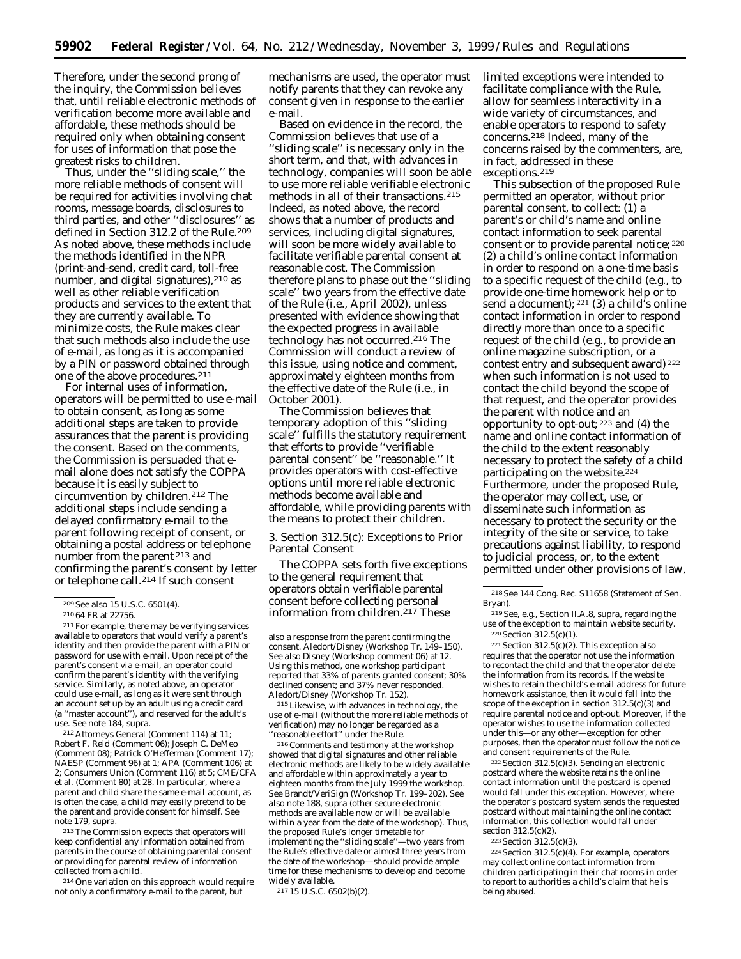Therefore, under the second prong of the inquiry, the Commission believes that, until reliable electronic methods of verification become more available and affordable, these methods should be required only when obtaining consent for uses of information that pose the greatest risks to children.

Thus, under the ''sliding scale,'' the more reliable methods of consent will be required for activities involving chat rooms, message boards, disclosures to third parties, and other ''disclosures'' as defined in Section 312.2 of the Rule.209 As noted above, these methods include the methods identified in the NPR (print-and-send, credit card, toll-free number, and digital signatures),<sup>210</sup> as well as other reliable verification products and services to the extent that they are currently available. To minimize costs, the Rule makes clear that such methods also include the use of e-mail, as long as it is accompanied by a PIN or password obtained through one of the above procedures.211

For internal uses of information, operators will be permitted to use e-mail to obtain consent, as long as some additional steps are taken to provide assurances that the parent is providing the consent. Based on the comments, the Commission is persuaded that email alone does not satisfy the COPPA because it is easily subject to circumvention by children.212 The additional steps include sending a delayed confirmatory e-mail to the parent following receipt of consent, or obtaining a postal address or telephone number from the parent 213 and confirming the parent's consent by letter or telephone call.214 If such consent

211For example, there may be verifying services available to operators that would verify a parent's identity and then provide the parent with a PIN or password for use with e-mail. Upon receipt of the parent's consent via e-mail, an operator could confirm the parent's identity with the verifying service. Similarly, as noted above, an operator could use e-mail, as long as it were sent through an account set up by an adult using a credit card (a ''master account''), and reserved for the adult's use. *See* note 184, *supra.*

212Attorneys General (Comment 114) at 11; Robert F. Reid (Comment 06); Joseph C. DeMeo (Comment 08); Patrick O'Hefferman (Comment 17); NAESP (Comment 96) at 1; APA (Comment 106) at 2; Consumers Union (Comment 116) at 5; CME/CFA et al. (Comment 80) at 28. In particular, where a parent and child share the same e-mail account, as is often the case, a child may easily pretend to be the parent and provide consent for himself. *See* note 179, *supra.*

213The Commission expects that operators will keep confidential any information obtained from parents in the course of obtaining parental consent or providing for parental review of information collected from a child.

214One variation on this approach would require not only a confirmatory e-mail to the parent, but

mechanisms are used, the operator must notify parents that they can revoke any consent given in response to the earlier e-mail.

Based on evidence in the record, the Commission believes that use of a ''sliding scale'' is necessary only in the short term, and that, with advances in technology, companies will soon be able to use more reliable verifiable electronic methods in all of their transactions.215 Indeed, as noted above, the record shows that a number of products and services, including digital signatures, will soon be more widely available to facilitate verifiable parental consent at reasonable cost. The Commission therefore plans to phase out the ''sliding scale'' two years from the effective date of the Rule (*i.e.,* April 2002), unless presented with evidence showing that the expected progress in available technology has not occurred.216 The Commission will conduct a review of this issue, using notice and comment, approximately eighteen months from the effective date of the Rule (*i.e.,* in October 2001).

The Commission believes that temporary adoption of this ''sliding scale'' fulfills the statutory requirement that efforts to provide ''verifiable parental consent'' be ''reasonable.'' It provides operators with cost-effective options until more reliable electronic methods become available and affordable, while providing parents with the means to protect their children.

3. Section 312.5(c): Exceptions to Prior Parental Consent

The COPPA sets forth five exceptions to the general requirement that operators obtain verifiable parental consent before collecting personal information from children.217 These

215Likewise, with advances in technology, the use of e-mail (without the more reliable methods of verification) may no longer be regarded as a ''reasonable effort'' under the Rule.

216Comments and testimony at the workshop showed that digital signatures and other reliable electronic methods are likely to be widely available and affordable within approximately a year to eighteen months from the July 1999 the workshop. *See* Brandt/VeriSign (Workshop Tr. 199–202). *See also* note 188, *supra* (other secure electronic methods are available now or will be available within a year from the date of the workshop). Thus, the proposed Rule's longer timetable for implementing the ''sliding scale''—two years from the Rule's effective date or almost *three* years from the date of the workshop—should provide ample time for these mechanisms to develop and become widely available.

217 15 U.S.C. 6502(b)(2).

limited exceptions were intended to facilitate compliance with the Rule, allow for seamless interactivity in a wide variety of circumstances, and enable operators to respond to safety concerns.218 Indeed, many of the concerns raised by the commenters, are, in fact, addressed in these exceptions.219

This subsection of the proposed Rule permitted an operator, without prior parental consent, to collect: (1) a parent's or child's name and online contact information to seek parental consent or to provide parental notice; 220 (2) a child's online contact information in order to respond on a one-time basis to a specific request of the child (e.g., to provide one-time homework help or to send a document); 221 (3) a child's online contact information in order to respond directly more than once to a specific request of the child (e.g., to provide an online magazine subscription, or a contest entry and subsequent award) 222 when such information is not used to contact the child beyond the scope of that request, and the operator provides the parent with notice and an opportunity to opt-out; 223 and (4) the name and online contact information of the child to the extent reasonably necessary to protect the safety of a child participating on the website.224 Furthermore, under the proposed Rule, the operator may collect, use, or disseminate such information as necessary to protect the security or the integrity of the site or service, to take precautions against liability, to respond to judicial process, or, to the extent permitted under other provisions of law,

 $221$  Section 312.5(c)(2). This exception also requires that the operator not use the information to recontact the child and that the operator delete the information from its records. If the website wishes to retain the child's e-mail address for future homework assistance, then it would fall into the scope of the exception in section 312.5(c)(3) and require parental notice and opt-out. Moreover, if the operator wishes to use the information collected under this—or any other—exception for other purposes, then the operator must follow the notice and consent requirements of the Rule.

 $222$  Section 312.5(c)(3). Sending an electronic postcard where the website retains the online contact information until the postcard is opened would fall under this exception. However, where the operator's postcard system sends the requested postcard without maintaining the online contact information, this collection would fall under section 312.5(c)(2).

223Section 312.5(c)(3).

224Section 312.5(c)(4). For example, operators may collect online contact information from children participating in their chat rooms in order to report to authorities a child's claim that he is being abused.

<sup>209</sup>*See also* 15 U.S.C. 6501(4).

<sup>210</sup> 64 FR at 22756.

also a response from the parent confirming the consent. Aledort/Disney (Workshop Tr. 149–150). *See also* Disney (Workshop comment 06) at 12. Using this method, one workshop participant reported that 33% of parents granted consent; 30% declined consent; and 37% never responded. Aledort/Disney (Workshop Tr. 152).

<sup>218</sup>*See* 144 Cong. Rec. S11658 (Statement of Sen. Bryan).

<sup>219</sup>*See, e.g.*, Section II.A.8, *supra*, regarding the use of the exception to maintain website security. 220Section 312.5(c)(1).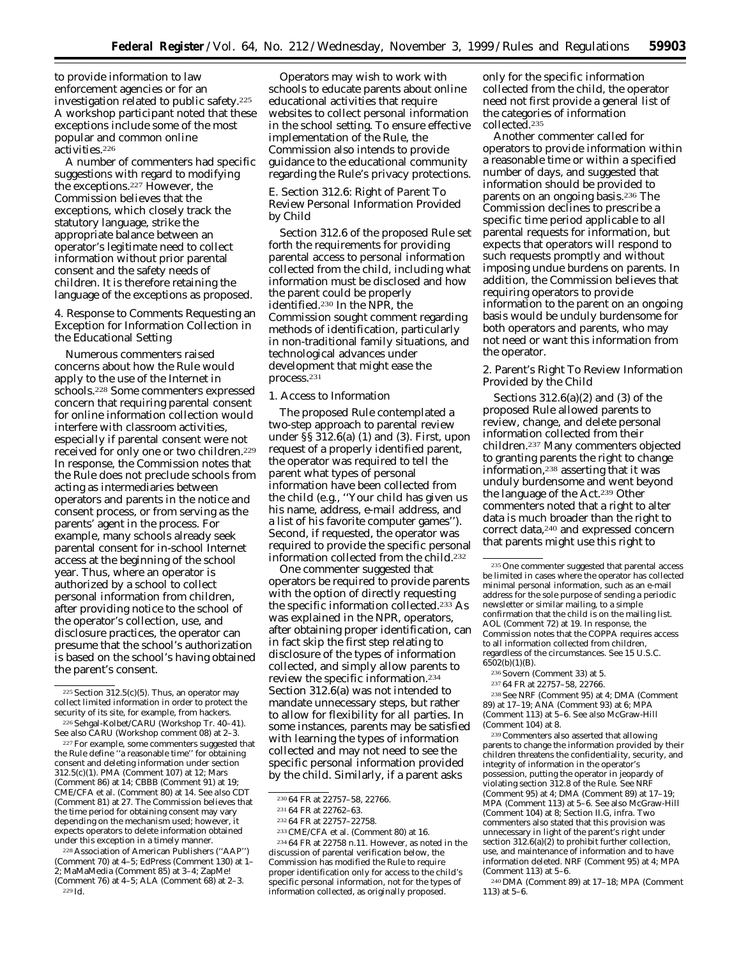to provide information to law enforcement agencies or for an investigation related to public safety.225 A workshop participant noted that these exceptions include some of the most popular and common online activities.226

A number of commenters had specific suggestions with regard to modifying the exceptions.227 However, the Commission believes that the exceptions, which closely track the statutory language, strike the appropriate balance between an operator's legitimate need to collect information without prior parental consent and the safety needs of children. It is therefore retaining the language of the exceptions as proposed.

4. Response to Comments Requesting an Exception for Information Collection in the Educational Setting

Numerous commenters raised concerns about how the Rule would apply to the use of the Internet in schools.228 Some commenters expressed concern that requiring parental consent for online information collection would interfere with classroom activities, especially if parental consent were not received for only one or two children.229 In response, the Commission notes that the Rule does not preclude schools from acting as intermediaries between operators and parents in the notice and consent process, or from serving as the parents' agent in the process. For example, many schools already seek parental consent for in-school Internet access at the beginning of the school year. Thus, where an operator is authorized by a school to collect personal information from children, after providing notice to the school of the operator's collection, use, and disclosure practices, the operator can presume that the school's authorization is based on the school's having obtained the parent's consent.

227For example, some commenters suggested that the Rule define ''a reasonable time'' for obtaining consent and deleting information under section 312.5(c)(1). PMA (Comment 107) at 12; Mars (Comment 86) at 14; CBBB (Comment 91) at 19; CME/CFA et al. (Comment 80) at 14. *See also* CDT (Comment 81) at 27. The Commission believes that the time period for obtaining consent may vary depending on the mechanism used; however, it expects operators to delete information obtained under this exception in a timely manner.

228Association of American Publishers (''AAP'') (Comment 70) at 4–5; EdPress (Comment 130) at 1– 2; MaMaMedia (Comment 85) at 3–4; ZapMe! (Comment 76) at 4–5; ALA (Comment 68) at 2–3. 229 *Id.*

Operators may wish to work with schools to educate parents about online educational activities that require websites to collect personal information in the school setting. To ensure effective implementation of the Rule, the Commission also intends to provide guidance to the educational community regarding the Rule's privacy protections.

# *E. Section 312.6: Right of Parent To Review Personal Information Provided by Child*

Section 312.6 of the proposed Rule set forth the requirements for providing parental access to personal information collected from the child, including what information must be disclosed and how the parent could be properly identified.230 In the NPR, the Commission sought comment regarding methods of identification, particularly in non-traditional family situations, and technological advances under development that might ease the process.231

# 1. Access to Information

The proposed Rule contemplated a two-step approach to parental review under §§ 312.6(a) (1) and (3). First, upon request of a properly identified parent, the operator was required to tell the parent what types of personal information have been collected from the child (*e.g.*, ''Your child has given us his name, address, e-mail address, and a list of his favorite computer games''). Second, if requested, the operator was required to provide the specific personal information collected from the child.232

One commenter suggested that operators be required to provide parents with the option of directly requesting the specific information collected.233 As was explained in the NPR, operators, after obtaining proper identification, can in fact skip the first step relating to disclosure of the types of information collected, and simply allow parents to review the specific information.234 Section 312.6(a) was not intended to mandate unnecessary steps, but rather to allow for flexibility for all parties. In some instances, parents may be satisfied with learning the types of information collected and may not need to see the specific personal information provided by the child. Similarly, if a parent asks

234 64 FR at 22758 n.11. However, as noted in the discussion of parental verification below, the Commission has modified the Rule to require proper identification only for access to the child's specific personal information, not for the types of information collected, as originally proposed.

only for the specific information collected from the child, the operator need not first provide a general list of the categories of information collected.235

Another commenter called for operators to provide information within a reasonable time or within a specified number of days, and suggested that information should be provided to parents on an ongoing basis.236 The Commission declines to prescribe a specific time period applicable to all parental requests for information, but expects that operators will respond to such requests promptly and without imposing undue burdens on parents. In addition, the Commission believes that requiring operators to provide information to the parent on an ongoing basis would be unduly burdensome for both operators and parents, who may not need or want this information from the operator.

2. Parent's Right To Review Information Provided by the Child

Sections 312.6(a)(2) and (3) of the proposed Rule allowed parents to review, change, and delete personal information collected from their children.237 Many commenters objected to granting parents the right to change information,238 asserting that it was unduly burdensome and went beyond the language of the Act.239 Other commenters noted that a right to alter data is much broader than the right to correct data,240 and expressed concern that parents might use this right to

238*See* NRF (Comment 95) at 4; DMA (Comment 89) at 17–19; ANA (Comment 93) at 6; MPA (Comment 113) at 5–6. *See also* McGraw-Hill (Comment 104) at 8.

239Commenters also asserted that allowing parents to change the information provided by their children threatens the confidentiality, security, and integrity of information in the operator's possession, putting the operator in jeopardy of violating section 312.8 of the Rule. *See* NRF (Comment 95) at 4; DMA (Comment 89) at 17–19; MPA (Comment 113) at 5–6. *See* also McGraw-Hill (Comment 104) at 8; Section II.G, *infra*. Two commenters also stated that this provision was unnecessary in light of the parent's right under section 312.6(a)(2) to prohibit further collection, use, and maintenance of information and to have information deleted. NRF (Comment 95) at 4; MPA (Comment 113) at 5–6.

240 DMA (Comment 89) at 17–18; MPA (Comment 113) at 5–6.

<sup>225</sup>Section 312.5(c)(5). Thus, an operator may collect limited information in order to protect the security of its site, for example, from hackers.

<sup>226</sup>Sehgal-Kolbet/CARU (Workshop Tr. 40–41). *See also* CARU (Workshop comment 08) at 2–3.

<sup>230</sup> 64 FR at 22757–58, 22766.

<sup>231</sup> 64 FR at 22762–63.

<sup>232</sup> 64 FR at 22757–22758.

<sup>233</sup>CME/CFA et al. (Comment 80) at 16.

<sup>235</sup>One commenter suggested that parental access be limited in cases where the operator has collected minimal personal information, such as an e-mail address for the sole purpose of sending a periodic newsletter or similar mailing, to a simple confirmation that the child is on the mailing list. AOL (Comment 72) at 19. In response, the Commission notes that the COPPA requires access to all information collected from children, regardless of the circumstances. *See* 15 U.S.C. 6502(b)(1)(B).

<sup>236</sup>Sovern (Comment 33) at 5.

<sup>237</sup> 64 FR at 22757–58, 22766.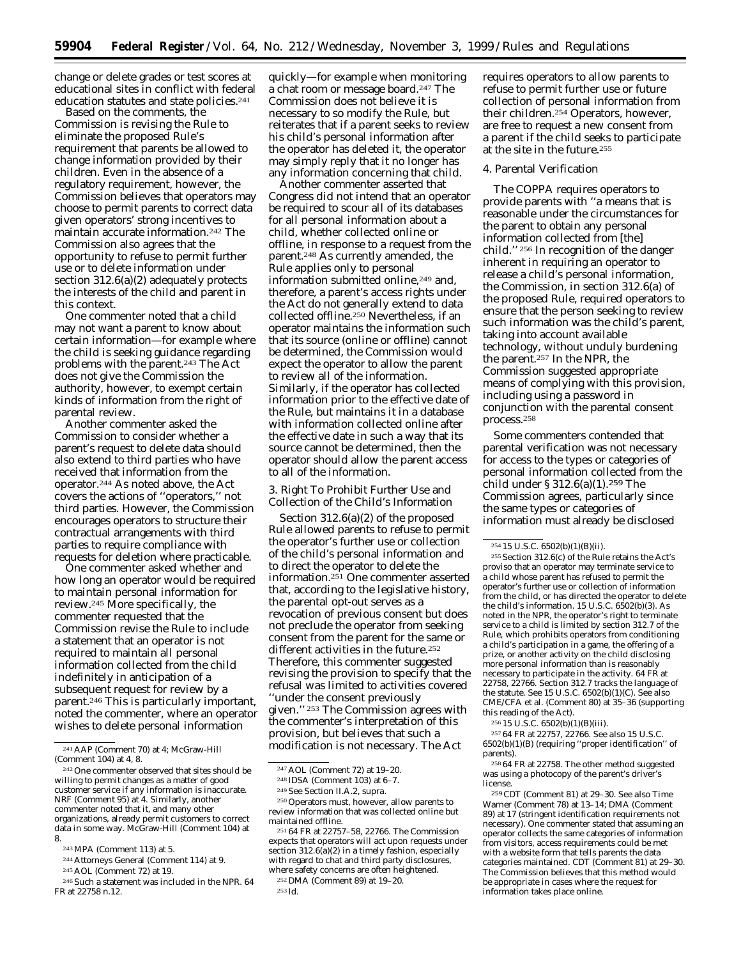change or delete grades or test scores at educational sites in conflict with federal education statutes and state policies.241

Based on the comments, the Commission is revising the Rule to eliminate the proposed Rule's requirement that parents be allowed to change information provided by their children. Even in the absence of a regulatory requirement, however, the Commission believes that operators may choose to permit parents to correct data given operators' strong incentives to maintain accurate information.242 The Commission also agrees that the opportunity to refuse to permit further use or to delete information under section 312.6(a)(2) adequately protects the interests of the child and parent in this context.

One commenter noted that a child may not want a parent to know about certain information—for example where the child is seeking guidance regarding problems with the parent.<sup>243</sup> The Act does not give the Commission the authority, however, to exempt certain kinds of information from the right of parental review.

Another commenter asked the Commission to consider whether a parent's request to delete data should also extend to third parties who have received that information from the operator.244 As noted above, the Act covers the actions of ''operators,'' not third parties. However, the Commission encourages operators to structure their contractual arrangements with third parties to require compliance with requests for deletion where practicable.

One commenter asked whether and how long an operator would be required to maintain personal information for review.245 More specifically, the commenter requested that the Commission revise the Rule to include a statement that an operator is not required to maintain all personal information collected from the child indefinitely in anticipation of a subsequent request for review by a parent.246 This is particularly important, noted the commenter, where an operator wishes to delete personal information

244Attorneys General (Comment 114) at 9.

245AOL (Comment 72) at 19.

 $\,$   $\,$  246 Such a statement was included in the NPR. 64  $\,$ FR at 22758 n.12.

quickly—for example when monitoring a chat room or message board.247 The Commission does not believe it is necessary to so modify the Rule, but reiterates that if a parent seeks to review his child's personal information after the operator has deleted it, the operator may simply reply that it no longer has any information concerning that child.

Another commenter asserted that Congress did not intend that an operator be required to scour all of its databases for all personal information about a child, whether collected online or offline, in response to a request from the parent.248 As currently amended, the Rule applies only to personal information submitted online, <sup>249</sup> and, therefore, a parent's access rights under the Act do not generally extend to data collected offline.250 Nevertheless, if an operator maintains the information such that its source (online or offline) cannot be determined, the Commission would expect the operator to allow the parent to review all of the information. Similarly, if the operator has collected information prior to the effective date of the Rule, but maintains it in a database with information collected online after the effective date in such a way that its source cannot be determined, then the operator should allow the parent access to all of the information.

3. Right To Prohibit Further Use and Collection of the Child's Information

Section 312.6(a)(2) of the proposed Rule allowed parents to refuse to permit the operator's further use or collection of the child's personal information and to direct the operator to delete the information.251 One commenter asserted that, according to the legislative history, the parental opt-out serves as a revocation of previous consent but does not preclude the operator from seeking consent from the parent for the same or different activities in the future.252 Therefore, this commenter suggested revising the provision to specify that the refusal was limited to activities covered ''under the consent previously given.'' 253 The Commission agrees with the commenter's interpretation of this provision, but believes that such a modification is not necessary. The Act

250Operators must, however, allow parents to review information that was collected online but maintained offline.

251 64 FR at 22757–58, 22766. The Commission expects that operators will act upon requests under section  $312.6(a)(2)$  in a timely fashion, especially with regard to chat and third party disclosures, where safety concerns are often heightened.

requires operators to allow parents to refuse to permit further use or future collection of personal information from their children.254 Operators, however, are free to request a new consent from a parent if the child seeks to participate at the site in the future.255

### 4. Parental Verification

The COPPA requires operators to provide parents with ''a means that is reasonable under the circumstances for the parent to obtain any personal information collected from [the] child.'' 256 In recognition of the danger inherent in requiring an operator to release a child's personal information, the Commission, in section 312.6(a) of the proposed Rule, required operators to ensure that the person seeking to review such information was the child's parent, taking into account available technology, without unduly burdening the parent.257 In the NPR, the Commission suggested appropriate means of complying with this provision, including using a password in conjunction with the parental consent process.258

Some commenters contended that parental verification was not necessary for access to the types or categories of personal information collected from the child under § 312.6(a)(1).259 The Commission agrees, particularly since the same types or categories of information must already be disclosed

255Section 312.6(c) of the Rule retains the Act's proviso that an operator may terminate service to a child whose parent has refused to permit the operator's further use or collection of information from the child, or has directed the operator to delete the child's information. 15 U.S.C. 6502(b)(3). As noted in the NPR, the operator's right to terminate service to a child is limited by section 312.7 of the Rule, which prohibits operators from conditioning a child's participation in a game, the offering of a prize, or another activity on the child disclosing more personal information than is reasonably necessary to participate in the activity. 64 FR at 22758, 22766. Section 312.7 tracks the language of the statute. *See* 15 U.S.C. 6502(b)(1)(C). *See also* CME/CFA et al. (Comment 80) at 35–36 (supporting this reading of the Act).

257 64 FR at 22757, 22766. *See also* 15 U.S.C. 6502(b)(1)(B) (requiring ''proper identification'' of parents)

258 64 FR at 22758. The other method suggested was using a photocopy of the parent's driver's license.

259CDT (Comment 81) at 29–30. *See also* Time Warner (Comment 78) at 13–14; DMA (Comment 89) at 17 (stringent identification requirements not necessary). One commenter stated that assuming an operator collects the same categories of information from visitors, access requirements could be met with a website form that tells parents the data categories maintained. CDT (Comment 81) at 29–30. The Commission believes that this method would be appropriate in cases where the request for information takes place online.

<sup>241</sup>AAP (Comment 70) at 4; McGraw-Hill (Comment 104) at 4, 8.

<sup>242</sup>One commenter observed that sites should be willing to permit changes as a matter of good customer service if any information is inaccurate. NRF (Comment 95) at 4. Similarly, another commenter noted that it, and many other organizations, already permit customers to correct data in some way. McGraw-Hill (Comment 104) at 8.

<sup>243</sup>MPA (Comment 113) at 5.

<sup>247</sup>AOL (Comment 72) at 19–20.

<sup>248</sup> IDSA (Comment 103) at 6–7.

<sup>249</sup>*See* Section II.A.2, *supra*.

<sup>252</sup> DMA (Comment 89) at 19–20.

<sup>253</sup> Id.

<sup>254</sup> 15 U.S.C. 6502(b)(1)(B)(ii).

<sup>256</sup> 15 U.S.C. 6502(b)(1)(B)(iii).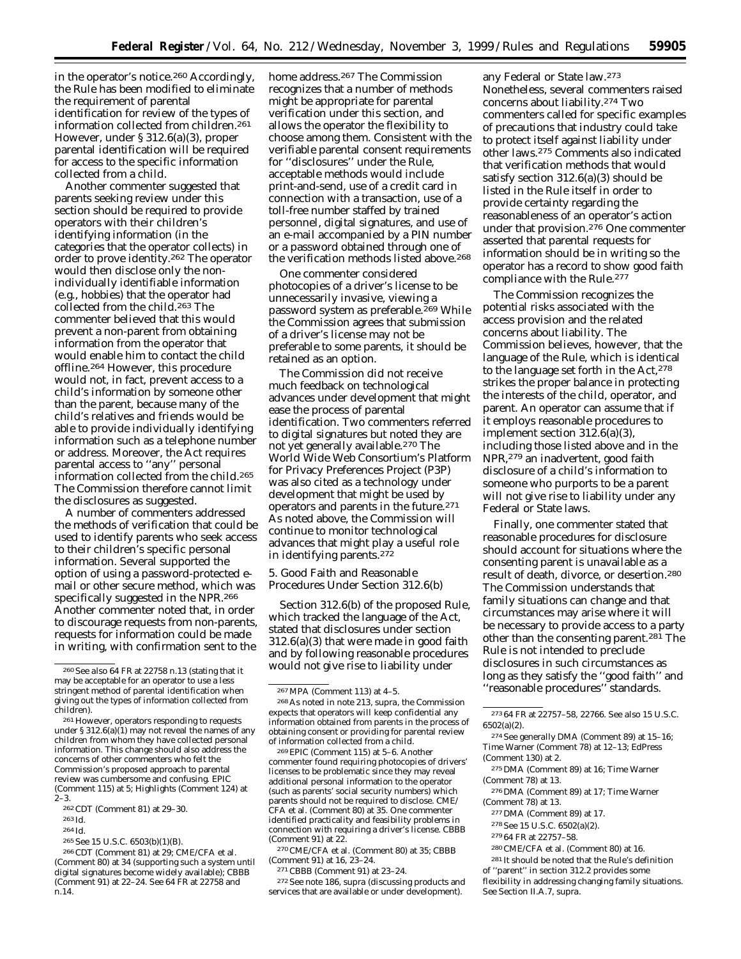in the operator's notice.260 Accordingly, the Rule has been modified to eliminate the requirement of parental identification for review of the types of information collected from children.261 However, under § 312.6(a)(3), proper parental identification will be required for access to the specific information collected from a child.

Another commenter suggested that parents seeking review under this section should be required to provide operators with their children's identifying information (in the categories that the operator collects) in order to prove identity.262 The operator would then disclose only the nonindividually identifiable information (*e.g.,* hobbies) that the operator had collected from the child.263 The commenter believed that this would prevent a non-parent from obtaining information from the operator that would enable him to contact the child offline.264 However, this procedure would not, in fact, prevent access to a child's information by someone other than the parent, because many of the child's relatives and friends would be able to provide individually identifying information such as a telephone number or address. Moreover, the Act requires parental access to ''any'' personal information collected from the child.265 The Commission therefore cannot limit the disclosures as suggested.

A number of commenters addressed the methods of verification that could be used to identify parents who seek access to their children's specific personal information. Several supported the option of using a password-protected email or other secure method, which was specifically suggested in the NPR.266 Another commenter noted that, in order to discourage requests from non-parents, requests for information could be made in writing, with confirmation sent to the

264 *Id.*

home address.267 The Commission recognizes that a number of methods might be appropriate for parental verification under this section, and allows the operator the flexibility to choose among them. Consistent with the verifiable parental consent requirements for ''disclosures'' under the Rule, acceptable methods would include print-and-send, use of a credit card in connection with a transaction, use of a toll-free number staffed by trained personnel, digital signatures, and use of an e-mail accompanied by a PIN number or a password obtained through one of the verification methods listed above.268

One commenter considered photocopies of a driver's license to be unnecessarily invasive, viewing a password system as preferable.<sup>269</sup> While the Commission agrees that submission of a driver's license may not be preferable to some parents, it should be retained as an option.

The Commission did not receive much feedback on technological advances under development that might ease the process of parental identification. Two commenters referred to digital signatures but noted they are not yet generally available.270 The World Wide Web Consortium's Platform for Privacy Preferences Project (P3P) was also cited as a technology under development that might be used by operators and parents in the future.271 As noted above, the Commission will continue to monitor technological advances that might play a useful role in identifying parents.272

5. Good Faith and Reasonable Procedures Under Section 312.6(b)

Section 312.6(b) of the proposed Rule, which tracked the language of the Act, stated that disclosures under section 312.6(a)(3) that were made in good faith and by following reasonable procedures would not give rise to liability under

269EPIC (Comment 115) at 5–6. Another commenter found requiring photocopies of drivers' licenses to be problematic since they may reveal additional personal information to the operator (such as parents' social security numbers) which parents should not be required to disclose. CME/ CFA et al. (Comment 80) at 35. One commenter identified practicality and feasibility problems in connection with requiring a driver's license. CBBB (Comment 91) at 22.

270CME/CFA et al. (Comment 80) at 35; CBBB (Comment 91) at 16, 23–24.

271CBBB (Comment 91) at 23–24.

272*See* note 186, *supra* (discussing products and services that are available or under development).

any Federal or State law.273 Nonetheless, several commenters raised concerns about liability.274 Two commenters called for specific examples of precautions that industry could take to protect itself against liability under other laws.275 Comments also indicated that verification methods that would satisfy section 312.6(a)(3) should be listed in the Rule itself in order to provide certainty regarding the reasonableness of an operator's action under that provision.276 One commenter asserted that parental requests for information should be in writing so the operator has a record to show good faith compliance with the Rule.277

The Commission recognizes the potential risks associated with the access provision and the related concerns about liability. The Commission believes, however, that the language of the Rule, which is identical to the language set forth in the Act,<sup>278</sup> strikes the proper balance in protecting the interests of the child, operator, and parent. An operator can assume that if it employs reasonable procedures to implement section 312.6(a)(3), including those listed above and in the NPR,279 an inadvertent, good faith disclosure of a child's information to someone who purports to be a parent will not give rise to liability under any Federal or State laws.

Finally, one commenter stated that reasonable procedures for disclosure should account for situations where the consenting parent is unavailable as a result of death, divorce, or desertion.280 The Commission understands that family situations can change and that circumstances may arise where it will be necessary to provide access to a party other than the consenting parent.281 The Rule is not intended to preclude disclosures in such circumstances as long as they satisfy the ''good faith'' and ''reasonable procedures'' standards.

274*See generally* DMA (Comment 89) at 15–16; Time Warner (Comment 78) at 12–13; EdPress (Comment 130) at 2.

- 275 DMA (Comment 89) at 16; Time Warner (Comment 78) at 13.
- 276 DMA (Comment 89) at 17; Time Warner (Comment 78) at 13.
- 277 DMA (Comment 89) at 17.
- 278*See* 15 U.S.C. 6502(a)(2).

280CME/CFA et al. (Comment 80) at 16.

281 It should be noted that the Rule's definition

of ''parent'' in section 312.2 provides some flexibility in addressing changing family situations. *See* Section II.A.7, *supra.*

<sup>260</sup>*See also* 64 FR at 22758 n.13 (stating that it may be acceptable for an operator to use a less stringent method of parental identification when giving out the types of information collected from children).

<sup>261</sup>However, operators responding to requests under § 312.6(a)(1) may not reveal the names of any children from whom they have collected personal information. This change should also address the concerns of other commenters who felt the Commission's proposed approach to parental review was cumbersome and confusing. EPIC (Comment 115) at 5; Highlights (Comment 124) at 2–3.

<sup>262</sup>CDT (Comment 81) at 29–30.

<sup>263</sup> *Id.*

<sup>265</sup>*See* 15 U.S.C. 6503(b)(1)(B).

<sup>266</sup>CDT (Comment 81) at 29; CME/CFA et al. (Comment 80) at 34 (supporting such a system until digital signatures become widely available); CBBB (Comment 91) at 22–24. *See* 64 FR at 22758 and n.14.

<sup>267</sup>MPA (Comment 113) at 4–5.

<sup>268</sup>As noted in note 213, *supra,* the Commission expects that operators will keep confidential any information obtained from parents in the process of obtaining consent or providing for parental review of information collected from a child.

<sup>273</sup> 64 FR at 22757–58, 22766. *See also* 15 U.S.C. 6502(a)(2).

<sup>279</sup> 64 FR at 22757–58.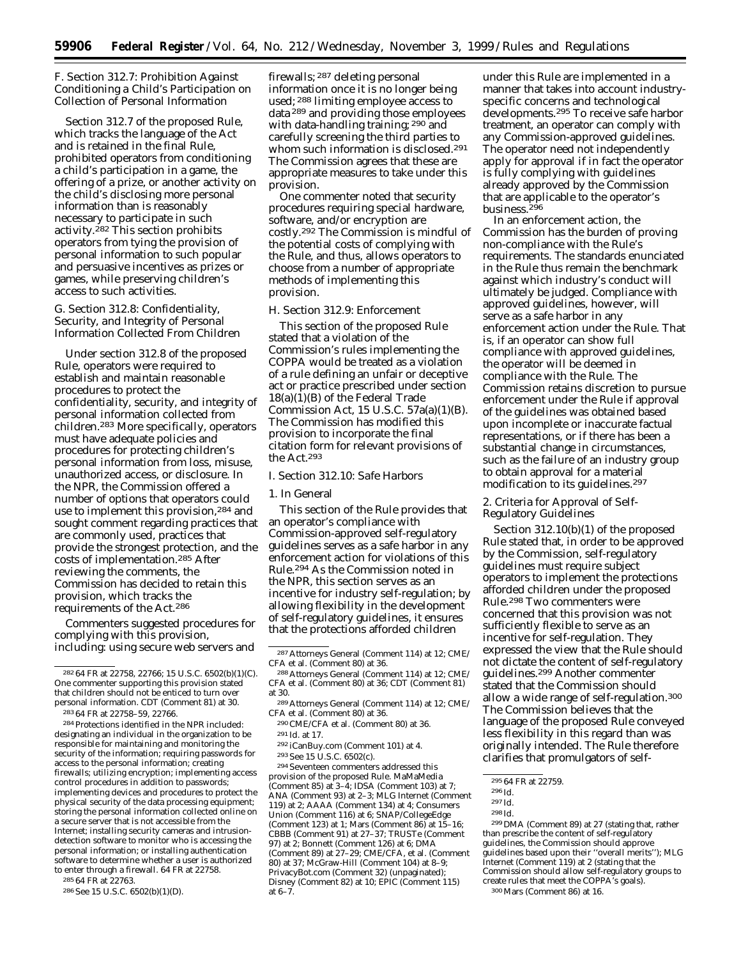## *F. Section 312.7: Prohibition Against Conditioning a Child's Participation on Collection of Personal Information*

Section 312.7 of the proposed Rule, which tracks the language of the Act and is retained in the final Rule, prohibited operators from conditioning a child's participation in a game, the offering of a prize, or another activity on the child's disclosing more personal information than is reasonably necessary to participate in such activity.<sup>282</sup> This section prohibits operators from tying the provision of personal information to such popular and persuasive incentives as prizes or games, while preserving children's access to such activities.

## *G. Section 312.8: Confidentiality, Security, and Integrity of Personal Information Collected From Children*

Under section 312.8 of the proposed Rule, operators were required to establish and maintain reasonable procedures to protect the confidentiality, security, and integrity of personal information collected from children.283 More specifically, operators must have adequate policies and procedures for protecting children's personal information from loss, misuse, unauthorized access, or disclosure. In the NPR, the Commission offered a number of options that operators could use to implement this provision,284 and sought comment regarding practices that are commonly used, practices that provide the strongest protection, and the costs of implementation.285 After reviewing the comments, the Commission has decided to retain this provision, which tracks the requirements of the Act.286

Commenters suggested procedures for complying with this provision, including: using secure web servers and

284Protections identified in the NPR included: designating an individual in the organization to be responsible for maintaining and monitoring the security of the information; requiring passwords for access to the personal information; creating firewalls; utilizing encryption; implementing access control procedures in addition to passwords; implementing devices and procedures to protect the physical security of the data processing equipment; storing the personal information collected online on a secure server that is not accessible from the Internet; installing security cameras and intrusiondetection software to monitor who is accessing the personal information; or installing authentication software to determine whether a user is authorized to enter through a firewall. 64 FR at 22758.

285 64 FR at 22763.

firewalls; 287 deleting personal information once it is no longer being used; 288 limiting employee access to data 289 and providing those employees with data-handling training; <sup>290</sup> and carefully screening the third parties to whom such information is disclosed.291 The Commission agrees that these are appropriate measures to take under this provision.

One commenter noted that security procedures requiring special hardware, software, and/or encryption are costly.292 The Commission is mindful of the potential costs of complying with the Rule, and thus, allows operators to choose from a number of appropriate methods of implementing this provision.

### *H. Section 312.9: Enforcement*

This section of the proposed Rule stated that a violation of the Commission's rules implementing the COPPA would be treated as a violation of a rule defining an unfair or deceptive act or practice prescribed under section 18(a)(1)(B) of the Federal Trade Commission Act, 15 U.S.C. 57a(a)(1)(B). The Commission has modified this provision to incorporate the final citation form for relevant provisions of the Act.293

#### *I. Section 312.10: Safe Harbors*

#### 1. In General

This section of the Rule provides that an operator's compliance with Commission-approved self-regulatory guidelines serves as a safe harbor in any enforcement action for violations of this Rule.294 As the Commission noted in the NPR, this section serves as an incentive for industry self-regulation; by allowing flexibility in the development of self-regulatory guidelines, it ensures that the protections afforded children

- 292 iCanBuy.com (Comment 101) at 4.
- 293*See* 15 U.S.C. 6502(c).

294Seventeen commenters addressed this provision of the proposed Rule. MaMaMedia (Comment 85) at 3–4; IDSA (Comment 103) at 7; ANA (Comment 93) at 2–3; MLG Internet (Comment 119) at 2; AAAA (Comment 134) at 4; Consumers Union (Comment 116) at 6; SNAP/CollegeEdge (Comment 123) at 1; Mars (Comment 86) at 15–16; CBBB (Comment 91) at 27–37; TRUSTe (Comment 97) at 2; Bonnett (Comment 126) at 6; DMA (Comment 89) at 27–29; CME/CFA, et al. (Comment 80) at 37; McGraw-Hill (Comment 104) at 8–9; PrivacyBot.com (Comment 32) (unpaginated); Disney (Comment 82) at 10; EPIC (Comment 115) at 6–7.

under this Rule are implemented in a manner that takes into account industryspecific concerns and technological developments.295 To receive safe harbor treatment, an operator can comply with any Commission-approved guidelines. The operator need not independently apply for approval if in fact the operator is fully complying with guidelines already approved by the Commission that are applicable to the operator's business.<sup>296</sup>

In an enforcement action, the Commission has the burden of proving non-compliance with the Rule's requirements. The standards enunciated in the Rule thus remain the benchmark against which industry's conduct will ultimately be judged. Compliance with approved guidelines, however, will serve as a safe harbor in any enforcement action under the Rule. That is, if an operator can show full compliance with approved guidelines, the operator will be deemed in compliance with the Rule. The Commission retains discretion to pursue enforcement under the Rule if approval of the guidelines was obtained based upon incomplete or inaccurate factual representations, or if there has been a substantial change in circumstances, such as the failure of an industry group to obtain approval for a material modification to its guidelines.297

## 2. Criteria for Approval of Self-Regulatory Guidelines

Section 312.10(b)(1) of the proposed Rule stated that, in order to be approved by the Commission, self-regulatory guidelines must require subject operators to implement the protections afforded children under the proposed Rule.298 Two commenters were concerned that this provision was not sufficiently flexible to serve as an incentive for self-regulation. They expressed the view that the Rule should not dictate the content of self-regulatory guidelines.299 Another commenter stated that the Commission should allow a wide range of self-regulation.300 The Commission believes that the language of the proposed Rule conveyed less flexibility in this regard than was originally intended. The Rule therefore clarifies that promulgators of self-

299 DMA (Comment 89) at 27 (stating that, rather than prescribe the content of self-regulatory guidelines, the Commission should approve guidelines based upon their ''overall merits''); MLG Internet (Comment 119) at 2 (stating that the Commission should allow self-regulatory groups to create rules that meet the COPPA's goals). 300Mars (Comment 86) at 16.

<sup>282</sup> 64 FR at 22758, 22766; 15 U.S.C. 6502(b)(1)(C). One commenter supporting this provision stated that children should not be enticed to turn over personal information. CDT (Comment 81) at 30.

<sup>283</sup> 64 FR at 22758–59, 22766.

<sup>286</sup>*See* 15 U.S.C. 6502(b)(1)(D).

<sup>287</sup>Attorneys General (Comment 114) at 12; CME/ CFA et al. (Comment 80) at 36.

<sup>288</sup>Attorneys General (Comment 114) at 12; CME/ CFA et al. (Comment 80) at 36; CDT (Comment 81) at 30.

<sup>289</sup>Attorneys General (Comment 114) at 12; CME/ CFA et al. (Comment 80) at 36.

<sup>290</sup>CME/CFA et al. (Comment 80) at 36.

<sup>291</sup> *Id.* at 17.

<sup>295</sup> 64 FR at 22759.

<sup>296</sup> *Id.*

<sup>297</sup> *Id.*

<sup>298</sup> *Id.*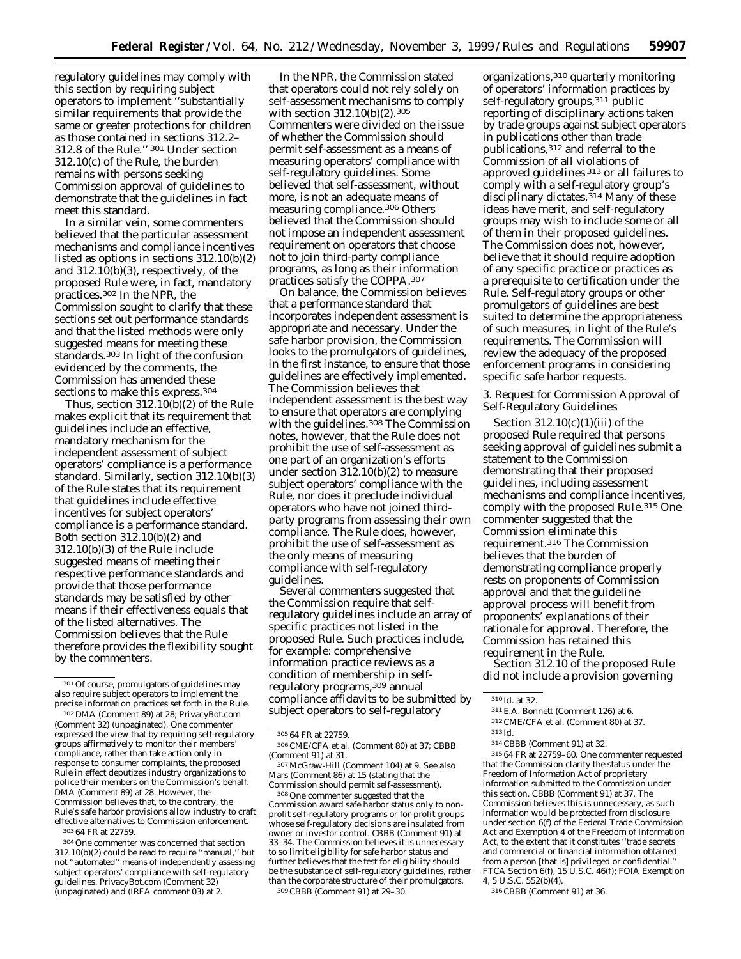In the NPR, the Commission stated that operators could not rely solely on self-assessment mechanisms to comply

Commenters were divided on the issue of whether the Commission should permit self-assessment as a means of measuring operators' compliance with self-regulatory guidelines. Some believed that self-assessment, without more, is not an adequate means of measuring compliance.306 Others believed that the Commission should not impose an independent assessment requirement on operators that choose not to join third-party compliance programs, as long as their information practices satisfy the COPPA.307

On balance, the Commission believes

independent assessment is the best way to ensure that operators are complying with the guidelines.<sup>308</sup> The Commission notes, however, that the Rule does not

that a performance standard that incorporates independent assessment is appropriate and necessary. Under the safe harbor provision, the Commission looks to the promulgators of guidelines, in the first instance, to ensure that those guidelines are effectively implemented.

The Commission believes that

with section 312.10(b)(2).305

regulatory guidelines may comply with this section by requiring subject operators to implement ''substantially similar requirements that provide the same or greater protections for children as those contained in sections 312.2– 312.8 of the Rule.'' 301 Under section 312.10(c) of the Rule, the burden remains with persons seeking Commission approval of guidelines to demonstrate that the guidelines in fact meet this standard.

In a similar vein, some commenters believed that the particular assessment mechanisms and compliance incentives listed as options in sections 312.10(b)(2) and  $312.10(b)(3)$ , respectively, of the proposed Rule were, in fact, mandatory practices.302 In the NPR, the Commission sought to clarify that these sections set out performance standards and that the listed methods were only suggested means for meeting these standards.303 In light of the confusion evidenced by the comments, the Commission has amended these sections to make this express.<sup>304</sup>

Thus, section 312.10(b)(2) of the Rule makes explicit that its requirement that guidelines include an effective, mandatory mechanism for the independent assessment of subject operators' compliance is a performance standard. Similarly, section 312.10(b)(3) of the Rule states that its requirement that guidelines include effective incentives for subject operators' compliance is a performance standard. Both section 312.10(b)(2) and 312.10(b)(3) of the Rule include suggested means of meeting their respective performance standards and provide that those performance standards may be satisfied by other means if their effectiveness equals that of the listed alternatives. The Commission believes that the Rule therefore provides the flexibility sought by the commenters.

304One commenter was concerned that section 312.10(b)(2) could be read to require ''manual,'' but not ''automated'' means of independently assessing subject operators' compliance with self-regulatory guidelines. PrivacyBot.com (Comment 32)

(unpaginated) and (IRFA comment 03) at 2.

prohibit the use of self-assessment as one part of an organization's efforts under section 312.10(b)(2) to measure subject operators' compliance with the Rule, nor does it preclude individual operators who have not joined thirdparty programs from assessing their own compliance. The Rule does, however, prohibit the use of self-assessment as the *only* means of measuring compliance with self-regulatory guidelines.

Several commenters suggested that the Commission require that selfregulatory guidelines include an array of specific practices not listed in the proposed Rule. Such practices include, for example: comprehensive information practice reviews as a condition of membership in selfregulatory programs,309 annual compliance affidavits to be submitted by subject operators to self-regulatory

308One commenter suggested that the Commission award safe harbor status only to nonprofit self-regulatory programs or for-profit groups whose self-regulatory decisions are insulated from owner or investor control. CBBB (Comment 91) at 33–34. The Commission believes it is unnecessary to so limit eligibility for safe harbor status and further believes that the test for eligibility should be the substance of self-regulatory guidelines, rather than the corporate structure of their promulgators. 309CBBB (Comment 91) at 29–30.

organizations,310 quarterly monitoring of operators' information practices by self-regulatory groups, 311 public reporting of disciplinary actions taken by trade groups against subject operators in publications other than trade publications,312 and referral to the Commission of all violations of approved guidelines 313 or all failures to comply with a self-regulatory group's disciplinary dictates.<sup>314</sup> Many of these ideas have merit, and self-regulatory groups may wish to include some or all of them in their proposed guidelines. The Commission does not, however, believe that it should require adoption of any specific practice or practices as a prerequisite to certification under the Rule. Self-regulatory groups or other promulgators of guidelines are best suited to determine the appropriateness of such measures, in light of the Rule's requirements. The Commission will review the adequacy of the proposed enforcement programs in considering specific safe harbor requests.

3. Request for Commission Approval of Self-Regulatory Guidelines

Section  $312.10(c)(1)(iii)$  of the proposed Rule required that persons seeking approval of guidelines submit a statement to the Commission demonstrating that their proposed guidelines, including assessment mechanisms and compliance incentives, comply with the proposed Rule.315 One commenter suggested that the Commission eliminate this requirement.316 The Commission believes that the burden of demonstrating compliance properly rests on proponents of Commission approval and that the guideline approval process will benefit from proponents' explanations of their rationale for approval. Therefore, the Commission has retained this requirement in the Rule.

Section 312.10 of the proposed Rule did not include a provision governing

- 311E.A. Bonnett (Comment 126) at 6.
- 312CME/CFA et al. (Comment 80) at 37.

314CBBB (Comment 91) at 32.

315 64 FR at 22759–60. One commenter requested that the Commission clarify the status under the Freedom of Information Act of proprietary information submitted to the Commission under this section. CBBB (Comment 91) at 37. The Commission believes this is unnecessary, as such information would be protected from disclosure under section 6(f) of the Federal Trade Commission Act and Exemption 4 of the Freedom of Information Act, to the extent that it constitutes ''trade secrets and commercial or financial information obtained from a person [that is] privileged or confidential.'' FTCA Section 6(f), 15 U.S.C. 46(f); FOIA Exemption 4, 5 U.S.C. 552(b)(4).

316CBBB (Comment 91) at 36.

<sup>301</sup>Of course, promulgators of guidelines may also require subject operators to implement the precise information practices set forth in the Rule.

<sup>302</sup> DMA (Comment 89) at 28; PrivacyBot.com (Comment 32) (unpaginated). One commenter expressed the view that by requiring self-regulatory groups affirmatively to monitor their members' compliance, rather than take action only in response to consumer complaints, the proposed Rule in effect deputizes industry organizations to police their members on the Commission's behalf. DMA (Comment 89) at 28. However, the Commission believes that, to the contrary, the Rule's safe harbor provisions allow industry to craft effective alternatives to Commission enforcement. 303 64 FR at 22759.

<sup>305</sup> 64 FR at 22759.

<sup>306</sup>CME/CFA et al. (Comment 80) at 37; CBBB (Comment 91) at 31.

<sup>307</sup>McGraw-Hill (Comment 104) at 9. *See also* Mars (Comment 86) at 15 (stating that the Commission should permit self-assessment).

<sup>310</sup> *Id.* at 32.

<sup>313</sup> *Id.*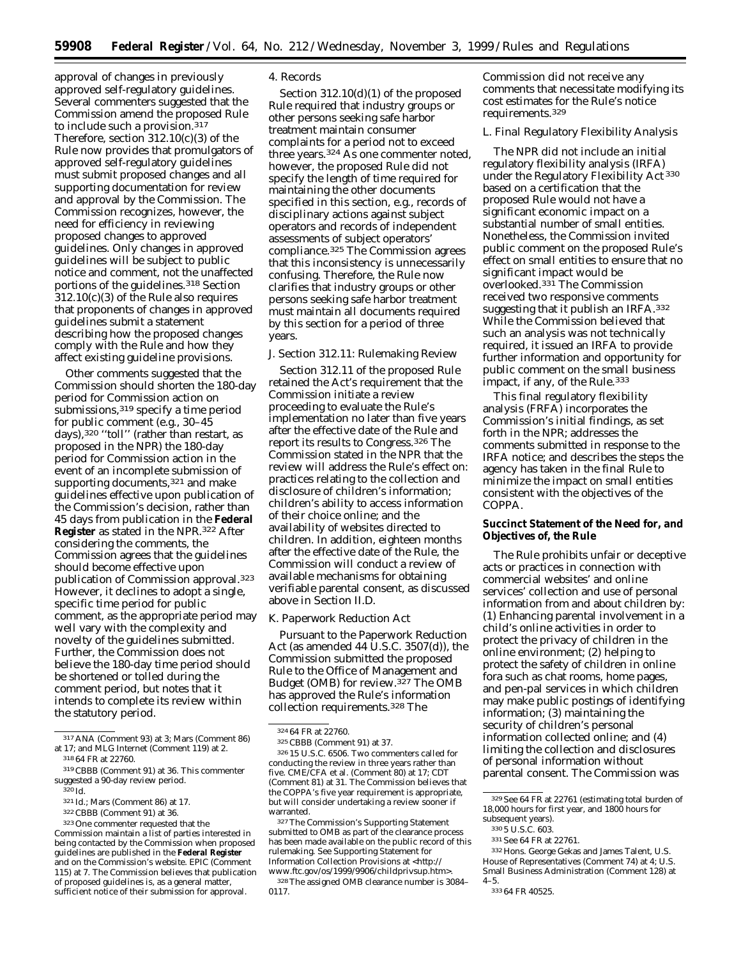approval of changes in previously approved self-regulatory guidelines. Several commenters suggested that the Commission amend the proposed Rule to include such a provision.317 Therefore, section 312.10(c)(3) of the Rule now provides that promulgators of approved self-regulatory guidelines must submit proposed changes and all supporting documentation for review and approval by the Commission. The Commission recognizes, however, the need for efficiency in reviewing proposed changes to approved guidelines. Only changes in approved guidelines will be subject to public notice and comment, not the unaffected portions of the guidelines.318 Section 312.10(c)(3) of the Rule also requires that proponents of changes in approved guidelines submit a statement describing how the proposed changes comply with the Rule and how they affect existing guideline provisions.

Other comments suggested that the Commission should shorten the 180-day period for Commission action on submissions, 319 specify a time period for public comment (e.g., 30–45 days),320 ''toll'' (rather than restart, as proposed in the NPR) the 180-day period for Commission action in the event of an incomplete submission of supporting documents,<sup>321</sup> and make guidelines effective upon publication of the Commission's decision, rather than 45 days from publication in the **Federal Register** as stated in the NPR.322 After considering the comments, the Commission agrees that the guidelines should become effective upon publication of Commission approval.323 However, it declines to adopt a single, specific time period for public comment, as the appropriate period may well vary with the complexity and novelty of the guidelines submitted. Further, the Commission does not believe the 180-day time period should be shortened or tolled during the comment period, but notes that it intends to complete its review within the statutory period.

322CBBB (Comment 91) at 36.

323One commenter requested that the Commission maintain a list of parties interested in being contacted by the Commission when proposed guidelines are published in the **Federal Register** and on the Commission's website. EPIC (Comment 115) at 7. The Commission believes that publication of proposed guidelines is, as a general matter, sufficient notice of their submission for approval.

### 4. Records

Section 312.10(d)(1) of the proposed Rule required that industry groups or other persons seeking safe harbor treatment maintain consumer complaints for a period not to exceed three years.324 As one commenter noted, however, the proposed Rule did not specify the length of time required for maintaining the other documents specified in this section, *e.g.,* records of disciplinary actions against subject operators and records of independent assessments of subject operators' compliance.325 The Commission agrees that this inconsistency is unnecessarily confusing. Therefore, the Rule now clarifies that industry groups or other persons seeking safe harbor treatment must maintain all documents required by this section for a period of three years.

### *J. Section 312.11: Rulemaking Review*

Section 312.11 of the proposed Rule retained the Act's requirement that the Commission initiate a review proceeding to evaluate the Rule's implementation no later than five years after the effective date of the Rule and report its results to Congress.326 The Commission stated in the NPR that the review will address the Rule's effect on: practices relating to the collection and disclosure of children's information; children's ability to access information of their choice online; and the availability of websites directed to children. In addition, eighteen months after the effective date of the Rule, the Commission will conduct a review of available mechanisms for obtaining verifiable parental consent, as discussed above in Section II.D.

### *K. Paperwork Reduction Act*

Pursuant to the Paperwork Reduction Act (as amended 44 U.S.C. 3507(d)), the Commission submitted the proposed Rule to the Office of Management and Budget (OMB) for review.327 The OMB has approved the Rule's information collection requirements.328 The

326 15 U.S.C. 6506. Two commenters called for conducting the review in three years rather than five. CME/CFA et al. (Comment 80) at 17; CDT (Comment 81) at 31. The Commission believes that the COPPA's five year requirement is appropriate, but will consider undertaking a review sooner if warranted.

327The Commission's Supporting Statement submitted to OMB as part of the clearance process has been made available on the public record of this rulemaking. *See* Supporting Statement for Information Collection Provisions at <http:// www.ftc.gov/os/1999/9906/childprivsup.htm>.

328The assigned OMB clearance number is 3084– 0117.

Commission did not receive any comments that necessitate modifying its cost estimates for the Rule's notice requirements.329

# *L. Final Regulatory Flexibility Analysis*

The NPR did not include an initial regulatory flexibility analysis (IRFA) under the Regulatory Flexibility Act 330 based on a certification that the proposed Rule would not have a significant economic impact on a substantial number of small entities. Nonetheless, the Commission invited public comment on the proposed Rule's effect on small entities to ensure that no significant impact would be overlooked.331 The Commission received two responsive comments suggesting that it publish an IRFA.332 While the Commission believed that such an analysis was not technically required, it issued an IRFA to provide further information and opportunity for public comment on the small business impact, if any, of the Rule.333

This final regulatory flexibility analysis (FRFA) incorporates the Commission's initial findings, as set forth in the NPR; addresses the comments submitted in response to the IRFA notice; and describes the steps the agency has taken in the final Rule to minimize the impact on small entities consistent with the objectives of the COPPA.

## **Succinct Statement of the Need for, and Objectives of, the Rule**

The Rule prohibits unfair or deceptive acts or practices in connection with commercial websites' and online services' collection and use of personal information from and about children by: (1) Enhancing parental involvement in a child's online activities in order to protect the privacy of children in the online environment; (2) helping to protect the safety of children in online fora such as chat rooms, home pages, and pen-pal services in which children may make public postings of identifying information; (3) maintaining the security of children's personal information collected online; and (4) limiting the collection and disclosures of personal information without parental consent. The Commission was

332Hons. George Gekas and James Talent, U.S. House of Representatives (Comment 74) at 4; U.S. Small Business Administration (Comment 128) at  $4 - 5$ .

333 64 FR 40525.

<sup>317</sup>ANA (Comment 93) at 3; Mars (Comment 86) at 17; and MLG Internet (Comment 119) at 2. 318 64 FR at 22760.

<sup>319</sup>CBBB (Comment 91) at 36. This commenter suggested a 90-day review period.

<sup>320</sup> *Id.*

<sup>321</sup> *Id.*; Mars (Comment 86) at 17.

<sup>324</sup> 64 FR at 22760.

<sup>325</sup>CBBB (Comment 91) at 37.

<sup>329</sup>*See* 64 FR at 22761 (estimating total burden of 18,000 hours for first year, and 1800 hours for subsequent years).

<sup>330</sup> 5 U.S.C. 603.

<sup>331</sup>*See* 64 FR at 22761.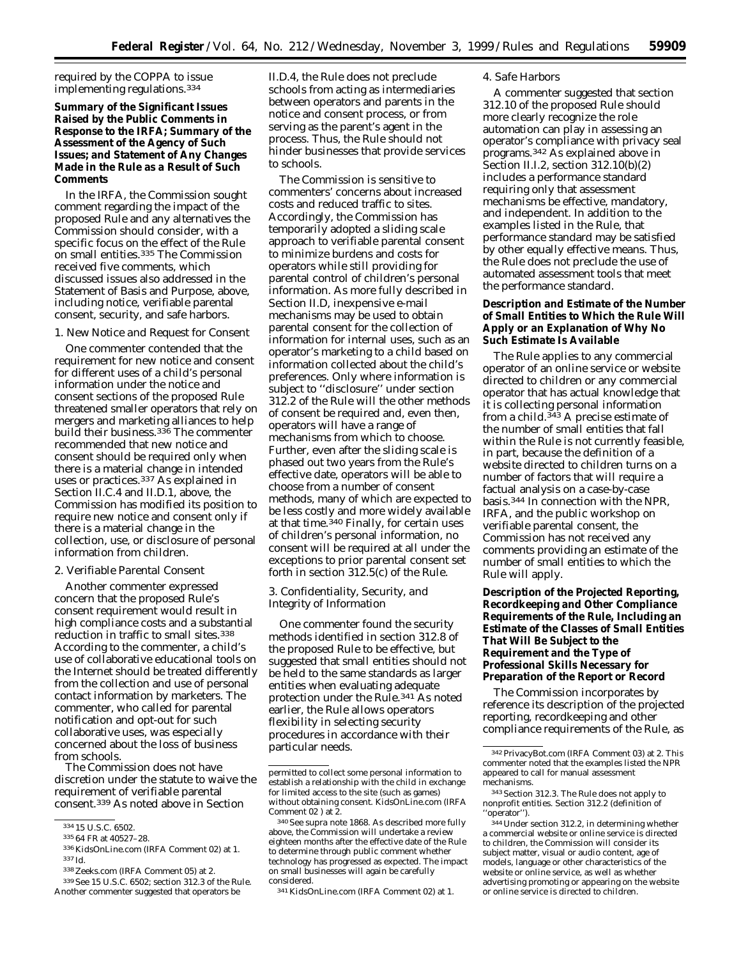required by the COPPA to issue implementing regulations.334

## **Summary of the Significant Issues Raised by the Public Comments in Response to the IRFA; Summary of the Assessment of the Agency of Such Issues; and Statement of Any Changes Made in the Rule as a Result of Such Comments**

In the IRFA, the Commission sought comment regarding the impact of the proposed Rule and any alternatives the Commission should consider, with a specific focus on the effect of the Rule on small entities.335 The Commission received five comments, which discussed issues also addressed in the Statement of Basis and Purpose, above, including notice, verifiable parental consent, security, and safe harbors.

# *1. New Notice and Request for Consent*

One commenter contended that the requirement for new notice and consent for different uses of a child's personal information under the notice and consent sections of the proposed Rule threatened smaller operators that rely on mergers and marketing alliances to help build their business.<sup>336</sup> The commenter recommended that new notice and consent should be required only when there is a material change in intended uses or practices.337 As explained in Section II.C.4 and II.D.1, above, the Commission has modified its position to require new notice and consent only if there is a material change in the collection, use, or disclosure of personal information from children.

### *2. Verifiable Parental Consent*

Another commenter expressed concern that the proposed Rule's consent requirement would result in high compliance costs and a substantial reduction in traffic to small sites.338 According to the commenter, a child's use of collaborative educational tools on the Internet should be treated differently from the collection and use of personal contact information by marketers. The commenter, who called for parental notification and opt-out for such collaborative uses, was especially concerned about the loss of business from schools.

The Commission does not have discretion under the statute to waive the requirement of verifiable parental consent.339 As noted above in Section

II.D.4, the Rule does not preclude schools from acting as intermediaries between operators and parents in the notice and consent process, or from serving as the parent's agent in the process. Thus, the Rule should not hinder businesses that provide services to schools.

The Commission is sensitive to commenters' concerns about increased costs and reduced traffic to sites. Accordingly, the Commission has temporarily adopted a sliding scale approach to verifiable parental consent to minimize burdens and costs for operators while still providing for parental control of children's personal information. As more fully described in Section II.D, inexpensive e-mail mechanisms may be used to obtain parental consent for the collection of information for internal uses, such as an operator's marketing to a child based on information collected about the child's preferences. Only where information is subject to ''disclosure'' under section 312.2 of the Rule will the other methods of consent be required and, even then, operators will have a range of mechanisms from which to choose. Further, even after the sliding scale is phased out two years from the Rule's effective date, operators will be able to choose from a number of consent methods, many of which are expected to be less costly and more widely available at that time.340 Finally, for certain uses of children's personal information, no consent will be required at all under the exceptions to prior parental consent set forth in section 312.5(c) of the Rule.

## *3. Confidentiality, Security, and Integrity of Information*

One commenter found the security methods identified in section 312.8 of the proposed Rule to be effective, but suggested that small entities should not be held to the same standards as larger entities when evaluating adequate protection under the Rule.341 As noted earlier, the Rule allows operators flexibility in selecting security procedures in accordance with their particular needs.

#### *4. Safe Harbors*

A commenter suggested that section 312.10 of the proposed Rule should more clearly recognize the role automation can play in assessing an operator's compliance with privacy seal programs.342 As explained above in Section II.I.2, section 312.10(b)(2) includes a performance standard requiring only that assessment mechanisms be effective, mandatory, and independent. In addition to the examples listed in the Rule, that performance standard may be satisfied by other equally effective means. Thus, the Rule does not preclude the use of automated assessment tools that meet the performance standard.

# **Description and Estimate of the Number of Small Entities to Which the Rule Will Apply or an Explanation of Why No Such Estimate Is Available**

The Rule applies to any commercial operator of an online service or website directed to children or any commercial operator that has actual knowledge that it is collecting personal information from a child.343 A precise estimate of the number of small entities that fall within the Rule is not currently feasible, in part, because the definition of a website directed to children turns on a number of factors that will require a factual analysis on a case-by-case basis.344 In connection with the NPR, IRFA, and the public workshop on verifiable parental consent, the Commission has not received any comments providing an estimate of the number of small entities to which the Rule will apply.

# **Description of the Projected Reporting, Recordkeeping and Other Compliance Requirements of the Rule, Including an Estimate of the Classes of Small Entities That Will Be Subject to the Requirement and the Type of Professional Skills Necessary for Preparation of the Report or Record**

The Commission incorporates by reference its description of the projected reporting, recordkeeping and other compliance requirements of the Rule, as

<sup>334</sup> 15 U.S.C. 6502.

<sup>335</sup> 64 FR at 40527–28.

<sup>336</sup> KidsOnLine.com (IRFA Comment 02) at 1. 337 *Id.*

<sup>338</sup>Zeeks.com (IRFA Comment 05) at 2.

<sup>339</sup>*See* 15 U.S.C. 6502; section 312.3 of the Rule. Another commenter suggested that operators be

permitted to collect some personal information to establish a relationship with the child in exchange for limited access to the site (such as games) without obtaining consent. KidsOnLine.com (IRFA Comment 02 ) at 2.

<sup>340</sup>*See supra* note 1868. As described more fully above, the Commission will undertake a review eighteen months after the effective date of the Rule to determine through public comment whether technology has progressed as expected. The impact on small businesses will again be carefully considered.

<sup>341</sup> KidsOnLine.com (IRFA Comment 02) at 1.

<sup>342</sup>PrivacyBot.com (IRFA Comment 03) at 2. This commenter noted that the examples listed the NPR appeared to call for manual assessment mechanisms.

<sup>343</sup>Section 312.3. The Rule does not apply to nonprofit entities. Section 312.2 (definition of ''operator'').

<sup>344</sup>Under section 312.2, in determining whether a commercial website or online service is directed to children, the Commission will consider its subject matter, visual or audio content, age of models, language or other characteristics of the website or online service, as well as whether advertising promoting or appearing on the website or online service is directed to children.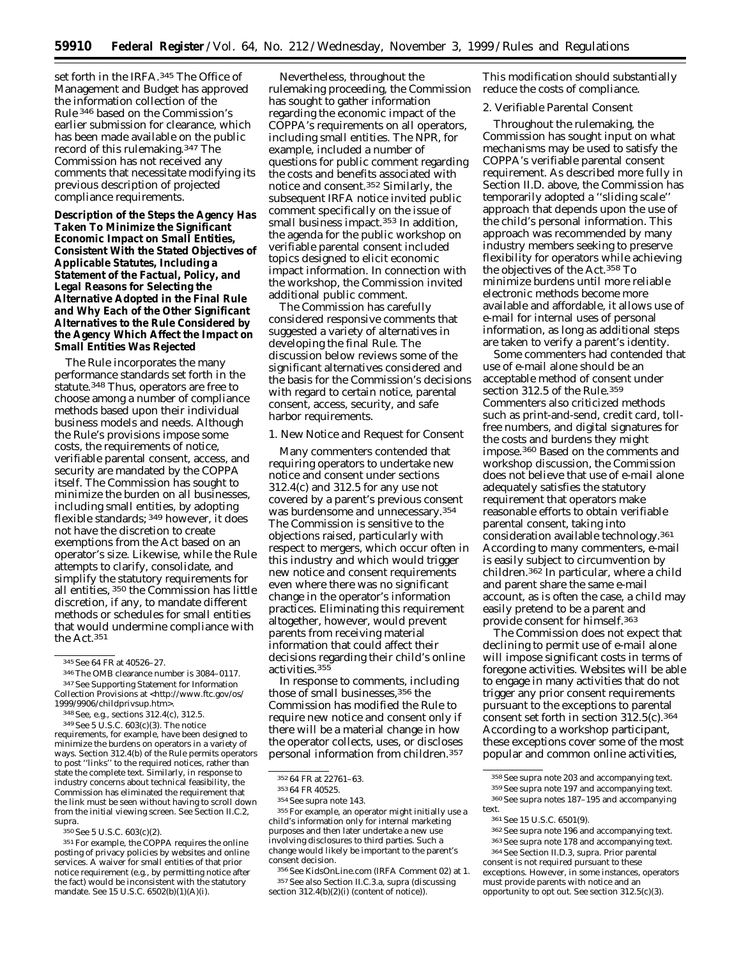set forth in the IRFA.345 The Office of Management and Budget has approved the information collection of the Rule 346 based on the Commission's earlier submission for clearance, which has been made available on the public record of this rulemaking.347 The Commission has not received any comments that necessitate modifying its previous description of projected compliance requirements.

**Description of the Steps the Agency Has Taken To Minimize the Significant Economic Impact on Small Entities, Consistent With the Stated Objectives of Applicable Statutes, Including a Statement of the Factual, Policy, and Legal Reasons for Selecting the Alternative Adopted in the Final Rule and Why Each of the Other Significant Alternatives to the Rule Considered by the Agency Which Affect the Impact on Small Entities Was Rejected**

The Rule incorporates the many performance standards set forth in the statute.348 Thus, operators are free to choose among a number of compliance methods based upon their individual business models and needs. Although the Rule's provisions impose some costs, the requirements of notice, verifiable parental consent, access, and security are mandated by the COPPA itself. The Commission has sought to minimize the burden on all businesses, including small entities, by adopting flexible standards; 349 however, it does not have the discretion to create exemptions from the Act based on an operator's size. Likewise, while the Rule attempts to clarify, consolidate, and simplify the statutory requirements for all entities, 350 the Commission has little discretion, if any, to mandate different methods or schedules for small entities that would undermine compliance with the Act.351

349*See* 5 U.S.C. 603(c)(3). The notice requirements, for example, have been designed to minimize the burdens on operators in a variety of ways. Section 312.4(b) of the Rule permits operators to post ''links'' to the required notices, rather than state the complete text. Similarly, in response to industry concerns about technical feasibility, the Commission has eliminated the requirement that the link must be seen without having to scroll down from the initial viewing screen. *See* Section II.C.2, *supra*.

350*See* 5 U.S.C. 603(c)(2).

351For example, the COPPA requires the online posting of privacy policies by websites and online services. A waiver for small entities of that prior notice requirement (*e.g.*, by permitting notice after the fact) would be inconsistent with the statutory mandate. *See* 15 U.S.C. 6502(b)(1)(A)(i).

Nevertheless, throughout the rulemaking proceeding, the Commission has sought to gather information regarding the economic impact of the COPPA's requirements on all operators, including small entities. The NPR, for example, included a number of questions for public comment regarding the costs and benefits associated with notice and consent.352 Similarly, the subsequent IRFA notice invited public comment specifically on the issue of small business impact.353 In addition, the agenda for the public workshop on verifiable parental consent included topics designed to elicit economic impact information. In connection with the workshop, the Commission invited additional public comment.

The Commission has carefully considered responsive comments that suggested a variety of alternatives in developing the final Rule. The discussion below reviews some of the significant alternatives considered and the basis for the Commission's decisions with regard to certain notice, parental consent, access, security, and safe harbor requirements.

### *1. New Notice and Request for Consent*

Many commenters contended that requiring operators to undertake new notice and consent under sections 312.4(c) and 312.5 for any use not covered by a parent's previous consent was burdensome and unnecessary.354 The Commission is sensitive to the objections raised, particularly with respect to mergers, which occur often in this industry and which would trigger new notice and consent requirements even where there was no significant change in the operator's information practices. Eliminating this requirement altogether, however, would prevent parents from receiving material information that could affect their decisions regarding their child's online activities.355

In response to comments, including those of small businesses,356 the Commission has modified the Rule to require new notice and consent only if there will be a material change in how the operator collects, uses, or discloses personal information from children.357

355For example, an operator might initially use a child's information only for internal marketing purposes and then later undertake a new use involving disclosures to third parties. Such a change would likely be important to the parent's consent decision.

356*See* KidsOnLine.com (IRFA Comment 02) at 1. 357*See also* Section II.C.3.a, *supra* (discussing section 312.4(b)(2)(i) (content of notice)).

This modification should substantially reduce the costs of compliance.

#### *2. Verifiable Parental Consent*

Throughout the rulemaking, the Commission has sought input on what mechanisms may be used to satisfy the COPPA's verifiable parental consent requirement. As described more fully in Section II.D. above, the Commission has temporarily adopted a ''sliding scale'' approach that depends upon the use of the child's personal information. This approach was recommended by many industry members seeking to preserve flexibility for operators while achieving the objectives of the Act.358 To minimize burdens until more reliable electronic methods become more available and affordable, it allows use of e-mail for internal uses of personal information, as long as additional steps are taken to verify a parent's identity.

Some commenters had contended that use of e-mail alone should be an acceptable method of consent under section 312.5 of the Rule.<sup>359</sup> Commenters also criticized methods such as print-and-send, credit card, tollfree numbers, and digital signatures for the costs and burdens they might impose.360 Based on the comments and workshop discussion, the Commission does not believe that use of e-mail alone adequately satisfies the statutory requirement that operators make reasonable efforts to obtain verifiable parental consent, taking into consideration available technology.361 According to many commenters, e-mail is easily subject to circumvention by children.362 In particular, where a child and parent share the same e-mail account, as is often the case, a child may easily pretend to be a parent and provide consent for himself.363

The Commission does not expect that declining to permit use of e-mail alone will impose significant costs in terms of foregone activities. Websites will be able to engage in many activities that do not trigger any prior consent requirements pursuant to the exceptions to parental consent set forth in section 312.5(c).364 According to a workshop participant, these exceptions cover some of the most popular and common online activities,

<sup>345</sup>*See* 64 FR at 40526–27.

<sup>346</sup>The OMB clearance number is 3084–0117. 347*See* Supporting Statement for Information Collection Provisions at <http://www.ftc.gov/os/ 1999/9906/childprivsup.htm>.

<sup>348</sup>*See, e.g.*, sections 312.4(c), 312.5.

<sup>352</sup> 64 FR at 22761–63.

<sup>353</sup> 64 FR 40525.

<sup>354</sup>*See supra* note 143.

<sup>358</sup>*See supra* note 203 and accompanying text.

<sup>359</sup>*See supra* note 197 and accompanying text. 360*See supra* notes 187–195 and accompanying

text.

<sup>361</sup>*See* 15 U.S.C. 6501(9).

<sup>362</sup>*See supra* note 196 and accompanying text.

<sup>363</sup>*See supra* note 178 and accompanying text.

<sup>364</sup>*See* Section II.D.3, *supra.* Prior parental

consent is not required pursuant to these exceptions. However, in some instances, operators must provide parents with notice and an opportunity to opt out. *See* section 312.5(c)(3).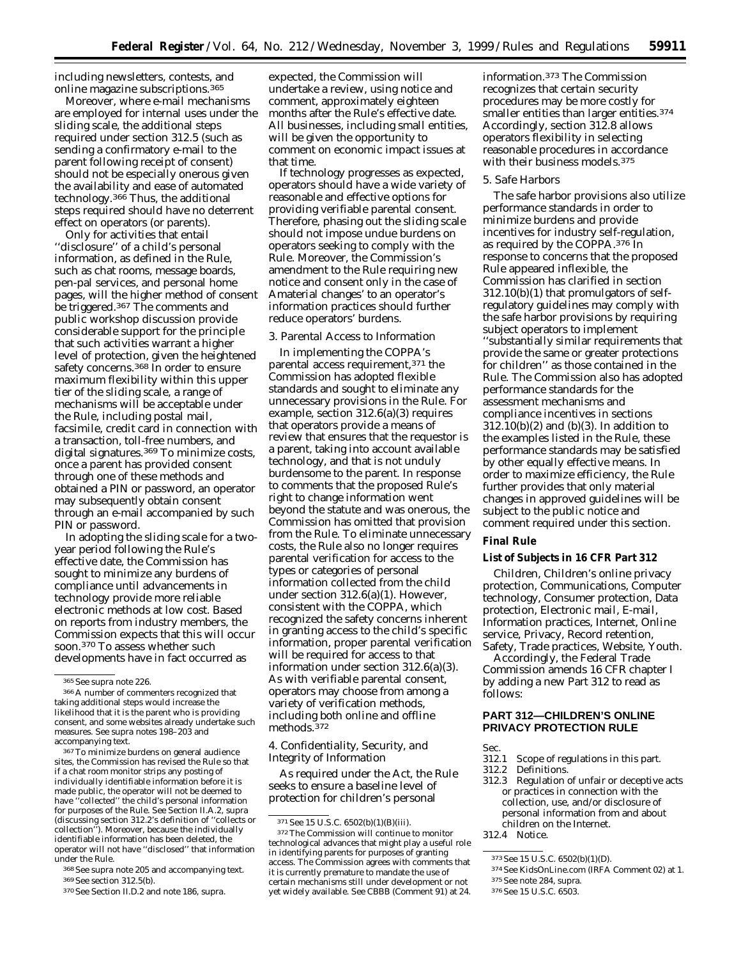including newsletters, contests, and online magazine subscriptions.365

Moreover, where e-mail mechanisms are employed for internal uses under the sliding scale, the additional steps required under section 312.5 (such as sending a confirmatory e-mail to the parent following receipt of consent) should not be especially onerous given the availability and ease of automated technology.<sup>366</sup> Thus, the additional steps required should have no deterrent effect on operators (or parents).

Only for activities that entail ''disclosure'' of a child's personal information, as defined in the Rule, such as chat rooms, message boards, pen-pal services, and personal home pages, will the higher method of consent be triggered.367 The comments and public workshop discussion provide considerable support for the principle that such activities warrant a higher level of protection, given the heightened safety concerns.<sup>368</sup> In order to ensure maximum flexibility within this upper tier of the sliding scale, a range of mechanisms will be acceptable under the Rule, including postal mail, facsimile, credit card in connection with a transaction, toll-free numbers, and digital signatures.<sup>369</sup> To minimize costs, once a parent has provided consent through one of these methods and obtained a PIN or password, an operator may subsequently obtain consent through an e-mail accompanied by such PIN or password.

In adopting the sliding scale for a twoyear period following the Rule's effective date, the Commission has sought to minimize any burdens of compliance until advancements in technology provide more reliable electronic methods at low cost. Based on reports from industry members, the Commission expects that this will occur soon.370 To assess whether such developments have in fact occurred as

367To minimize burdens on general audience sites, the Commission has revised the Rule so that if a chat room monitor strips any posting of individually identifiable information before it is made public, the operator will not be deemed to have ''collected'' the child's personal information for purposes of the Rule. *See* Section II.A.2, *supra* (discussing section 312.2's definition of ''collects or collection''). Moreover, because the individually identifiable information has been deleted, the operator will not have ''disclosed'' that information under the Rule.

368*See supra* note 205 and accompanying text.

369*See* section 312.5(b).

370*See* Section II.D.2 and note 186, *supra.*

expected, the Commission will undertake a review, using notice and comment, approximately eighteen months after the Rule's effective date. All businesses, including small entities, will be given the opportunity to comment on economic impact issues at that time.

If technology progresses as expected, operators should have a wide variety of reasonable and effective options for providing verifiable parental consent. Therefore, phasing out the sliding scale should not impose undue burdens on operators seeking to comply with the Rule. Moreover, the Commission's amendment to the Rule requiring new notice and consent only in the case of Amaterial changes' to an operator's information practices should further reduce operators' burdens.

## *3. Parental Access to Information*

In implementing the COPPA's parental access requirement,371 the Commission has adopted flexible standards and sought to eliminate any unnecessary provisions in the Rule. For example, section 312.6(a)(3) requires that operators provide a means of review that ensures that the requestor is a parent, taking into account available technology, and that is not unduly burdensome to the parent. In response to comments that the proposed Rule's right to change information went beyond the statute and was onerous, the Commission has omitted that provision from the Rule. To eliminate unnecessary costs, the Rule also no longer requires parental verification for access to the types or categories of personal information collected from the child under section 312.6(a)(1). However, consistent with the COPPA, which recognized the safety concerns inherent in granting access to the child's specific information, proper parental verification will be required for access to that information under section 312.6(a)(3). As with verifiable parental consent, operators may choose from among a variety of verification methods, including both online and offline methods.372

## *4. Confidentiality, Security, and Integrity of Information*

As required under the Act, the Rule seeks to ensure a baseline level of protection for children's personal

information.373 The Commission recognizes that certain security procedures may be more costly for smaller entities than larger entities.374 Accordingly, section 312.8 allows operators flexibility in selecting reasonable procedures in accordance with their business models.375

#### *5. Safe Harbors*

The safe harbor provisions also utilize performance standards in order to minimize burdens and provide incentives for industry self-regulation, as required by the COPPA.376 In response to concerns that the proposed Rule appeared inflexible, the Commission has clarified in section 312.10(b)(1) that promulgators of selfregulatory guidelines may comply with the safe harbor provisions by requiring subject operators to implement ''substantially similar requirements that provide the same or greater protections for children'' as those contained in the Rule. The Commission also has adopted performance standards for the assessment mechanisms and compliance incentives in sections 312.10(b)(2) and (b)(3). In addition to the examples listed in the Rule, these performance standards may be satisfied by other equally effective means. In order to maximize efficiency, the Rule further provides that only material changes in approved guidelines will be subject to the public notice and comment required under this section.

# **Final Rule**

## **List of Subjects in 16 CFR Part 312**

Children, Children's online privacy protection, Communications, Computer technology, Consumer protection, Data protection, Electronic mail, E-mail, Information practices, Internet, Online service, Privacy, Record retention, Safety, Trade practices, Website, Youth.

Accordingly, the Federal Trade Commission amends 16 CFR chapter I by adding a new Part 312 to read as follows:

### **PART 312—CHILDREN'S ONLINE PRIVACY PROTECTION RULE**

- Sec.<br>312.1 312.1 Scope of regulations in this part.<br>312.2 Definitions.
- 312.2 Definitions.<br>312.3 Regulation
	- Regulation of unfair or deceptive acts or practices in connection with the collection, use, and/or disclosure of personal information from and about children on the Internet.
- 312.4 Notice.

<sup>365</sup>*See supra* note 226.

<sup>366</sup>A number of commenters recognized that taking additional steps would increase the likelihood that it is the parent who is providing consent, and some websites already undertake such measures. *See supra* notes 198–203 and accompanying text.

<sup>371</sup>*See* 15 U.S.C. 6502(b)(1)(B)(iii). 372The Commission will continue to monitor technological advances that might play a useful role in identifying parents for purposes of granting access. The Commission agrees with comments that it is currently premature to mandate the use of certain mechanisms still under development or not yet widely available. *See* CBBB (Comment 91) at 24.

<sup>373</sup>*See* 15 U.S.C. 6502(b)(1)(D).

<sup>374</sup>*See* KidsOnLine.com (IRFA Comment 02) at 1.

<sup>375</sup>*See* note 284, supra.

<sup>376</sup>*See* 15 U.S.C. 6503.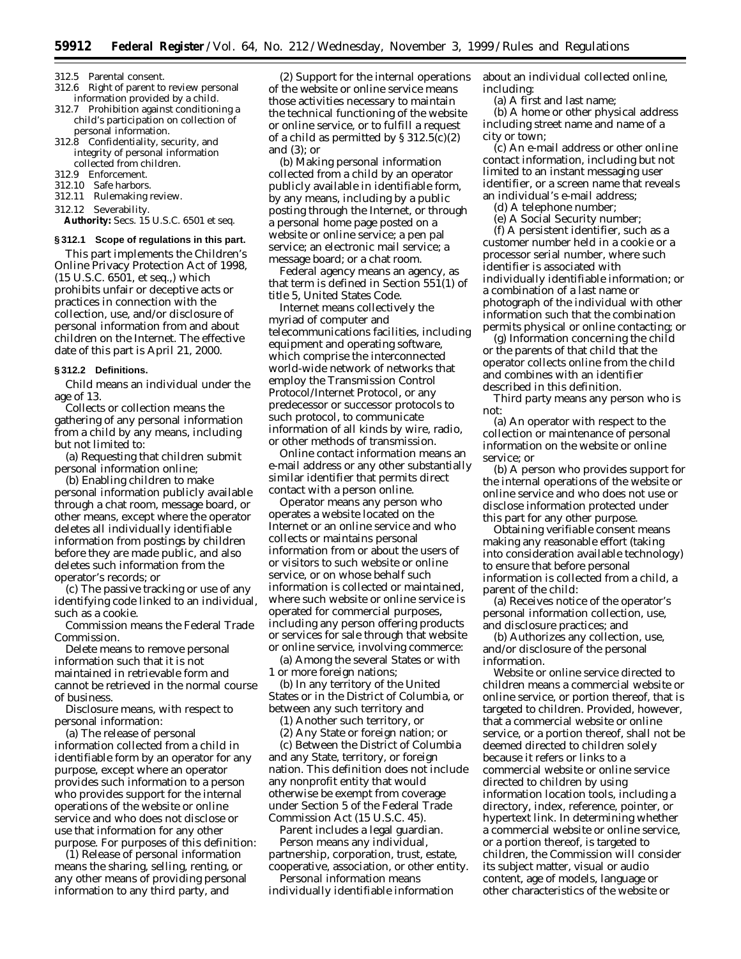- 312.5 Parental consent.
- 312.6 Right of parent to review personal information provided by a child.
- 312.7 Prohibition against conditioning a child's participation on collection of personal information.
- 312.8 Confidentiality, security, and integrity of personal information collected from children.
- 312.9 Enforcement.
- 312.10 Safe harbors.
- 312.11 Rulemaking review.
- 312.12 Severability.

**Authority:** Secs. 15 U.S.C. 6501 *et seq.*

#### **§ 312.1 Scope of regulations in this part.**

This part implements the Children's Online Privacy Protection Act of 1998, (15 U.S.C. 6501, *et seq.*,) which prohibits unfair or deceptive acts or practices in connection with the collection, use, and/or disclosure of personal information from and about children on the Internet. The effective date of this part is April 21, 2000.

### **§ 312.2 Definitions.**

*Child* means an individual under the age of 13.

*Collects or collection* means the gathering of any personal information from a child by any means, including but not limited to:

(a) Requesting that children submit personal information online;

(b) Enabling children to make personal information publicly available through a chat room, message board, or other means, *except where* the operator deletes all individually identifiable information from postings by children before they are made public, and also deletes such information from the operator's records; or

(c) The passive tracking or use of any identifying code linked to an individual, such as a cookie.

*Commission* means the Federal Trade Commission.

*Delete* means to remove personal information such that it is not maintained in retrievable form and cannot be retrieved in the normal course of business.

*Disclosure* means, with respect to personal information:

(a) The release of personal information collected from a child in identifiable form by an operator for any purpose, except where an operator provides such information to a person who provides support for the internal operations of the website or online service and who does not disclose or use that information for any other purpose. For purposes of this definition:

(1) *Release of personal information* means the sharing, selling, renting, or any other means of providing personal information to any third party, and

(2) *Support for the internal operations of the website or online service* means those activities necessary to maintain the technical functioning of the website or online service, or to fulfill a request of a child as permitted by  $\S 312.5(c)(2)$ and (3); or

(b) Making personal information collected from a child by an operator publicly available in identifiable form, by any means, including by a public posting through the Internet, or through a personal home page posted on a website or online service; a pen pal service; an electronic mail service; a message board; or a chat room.

*Federal agency* means an agency, as that term is defined in Section 551(1) of title 5, United States Code.

*Internet* means collectively the myriad of computer and telecommunications facilities, including equipment and operating software, which comprise the interconnected world-wide network of networks that employ the Transmission Control Protocol/Internet Protocol, or any predecessor or successor protocols to such protocol, to communicate information of all kinds by wire, radio, or other methods of transmission.

*Online contact information* means an e-mail address or any other substantially similar identifier that permits direct contact with a person online.

*Operator* means any person who operates a website located on the Internet or an online service and who collects or maintains personal information from or about the users of or visitors to such website or online service, or on whose behalf such information is collected or maintained, where such website or online service is operated for commercial purposes, including any person offering products or services for sale through that website or online service, involving commerce:

(a) Among the several States or with 1 or more foreign nations;

(b) In any territory of the United States or in the District of Columbia, or between any such territory and

(1) Another such territory, or

(2) Any State or foreign nation; or

(c) Between the District of Columbia and any State, territory, or foreign nation. This definition does not include any nonprofit entity that would otherwise be exempt from coverage under Section 5 of the Federal Trade Commission Act (15 U.S.C. 45).

*Parent* includes a legal guardian. *Person* means any individual, partnership, corporation, trust, estate, cooperative, association, or other entity.

*Personal information* means individually identifiable information about an individual collected online, including:

(a) A first and last name;

(b) A home or other physical address including street name and name of a city or town;

(c) An e-mail address or other online contact information, including but not limited to an instant messaging user identifier, or a screen name that reveals an individual's e-mail address;

(d) A telephone number;

(e) A Social Security number;

(f) A persistent identifier, such as a customer number held in a cookie or a processor serial number, where such identifier is associated with individually identifiable information; or a combination of a last name or photograph of the individual with other information such that the combination permits physical or online contacting; or

(g) Information concerning the child or the parents of that child that the operator collects online from the child and combines with an identifier described in this definition.

*Third party* means any person who is not:

(a) An operator with respect to the collection or maintenance of personal information on the website or online service; or

(b) A person who provides support for the internal operations of the website or online service and who does not use or disclose information protected under this part for any other purpose.

Obtaining *verifiable consent* means making any reasonable effort (taking into consideration available technology) to ensure that before personal information is collected from a child, a parent of the child:

(a) Receives notice of the operator's personal information collection, use, and disclosure practices; and

(b) Authorizes any collection, use, and/or disclosure of the personal information.

*Website or online service directed to children* means a commercial website or online service, or portion thereof, that is targeted to children. *Provided, however,* that a commercial website or online service, or a portion thereof, shall not be deemed directed to children solely because it refers or links to a commercial website or online service directed to children by using information location tools, including a directory, index, reference, pointer, or hypertext link. In determining whether a commercial website or online service, or a portion thereof, is targeted to children, the Commission will consider its subject matter, visual or audio content, age of models, language or other characteristics of the website or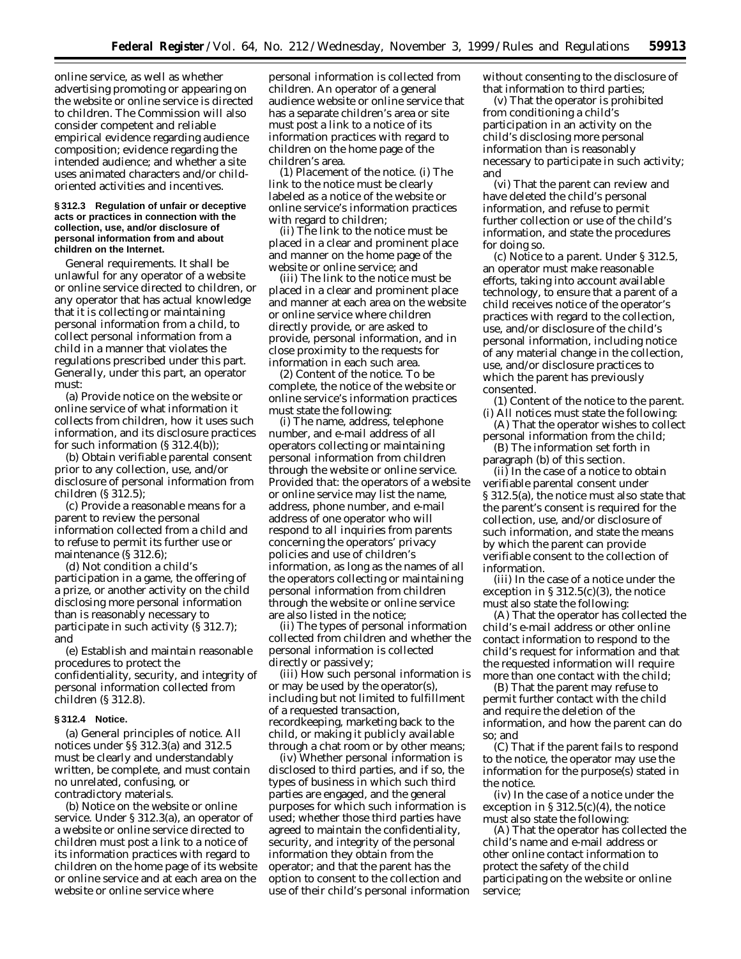online service, as well as whether advertising promoting or appearing on the website or online service is directed to children. The Commission will also consider competent and reliable empirical evidence regarding audience composition; evidence regarding the intended audience; and whether a site uses animated characters and/or childoriented activities and incentives.

#### **§ 312.3 Regulation of unfair or deceptive acts or practices in connection with the collection, use, and/or disclosure of personal information from and about children on the Internet.**

*General requirements.* It shall be unlawful for any operator of a website or online service directed to children, or any operator that has actual knowledge that it is collecting or maintaining personal information from a child, to collect personal information from a child in a manner that violates the regulations prescribed under this part. Generally, under this part, an operator must:

(a) Provide notice on the website or online service of what information it collects from children, how it uses such information, and its disclosure practices for such information (§ 312.4(b));

(b) Obtain verifiable parental consent prior to any collection, use, and/or disclosure of personal information from children (§ 312.5);

(c) Provide a reasonable means for a parent to review the personal information collected from a child and to refuse to permit its further use or maintenance (§ 312.6);

(d) Not condition a child's participation in a game, the offering of a prize, or another activity on the child disclosing more personal information than is reasonably necessary to participate in such activity (§ 312.7); and

(e) Establish and maintain reasonable procedures to protect the confidentiality, security, and integrity of personal information collected from children (§ 312.8).

#### **§ 312.4 Notice.**

(a) *General principles of notice.* All notices under §§ 312.3(a) and 312.5 must be clearly and understandably written, be complete, and must contain no unrelated, confusing, or contradictory materials.

(b) *Notice on the website or online service.* Under § 312.3(a), an operator of a website or online service directed to children must post a link to a notice of its information practices with regard to children on the home page of its website or online service and at each area on the website or online service where

personal information is collected from children. An operator of a general audience website or online service that has a separate children's area or site must post a link to a notice of its information practices with regard to children on the home page of the children's area.

(1) *Placement of the notice.* (i) The link to the notice must be clearly labeled as a notice of the website or online service's information practices with regard to children;

(ii) The link to the notice must be placed in a clear and prominent place and manner on the home page of the website or online service; and

(iii) The link to the notice must be placed in a clear and prominent place and manner at each area on the website or online service where children directly provide, or are asked to provide, personal information, and in close proximity to the requests for information in each such area.

(2) *Content of the notice.* To be complete, the notice of the website or online service's information practices must state the following:

(i) The name, address, telephone number, and e-mail address of all operators collecting or maintaining personal information from children through the website or online service. *Provided that:* the operators of a website or online service may list the name, address, phone number, and e-mail address of one operator who will respond to all inquiries from parents concerning the operators' privacy policies and use of children's information, as long as the names of all the operators collecting or maintaining personal information from children through the website or online service are also listed in the notice;

(ii) The types of personal information collected from children and whether the personal information is collected directly or passively;

(iii) How such personal information is or may be used by the operator(s), including but not limited to fulfillment of a requested transaction, recordkeeping, marketing back to the child, or making it publicly available through a chat room or by other means;

(iv) Whether personal information is disclosed to third parties, and if so, the types of business in which such third parties are engaged, and the general purposes for which such information is used; whether those third parties have agreed to maintain the confidentiality, security, and integrity of the personal information they obtain from the operator; and that the parent has the option to consent to the collection and use of their child's personal information without consenting to the disclosure of that information to third parties;

(v) That the operator is prohibited from conditioning a child's participation in an activity on the child's disclosing more personal information than is reasonably necessary to participate in such activity; and

(vi) That the parent can review and have deleted the child's personal information, and refuse to permit further collection or use of the child's information, and state the procedures for doing so.

(c) *Notice to a parent.* Under § 312.5, an operator must make reasonable efforts, taking into account available technology, to ensure that a parent of a child receives notice of the operator's practices with regard to the collection, use, and/or disclosure of the child's personal information, including notice of any material change in the collection, use, and/or disclosure practices to which the parent has previously consented.

(1) *Content of the notice to the parent.* (i) All notices must state the following:

(A) That the operator wishes to collect personal information from the child;

(B) The information set forth in paragraph (b) of this section.

(ii) In the case of a notice to obtain verifiable parental consent under § 312.5(a), the notice must also state that the parent's consent is required for the collection, use, and/or disclosure of such information, and state the means by which the parent can provide verifiable consent to the collection of information.

(iii) In the case of a notice under the exception in  $\S 312.5(c)(3)$ , the notice must also state the following:

(A) That the operator has collected the child's e-mail address or other online contact information to respond to the child's request for information and that the requested information will require more than one contact with the child;

(B) That the parent may refuse to permit further contact with the child and require the deletion of the information, and how the parent can do so; and

(C) That if the parent fails to respond to the notice, the operator may use the information for the purpose(s) stated in the notice.

(iv) In the case of a notice under the exception in § 312.5(c)(4), the notice must also state the following:

(A) That the operator has collected the child's name and e-mail address or other online contact information to protect the safety of the child participating on the website or online service;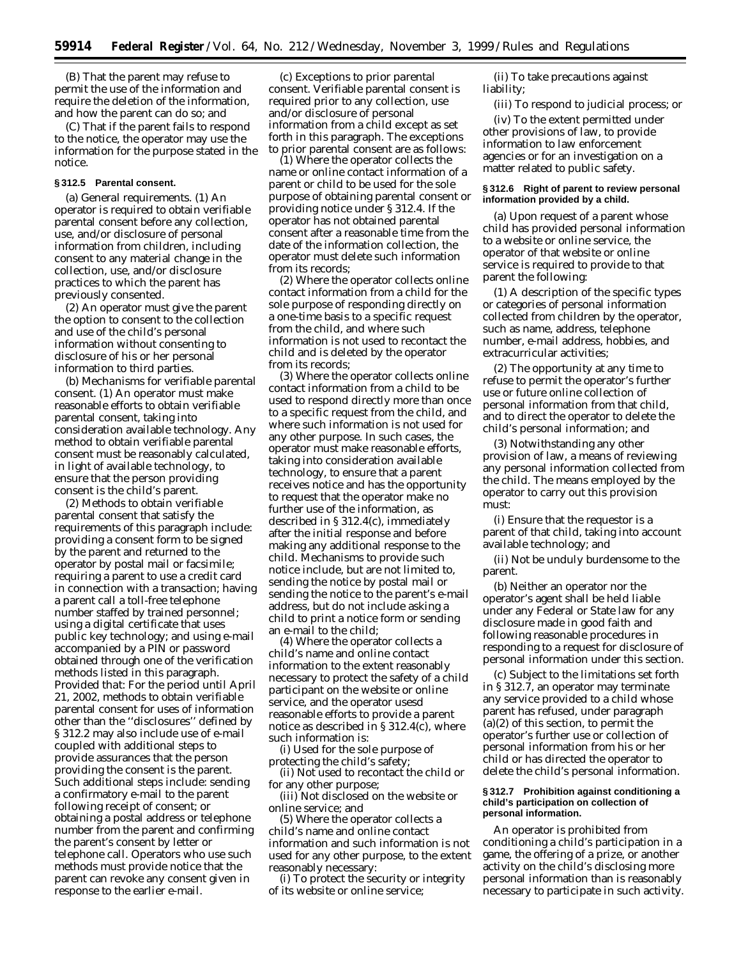(B) That the parent may refuse to permit the use of the information and require the deletion of the information, and how the parent can do so; and

(C) That if the parent fails to respond to the notice, the operator may use the information for the purpose stated in the notice.

### **§ 312.5 Parental consent.**

(a) *General requirements.* (1) An operator is required to obtain verifiable parental consent before any collection, use, and/or disclosure of personal information from children, including consent to any material change in the collection, use, and/or disclosure practices to which the parent has previously consented.

(2) An operator must give the parent the option to consent to the collection and use of the child's personal information without consenting to disclosure of his or her personal information to third parties.

(b) *Mechanisms for verifiable parental consent.* (1) An operator must make reasonable efforts to obtain verifiable parental consent, taking into consideration available technology. Any method to obtain verifiable parental consent must be reasonably calculated, in light of available technology, to ensure that the person providing consent is the child's parent.

(2) Methods to obtain verifiable parental consent that satisfy the requirements of this paragraph include: providing a consent form to be signed by the parent and returned to the operator by postal mail or facsimile; requiring a parent to use a credit card in connection with a transaction; having a parent call a toll-free telephone number staffed by trained personnel; using a digital certificate that uses public key technology; and using e-mail accompanied by a PIN or password obtained through one of the verification methods listed in this paragraph. *Provided that:* For the period until April 21, 2002, methods to obtain verifiable parental consent for uses of information other than the ''disclosures'' defined by § 312.2 may also include use of e-mail coupled with additional steps to provide assurances that the person providing the consent is the parent. Such additional steps include: sending a confirmatory e-mail to the parent following receipt of consent; or obtaining a postal address or telephone number from the parent and confirming the parent's consent by letter or telephone call. Operators who use such methods must provide notice that the parent can revoke any consent given in response to the earlier e-mail.

(c) *Exceptions to prior parental consent.* Verifiable parental consent is required prior to any collection, use and/or disclosure of personal information from a child except as set forth in this paragraph. The exceptions to prior parental consent are as follows:

(1) Where the operator collects the name or online contact information of a parent or child to be used for the sole purpose of obtaining parental consent or providing notice under § 312.4. If the operator has not obtained parental consent after a reasonable time from the date of the information collection, the operator must delete such information from its records;

(2) Where the operator collects online contact information from a child for the sole purpose of responding directly on a one-time basis to a specific request from the child, and where such information is not used to recontact the child and is deleted by the operator from its records;

(3) Where the operator collects online contact information from a child to be used to respond directly more than once to a specific request from the child, and where such information is not used for any other purpose. In such cases, the operator must make reasonable efforts, taking into consideration available technology, to ensure that a parent receives notice and has the opportunity to request that the operator make no further use of the information, as described in § 312.4(c), immediately after the initial response and before making any additional response to the child. Mechanisms to provide such notice include, but are not limited to, sending the notice by postal mail or sending the notice to the parent's e-mail address, but do not include asking a child to print a notice form or sending an e-mail to the child;

(4) Where the operator collects a child's name and online contact information to the extent reasonably necessary to protect the safety of a child participant on the website or online service, and the operator usesd reasonable efforts to provide a parent notice as described in § 312.4(c), where such information is:

(i) Used for the sole purpose of protecting the child's safety;

(ii) Not used to recontact the child or for any other purpose;

(iii) Not disclosed on the website or online service; and

(5) Where the operator collects a child's name and online contact information and such information is not used for any other purpose, to the extent reasonably necessary:

(i) To protect the security or integrity of its website or online service;

(ii) To take precautions against liability;

(iii) To respond to judicial process; or

(iv) To the extent permitted under other provisions of law, to provide information to law enforcement agencies or for an investigation on a matter related to public safety.

### **§ 312.6 Right of parent to review personal information provided by a child.**

(a) Upon request of a parent whose child has provided personal information to a website or online service, the operator of that website or online service is required to provide to that parent the following:

(1) A description of the specific types or categories of personal information collected from children by the operator, such as name, address, telephone number, e-mail address, hobbies, and extracurricular activities;

(2) The opportunity at any time to refuse to permit the operator's further use or future online collection of personal information from that child, and to direct the operator to delete the child's personal information; and

(3) Notwithstanding any other provision of law, a means of reviewing any personal information collected from the child. The means employed by the operator to carry out this provision must:

(i) Ensure that the requestor is a parent of that child, taking into account available technology; and

(ii) Not be unduly burdensome to the parent.

(b) Neither an operator nor the operator's agent shall be held liable under any Federal or State law for any disclosure made in good faith and following reasonable procedures in responding to a request for disclosure of personal information under this section.

(c) Subject to the limitations set forth in § 312.7, an operator may terminate any service provided to a child whose parent has refused, under paragraph (a)(2) of this section, to permit the operator's further use or collection of personal information from his or her child or has directed the operator to delete the child's personal information.

### **§ 312.7 Prohibition against conditioning a child's participation on collection of personal information.**

An operator is prohibited from conditioning a child's participation in a game, the offering of a prize, or another activity on the child's disclosing more personal information than is reasonably necessary to participate in such activity.